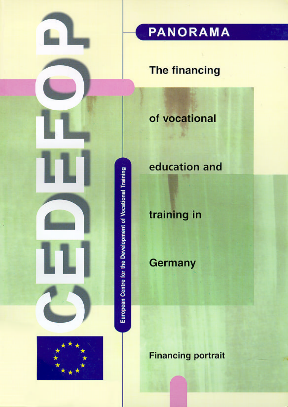

## **The financing**

## of vocational



# education and

# training in

# Germany

**Financing portrait**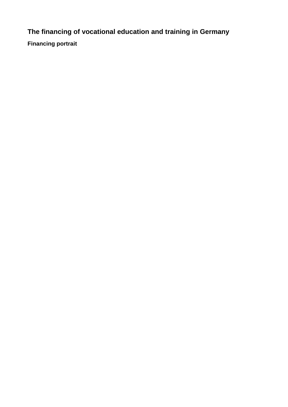**The financing of vocational education and training in Germany**

**Financing portrait**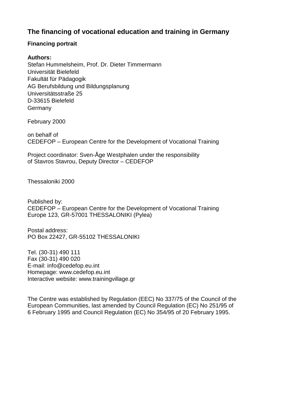### **The financing of vocational education and training in Germany**

#### **Financing portrait**

#### **Authors:**

Stefan Hummelsheim, Prof. Dr. Dieter Timmermann Universität Bielefeld Fakultät für Pädagogik AG Berufsbildung und Bildungsplanung Universitätsstraße 25 D-33615 Bielefeld **Germany** 

February 2000

on behalf of CEDEFOP – European Centre for the Development of Vocational Training

Project coordinator: Sven-Åge Westphalen under the responsibility of Stavros Stavrou, Deputy Director – CEDEFOP

Thessaloniki 2000

Published by: CEDEFOP – European Centre for the Development of Vocational Training Europe 123, GR-57001 THESSALONIKI (Pylea)

Postal address: PO Box 22427, GR-55102 THESSALONIKI

Tel. (30-31) 490 111 Fax (30-31) 490 020 E-mail: info@cedefop.eu.int Homepage: www.cedefop.eu.int Interactive website: www.trainingvillage.gr

The Centre was established by Regulation (EEC) No 337/75 of the Council of the European Communities, last amended by Council Regulation (EC) No 251/95 of 6 February 1995 and Council Regulation (EC) No 354/95 of 20 February 1995.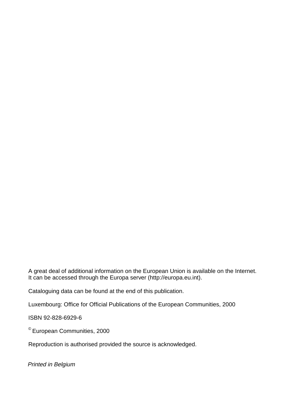A great deal of additional information on the European Union is available on the Internet. It can be accessed through the Europa server (http://europa.eu.int).

Cataloguing data can be found at the end of this publication.

Luxembourg: Office for Official Publications of the European Communities, 2000

ISBN 92-828-6929-6

© European Communities, 2000

Reproduction is authorised provided the source is acknowledged.

Printed in Belgium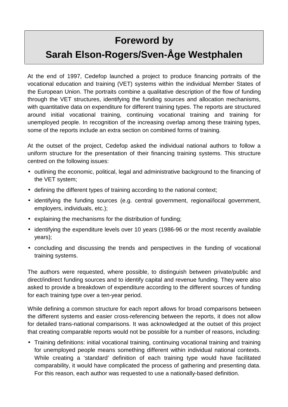# <span id="page-4-0"></span>**Foreword by Sarah Elson-Rogers/Sven-Åge Westphalen**

At the end of 1997, Cedefop launched a project to produce financing portraits of the vocational education and training (VET) systems within the individual Member States of the European Union. The portraits combine a qualitative description of the flow of funding through the VET structures, identifying the funding sources and allocation mechanisms, with quantitative data on expenditure for different training types. The reports are structured around initial vocational training, continuing vocational training and training for unemployed people. In recognition of the increasing overlap among these training types, some of the reports include an extra section on combined forms of training.

At the outset of the project, Cedefop asked the individual national authors to follow a uniform structure for the presentation of their financing training systems. This structure centred on the following issues:

- outlining the economic, political, legal and administrative background to the financing of the VET system;
- defining the different types of training according to the national context;
- identifying the funding sources (e.g. central government, regional/local government, employers, individuals, etc.);
- explaining the mechanisms for the distribution of funding;
- identifying the expenditure levels over 10 years (1986-96 or the most recently available years);
- concluding and discussing the trends and perspectives in the funding of vocational training systems.

The authors were requested, where possible, to distinguish between private/public and direct/indirect funding sources and to identify capital and revenue funding. They were also asked to provide a breakdown of expenditure according to the different sources of funding for each training type over a ten-year period.

While defining a common structure for each report allows for broad comparisons between the different systems and easier cross-referencing between the reports, it does not allow for detailed trans-national comparisons. It was acknowledged at the outset of this project that creating comparable reports would not be possible for a number of reasons, including:

• Training definitions: initial vocational training, continuing vocational training and training for unemployed people means something different within individual national contexts. While creating a 'standard' definition of each training type would have facilitated comparability, it would have complicated the process of gathering and presenting data. For this reason, each author was requested to use a nationally-based definition.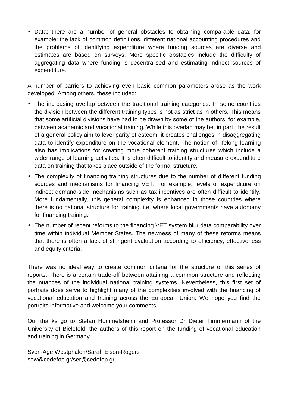• Data: there are a number of general obstacles to obtaining comparable data, for example: the lack of common definitions, different national accounting procedures and the problems of identifying expenditure where funding sources are diverse and estimates are based on surveys. More specific obstacles include the difficulty of aggregating data where funding is decentralised and estimating indirect sources of expenditure.

A number of barriers to achieving even basic common parameters arose as the work developed. Among others, these included:

- The increasing overlap between the traditional training categories. In some countries the division between the different training types is not as strict as in others. This means that some artificial divisions have had to be drawn by some of the authors, for example, between academic and vocational training. While this overlap may be, in part, the result of a general policy aim to level parity of esteem, it creates challenges in disaggregating data to identify expenditure on the vocational element. The notion of lifelong learning also has implications for creating more coherent training structures which include a wider range of learning activities. It is often difficult to identify and measure expenditure data on training that takes place outside of the formal structure.
- The complexity of financing training structures due to the number of different funding sources and mechanisms for financing VET. For example, levels of expenditure on indirect demand-side mechanisms such as tax incentives are often difficult to identify. More fundamentally, this general complexity is enhanced in those countries where there is no national structure for training, i.e. where local governments have autonomy for financing training.
- The number of recent reforms to the financing VET system blur data comparability over time within individual Member States. The newness of many of these reforms means that there is often a lack of stringent evaluation according to efficiency, effectiveness and equity criteria.

There was no ideal way to create common criteria for the structure of this series of reports. There is a certain trade-off between attaining a common structure and reflecting the nuances of the individual national training systems. Nevertheless, this first set of portraits does serve to highlight many of the complexities involved with the financing of vocational education and training across the European Union. We hope you find the portraits informative and welcome your comments.

Our thanks go to Stefan Hummelsheim and Professor Dr Dieter Timmermann of the University of Bielefeld, the authors of this report on the funding of vocational education and training in Germany.

Sven-Åge Westphalen/Sarah Elson-Rogers saw@cedefop.gr/ser@cedefop.gr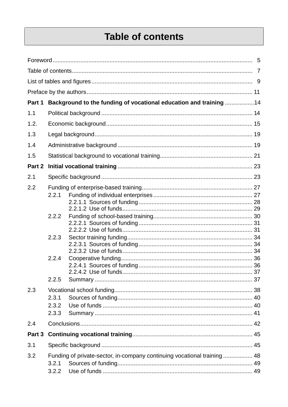## **Table of contents**

| Part 1 |       | Background to the funding of vocational education and training 14        |  |
|--------|-------|--------------------------------------------------------------------------|--|
| 1.1    |       |                                                                          |  |
| 1.2.   |       |                                                                          |  |
| 1.3    |       |                                                                          |  |
| 1.4    |       |                                                                          |  |
| 1.5    |       |                                                                          |  |
| Part 2 |       |                                                                          |  |
| 2.1    |       |                                                                          |  |
| 2.2    |       |                                                                          |  |
|        | 2.2.1 |                                                                          |  |
|        |       |                                                                          |  |
|        | 2.2.2 |                                                                          |  |
|        |       |                                                                          |  |
|        |       |                                                                          |  |
|        | 2.2.3 |                                                                          |  |
|        |       |                                                                          |  |
|        | 2.2.4 |                                                                          |  |
|        |       |                                                                          |  |
|        | 2.2.5 |                                                                          |  |
|        |       |                                                                          |  |
| 2.3    | 2.3.1 |                                                                          |  |
|        | 2.3.2 |                                                                          |  |
|        | 2.3.3 |                                                                          |  |
| 2.4    |       |                                                                          |  |
| Part 3 |       |                                                                          |  |
| 3.1    |       |                                                                          |  |
| 3.2    |       | Funding of private-sector, in-company continuing vocational training  48 |  |
|        | 3.2.1 |                                                                          |  |
|        | 3.2.2 |                                                                          |  |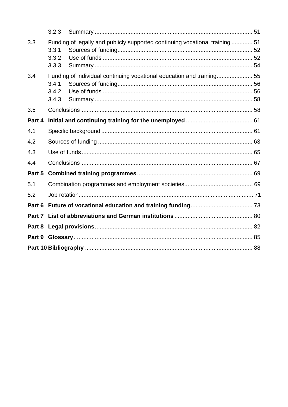|        | 3.2.3                   |                                                                              |  |  |
|--------|-------------------------|------------------------------------------------------------------------------|--|--|
| 3.3    | 3.3.1<br>3.3.2<br>3.3.3 | Funding of legally and publicly supported continuing vocational training  51 |  |  |
| 3.4    | 3.4.1<br>3.4.2<br>3.4.3 | Funding of individual continuing vocational education and training 55        |  |  |
| 3.5    |                         |                                                                              |  |  |
| Part 4 |                         |                                                                              |  |  |
| 4.1    |                         |                                                                              |  |  |
| 4.2    |                         |                                                                              |  |  |
| 4.3    |                         |                                                                              |  |  |
| 4.4    |                         |                                                                              |  |  |
| Part 5 |                         |                                                                              |  |  |
| 5.1    |                         |                                                                              |  |  |
| 5.2    |                         |                                                                              |  |  |
| Part 6 |                         |                                                                              |  |  |
| Part 7 |                         |                                                                              |  |  |
| Part 8 |                         |                                                                              |  |  |
| Part 9 |                         |                                                                              |  |  |
|        |                         |                                                                              |  |  |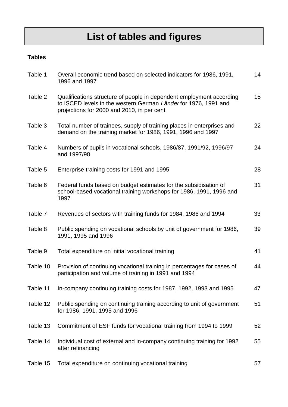# **List of tables and figures**

### <span id="page-8-0"></span>**Tables**

| Table 1  | Overall economic trend based on selected indicators for 1986, 1991,<br>1996 and 1997                                                                                                  | 14 |
|----------|---------------------------------------------------------------------------------------------------------------------------------------------------------------------------------------|----|
| Table 2  | Qualifications structure of people in dependent employment according<br>to ISCED levels in the western German Länder for 1976, 1991 and<br>projections for 2000 and 2010, in per cent | 15 |
| Table 3  | Total number of trainees, supply of training places in enterprises and<br>demand on the training market for 1986, 1991, 1996 and 1997                                                 | 22 |
| Table 4  | Numbers of pupils in vocational schools, 1986/87, 1991/92, 1996/97<br>and 1997/98                                                                                                     | 24 |
| Table 5  | Enterprise training costs for 1991 and 1995                                                                                                                                           | 28 |
| Table 6  | Federal funds based on budget estimates for the subsidisation of<br>school-based vocational training workshops for 1986, 1991, 1996 and<br>1997                                       | 31 |
| Table 7  | Revenues of sectors with training funds for 1984, 1986 and 1994                                                                                                                       | 33 |
| Table 8  | Public spending on vocational schools by unit of government for 1986,<br>1991, 1995 and 1996                                                                                          | 39 |
| Table 9  | Total expenditure on initial vocational training                                                                                                                                      | 41 |
| Table 10 | Provision of continuing vocational training in percentages for cases of<br>participation and volume of training in 1991 and 1994                                                      | 44 |
| Table 11 | In-company continuing training costs for 1987, 1992, 1993 and 1995                                                                                                                    | 47 |
| Table 12 | Public spending on continuing training according to unit of government<br>for 1986, 1991, 1995 and 1996                                                                               | 51 |
| Table 13 | Commitment of ESF funds for vocational training from 1994 to 1999                                                                                                                     | 52 |
| Table 14 | Individual cost of external and in-company continuing training for 1992<br>after refinancing                                                                                          | 55 |
| Table 15 | Total expenditure on continuing vocational training                                                                                                                                   | 57 |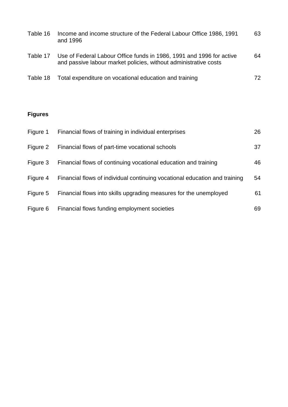| Table 16 | Income and income structure of the Federal Labour Office 1986, 1991<br>and 1996                                                          | 63 |
|----------|------------------------------------------------------------------------------------------------------------------------------------------|----|
| Table 17 | Use of Federal Labour Office funds in 1986, 1991 and 1996 for active<br>and passive labour market policies, without administrative costs | 64 |
|          | Table 18 Total expenditure on vocational education and training                                                                          | 72 |

### **Figures**

| Figure 1 | Financial flows of training in individual enterprises                      | 26 |
|----------|----------------------------------------------------------------------------|----|
| Figure 2 | Financial flows of part-time vocational schools                            | 37 |
| Figure 3 | Financial flows of continuing vocational education and training            | 46 |
| Figure 4 | Financial flows of individual continuing vocational education and training | 54 |
| Figure 5 | Financial flows into skills upgrading measures for the unemployed          | 61 |
| Figure 6 | Financial flows funding employment societies                               | 69 |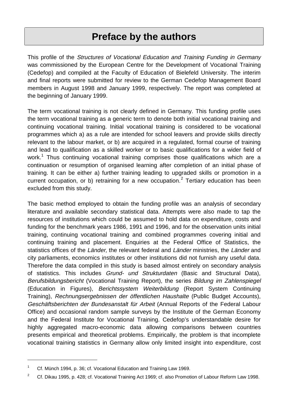## **Preface by the authors**

<span id="page-10-0"></span>This profile of the Structures of Vocational Education and Training Funding in Germany was commissioned by the European Centre for the Development of Vocational Training (Cedefop) and compiled at the Faculty of Education of Bielefeld University. The interim and final reports were submitted for review to the German Cedefop Management Board members in August 1998 and January 1999, respectively. The report was completed at the beginning of January 1999.

The term vocational training is not clearly defined in Germany. This funding profile uses the term vocational training as a generic term to denote both initial vocational training and continuing vocational training. Initial vocational training is considered to be vocational programmes which a) as a rule are intended for school leavers and provide skills directly relevant to the labour market, or b) are acquired in a regulated, formal course of training and lead to qualification as a skilled worker or to basic qualifications for a wider field of work.<sup>1</sup> Thus continuing vocational training comprises those qualifications which are a continuation or resumption of organised learning after completion of an initial phase of training. It can be either a) further training leading to upgraded skills or promotion in a current occupation, or b) retraining for a new occupation.<sup>2</sup> Tertiary education has been excluded from this study.

The basic method employed to obtain the funding profile was an analysis of secondary literature and available secondary statistical data. Attempts were also made to tap the resources of institutions which could be assumed to hold data on expenditure, costs and funding for the benchmark years 1986, 1991 and 1996, and for the observation units initial training, continuing vocational training and combined programmes covering initial and continuing training and placement. Enquiries at the Federal Office of Statistics, the statistics offices of the Länder, the relevant federal and Länder ministries, the Länder and city parliaments, economics institutes or other institutions did not furnish any useful data. Therefore the data compiled in this study is based almost entirely on secondary analysis of statistics. This includes Grund- und Strukturdaten (Basic and Structural Data), Berufsbildungsbericht (Vocational Training Report), the series Bildung im Zahlenspiegel (Education in Figures), Berichtssystem Weiterbildung (Report System Continuing Training), Rechnungsergebnissen der öffentlichen Haushalte (Public Budget Accounts), Geschäftsberichten der Bundesanstalt für Arbeit (Annual Reports of the Federal Labour Office) and occasional random sample surveys by the Institute of the German Economy and the Federal Institute for Vocational Training. Cedefop's understandable desire for highly aggregated macro-economic data allowing comparisons between countries presents empirical and theoretical problems. Empirically, the problem is that incomplete vocational training statistics in Germany allow only limited insight into expenditure, cost

<sup>&</sup>lt;sup>1</sup> Cf. Münch 1994, p. 36; cf. Vocational Education and Training Law 1969.

<sup>&</sup>lt;sup>2</sup> Cf. Dikau 1995, p. 428; cf. Vocational Training Act 1969; cf. also Promotion of Labour Reform Law 1998.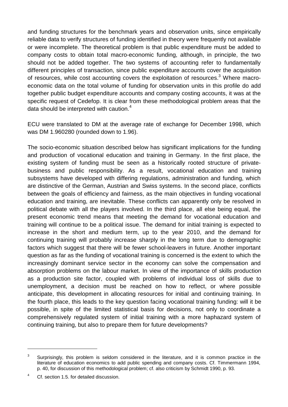and funding structures for the benchmark years and observation units, since empirically reliable data to verify structures of funding identified in theory were frequently not available or were incomplete. The theoretical problem is that public expenditure must be added to company costs to obtain total macro-economic funding, although, in principle, the two should not be added together. The two systems of accounting refer to fundamentally different principles of transaction, since public expenditure accounts cover the acquisition of resources, while cost accounting covers the exploitation of resources.<sup>3</sup> Where macroeconomic data on the total volume of funding for observation units in this profile do add together public budget expenditure accounts and company costing accounts, it was at the specific request of Cedefop. It is clear from these methodological problem areas that the data should be interpreted with caution.<sup>4</sup>

ECU were translated to DM at the average rate of exchange for December 1998, which was DM 1.960280 (rounded down to 1.96).

The socio-economic situation described below has significant implications for the funding and production of vocational education and training in Germany. In the first place, the existing system of funding must be seen as a historically rooted structure of privatebusiness and public responsibility. As a result, vocational education and training subsystems have developed with differing regulations, administration and funding, which are distinctive of the German, Austrian and Swiss systems. In the second place, conflicts between the goals of efficiency and fairness, as the main objectives in funding vocational education and training, are inevitable. These conflicts can apparently only be resolved in political debate with all the players involved. In the third place, all else being equal, the present economic trend means that meeting the demand for vocational education and training will continue to be a political issue. The demand for initial training is expected to increase in the short and medium term, up to the year 2010, and the demand for continuing training will probably increase sharply in the long term due to demographic factors which suggest that there will be fewer school-leavers in future. Another important question as far as the funding of vocational training is concerned is the extent to which the increasingly dominant service sector in the economy can solve the compensation and absorption problems on the labour market. In view of the importance of skills production as a production site factor, coupled with problems of individual loss of skills due to unemployment, a decision must be reached on how to reflect, or where possible anticipate, this development in allocating resources for initial and continuing training. In the fourth place, this leads to the key question facing vocational training funding: will it be possible, in spite of the limited statistical basis for decisions, not only to coordinate a comprehensively regulated system of initial training with a more haphazard system of continuing training, but also to prepare them for future developments?

 $\overline{a}$ 

 $3$  Surprisingly, this problem is seldom considered in the literature, and it is common practice in the literature of education economics to add public spending and company costs. Cf. Timmermann 1994, p. 40, for discussion of this methodological problem; cf. also criticism by Schmidt 1990, p. 93.

<sup>&</sup>lt;sup>4</sup> Cf. section 1.5. for detailed discussion.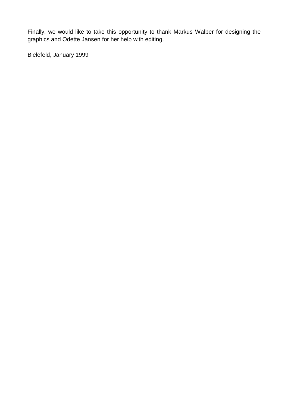Finally, we would like to take this opportunity to thank Markus Walber for designing the graphics and Odette Jansen for her help with editing.

Bielefeld, January 1999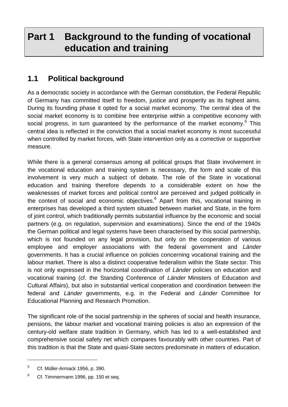## <span id="page-13-0"></span>**Part 1 Background to the funding of vocational education and training**

## **1.1 Political background**

As a democratic society in accordance with the German constitution, the Federal Republic of Germany has committed itself to freedom, justice and prosperity as its highest aims. During its founding phase it opted for a social market economy. The central idea of the social market economy is to combine free enterprise within a competitive economy with social progress, in turn guaranteed by the performance of the market economy.<sup>5</sup> This central idea is reflected in the conviction that a social market economy is most successful when controlled by market forces, with State intervention only as a corrective or supportive measure.

While there is a general consensus among all political groups that State involvement in the vocational education and training system is necessary, the form and scale of this involvement is very much a subject of debate. The role of the State in vocational education and training therefore depends to a considerable extent on how the weaknesses of market forces and political control are perceived and judged politically in the context of social and economic objectives.<sup>6</sup> Apart from this, vocational training in enterprises has developed a third system situated between market and State, in the form of joint control, which traditionally permits substantial influence by the economic and social partners (e.g. on regulation, supervision and examinations). Since the end of the 1940s the German political and legal systems have been characterised by this social partnership, which is not founded on any legal provision, but only on the cooperation of various employee and employer associations with the federal government and Länder governments. It has a crucial influence on policies concerning vocational training and the labour market. There is also a distinct cooperative federalism within the State sector. This is not only expressed in the horizontal coordination of Länder policies on education and vocational training (cf. the Standing Conference of Länder Ministers of Education and Cultural Affairs), but also in substantial vertical cooperation and coordination between the federal and Länder governments, e.g. in the Federal and Länder Committee for Educational Planning and Research Promotion.

The significant role of the social partnership in the spheres of social and health insurance, pensions, the labour market and vocational training policies is also an expression of the century-old welfare state tradition in Germany, which has led to a well-established and comprehensive social safety net which compares favourably with other countries. Part of this tradition is that the State and quasi-State sectors predominate in matters of education.

<sup>5</sup> Cf. Müller-Armack 1956, p. 390.

<sup>&</sup>lt;sup>6</sup> Cf. Timmermann 1996, pp. 150 et seq.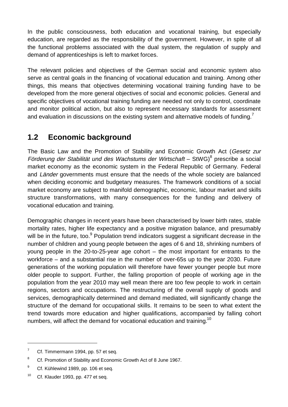<span id="page-14-0"></span>In the public consciousness, both education and vocational training, but especially education, are regarded as the responsibility of the government. However, in spite of all the functional problems associated with the dual system, the regulation of supply and demand of apprenticeships is left to market forces.

The relevant policies and objectives of the German social and economic system also serve as central goals in the financing of vocational education and training. Among other things, this means that objectives determining vocational training funding have to be developed from the more general objectives of social and economic policies. General and specific objectives of vocational training funding are needed not only to control, coordinate and monitor political action, but also to represent necessary standards for assessment and evaluation in discussions on the existing system and alternative models of funding.<sup>7</sup>

## **1.2 Economic background**

The Basic Law and the Promotion of Stability and Economic Growth Act (Gesetz zur Förderung der Stabilität und des Wachstums der Wirtschaft – StWG)<sup>8</sup> prescribe a social market economy as the economic system in the Federal Republic of Germany. Federal and Länder governments must ensure that the needs of the whole society are balanced when deciding economic and budgetary measures. The framework conditions of a social market economy are subject to manifold demographic, economic, labour market and skills structure transformations, with many consequences for the funding and delivery of vocational education and training.

Demographic changes in recent years have been characterised by lower birth rates, stable mortality rates, higher life expectancy and a positive migration balance, and presumably will be in the future, too.<sup>9</sup> Population trend indicators suggest a significant decrease in the number of children and young people between the ages of 6 and 18, shrinking numbers of young people in the 20-to-25-year age cohort – the most important for entrants to the workforce – and a substantial rise in the number of over-65s up to the year 2030. Future generations of the working population will therefore have fewer younger people but more older people to support. Further, the falling proportion of people of working age in the population from the year 2010 may well mean there are too few people to work in certain regions, sectors and occupations. The restructuring of the overall supply of goods and services, demographically determined and demand mediated, will significantly change the structure of the demand for occupational skills. It remains to be seen to what extent the trend towards more education and higher qualifications, accompanied by falling cohort numbers, will affect the demand for vocational education and training.<sup>10</sup>

 $7$  Cf. Timmermann 1994, pp. 57 et seq.

<sup>&</sup>lt;sup>8</sup> Cf. Promotion of Stability and Economic Growth Act of 8 June 1967.

<sup>&</sup>lt;sup>9</sup> Cf. Kühlewind 1989, pp. 106 et seq.

 $10$  Cf. Klauder 1993, pp. 477 et seq.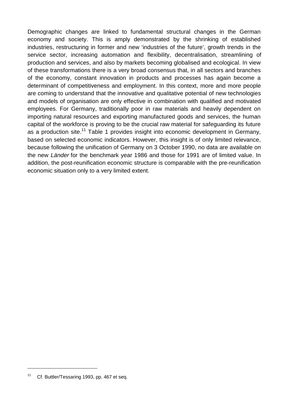Demographic changes are linked to fundamental structural changes in the German economy and society. This is amply demonstrated by the shrinking of established industries, restructuring in former and new 'industries of the future', growth trends in the service sector, increasing automation and flexibility, decentralisation, streamlining of production and services, and also by markets becoming globalised and ecological. In view of these transformations there is a very broad consensus that, in all sectors and branches of the economy, constant innovation in products and processes has again become a determinant of competitiveness and employment. In this context, more and more people are coming to understand that the innovative and qualitative potential of new technologies and models of organisation are only effective in combination with qualified and motivated employees. For Germany, traditionally poor in raw materials and heavily dependent on importing natural resources and exporting manufactured goods and services, the human capital of the workforce is proving to be the crucial raw material for safeguarding its future as a production site.<sup>11</sup> Table 1 provides insight into economic development in Germany, based on selected economic indicators. However, this insight is of only limited relevance, because following the unification of Germany on 3 October 1990, no data are available on the new Länder for the benchmark year 1986 and those for 1991 are of limited value. In addition, the post-reunification economic structure is comparable with the pre-reunification economic situation only to a very limited extent.

<sup>&</sup>lt;sup>11</sup> Cf. Buttler/Tessaring 1993, pp. 467 et seq.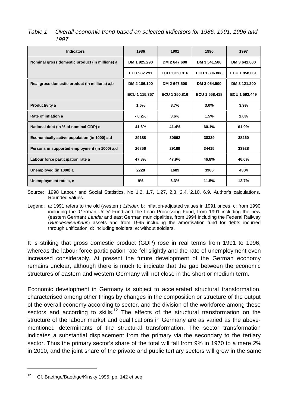| <b>Indicators</b>                              | 1986          | 1991          | 1996          | 1997          |
|------------------------------------------------|---------------|---------------|---------------|---------------|
| Nominal gross domestic product (in millions) a | DM 1925.290   | DM 2 647 600  | DM 3 541.500  | DM 3 641.800  |
|                                                | ECU 982 291   | ECU 1 350.816 | ECU 1806.888  | ECU 1 858,061 |
| Real gross domestic product (in millions) a,b  | DM 2 186.100  | DM 2 647.600  | DM 3 054.500  | DM 3 121.200  |
|                                                | ECU 1 115.357 | ECU 1 350,816 | ECU 1 558.418 | ECU 1 592.449 |
| Productivity a                                 | 1.6%          | 3.7%          | 3.0%          | 3.9%          |
| Rate of inflation a                            | $-0.2%$       | 3.6%          | 1.5%          | 1.8%          |
| National debt (in % of nominal GDP) c          | 41.6%         | 41.4%         | 60.1%         | 61.0%         |
| Economically active population (in 1000) a,d   | 29188         | 30662         | 38329         | 38260         |
| Persons in supported employment (in 1000) a,d  | 26856         | 29189         | 34415         | 33928         |
| Labour force participation rate a              | 47.8%         | 47.9%         | 46.8%         | 46.6%         |
| Unemployed (in 1000) a                         | 2228          | 1689          | 3965          | 4384          |
| Unemployment rate a, e                         | 9%            | 6.3%          | 11.5%         | 12.7%         |

### <span id="page-16-0"></span>Table 1 Overall economic trend based on selected indicators for 1986, 1991, 1996 and 1997

Source: 1998 Labour and Social Statistics, No 1.2, 1.7, 1.27, 2.3, 2.4, 2.10, 6.9. Author's calculations. Rounded values.

Legend: a: 1991 refers to the old (western) Länder, b: inflation-adjusted values in 1991 prices, c: from 1990 including the 'German Unity' Fund and the Loan Processing Fund, from 1991 including the new (eastern German) Länder and east German municipalities, from 1994 including the Federal Railway (Bundeseisenbahn) assets and from 1995 including the amortisation fund for debts incurred through unification; d: including soldiers; e: without soldiers.

It is striking that gross domestic product (GDP) rose in real terms from 1991 to 1996, whereas the labour force participation rate fell slightly and the rate of unemployment even increased considerably. At present the future development of the German economy remains unclear, although there is much to indicate that the gap between the economic structures of eastern and western Germany will not close in the short or medium term.

Economic development in Germany is subject to accelerated structural transformation, characterised among other things by changes in the composition or structure of the output of the overall economy according to sector, and the division of the workforce among these sectors and according to skills.<sup>12</sup> The effects of the structural transformation on the structure of the labour market and qualifications in Germany are as varied as the abovementioned determinants of the structural transformation. The sector transformation indicates a substantial displacement from the primary via the secondary to the tertiary sector. Thus the primary sector's share of the total will fall from 9% in 1970 to a mere 2% in 2010, and the joint share of the private and public tertiary sectors will grow in the same

<sup>&</sup>lt;sup>12</sup> Cf. Baethge/Baethge/Kinsky 1995, pp. 142 et seq.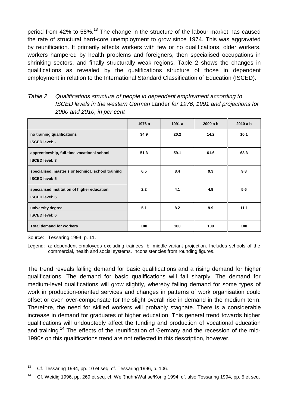<span id="page-17-0"></span>period from 42% to 58%.<sup>13</sup> The change in the structure of the labour market has caused the rate of structural hard-core unemployment to grow since 1974. This was aggravated by reunification. It primarily affects workers with few or no qualifications, older workers, workers hampered by health problems and foreigners, then specialised occupations in shrinking sectors, and finally structurally weak regions. Table 2 shows the changes in qualifications as revealed by the qualifications structure of those in dependent employment in relation to the International Standard Classification of Education (ISCED).

| Table 2 | Qualifications structure of people in dependent employment according to      |  |  |  |
|---------|------------------------------------------------------------------------------|--|--|--|
|         | ISCED levels in the western German Länder for 1976, 1991 and projections for |  |  |  |
|         | 2000 and 2010, in per cent                                                   |  |  |  |

|                                                                             | 1976 a | 1991 a | 2000a b | 2010a b |
|-----------------------------------------------------------------------------|--------|--------|---------|---------|
| no training qualifications<br><b>ISCED level: -</b>                         | 34.9   | 20.2   | 14.2    | 10.1    |
| apprenticeship, full-time vocational school<br><b>ISCED level: 3</b>        | 51.3   | 59.1   | 61.6    | 63.3    |
| specialised, master's or technical school training<br><b>ISCED level: 5</b> | 6.5    | 8.4    | 9.3     | 9.8     |
| specialised institution of higher education<br><b>ISCED level: 6</b>        | 2.2    | 4.1    | 4.9     | 5.6     |
| university degree<br><b>ISCED level: 6</b>                                  | 5.1    | 8.2    | 9.9     | 11.1    |
| <b>Total demand for workers</b>                                             | 100    | 100    | 100     | 100     |

Source: Tessaring 1994, p. 11.

1

Legend: a: dependent employees excluding trainees; b: middle-variant projection. Includes schools of the commercial, health and social systems. Inconsistencies from rounding figures.

The trend reveals falling demand for basic qualifications and a rising demand for higher qualifications. The demand for basic qualifications will fall sharply. The demand for medium-level qualifications will grow slightly, whereby falling demand for some types of work in production-oriented services and changes in patterns of work organisation could offset or even over-compensate for the slight overall rise in demand in the medium term. Therefore, the need for skilled workers will probably stagnate. There is a considerable increase in demand for graduates of higher education. This general trend towards higher qualifications will undoubtedly affect the funding and production of vocational education and training.<sup>14</sup> The effects of the reunification of Germany and the recession of the mid-1990s on this qualifications trend are not reflected in this description, however.

<sup>&</sup>lt;sup>13</sup> Cf. Tessaring 1994, pp. 10 et seq. cf. Tessaring 1996, p. 106.

<sup>&</sup>lt;sup>14</sup> Cf. Weidig 1996, pp. 269 et seq. cf. Weißhuhn/Wahse/König 1994; cf. also Tessaring 1994, pp. 5 et seq.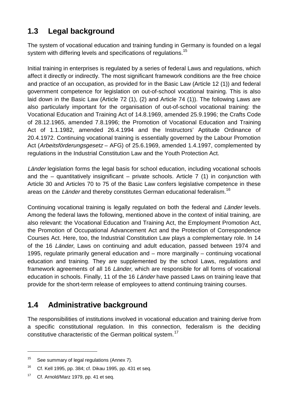## <span id="page-18-0"></span>**1.3 Legal background**

The system of vocational education and training funding in Germany is founded on a legal system with differing levels and specifications of regulations.<sup>15</sup>

Initial training in enterprises is regulated by a series of federal Laws and regulations, which affect it directly or indirectly. The most significant framework conditions are the free choice and practice of an occupation, as provided for in the Basic Law (Article 12 (1)) and federal government competence for legislation on out-of-school vocational training. This is also laid down in the Basic Law (Article 72 (1), (2) and Article 74 (1)). The following Laws are also particularly important for the organisation of out-of-school vocational training: the Vocational Education and Training Act of 14.8.1969, amended 25.9.1996; the Crafts Code of 28.12.1965, amended 7.8.1996; the Promotion of Vocational Education and Training Act of 1.1.1982, amended 26.4.1994 and the Instructors' Aptitude Ordinance of 20.4.1972. Continuing vocational training is essentially governed by the Labour Promotion Act (Arbeitsförderungsgesetz – AFG) of 25.6.1969, amended 1.4.1997, complemented by regulations in the Industrial Constitution Law and the Youth Protection Act.

Länder legislation forms the legal basis for school education, including vocational schools and the – quantitatively insignificant – private schools. Article  $7$  (1) in conjunction with Article 30 and Articles 70 to 75 of the Basic Law confers legislative competence in these areas on the Länder and thereby constitutes German educational federalism.<sup>16</sup>

Continuing vocational training is legally regulated on both the federal and Länder levels. Among the federal laws the following, mentioned above in the context of initial training, are also relevant: the Vocational Education and Training Act, the Employment Promotion Act, the Promotion of Occupational Advancement Act and the Protection of Correspondence Courses Act. Here, too, the Industrial Constitution Law plays a complementary role. In 14 of the 16 Länder, Laws on continuing and adult education, passed between 1974 and 1995, regulate primarily general education and – more marginally – continuing vocational education and training. They are supplemented by the school Laws, regulations and framework agreements of all 16 Länder, which are responsible for all forms of vocational education in schools. Finally, 11 of the 16 Länder have passed Laws on training leave that provide for the short-term release of employees to attend continuing training courses.

## **1.4 Administrative background**

The responsibilities of institutions involved in vocational education and training derive from a specific constitutional regulation. In this connection, federalism is the deciding constitutive characteristic of the German political system.<sup>17</sup>

 $15$  See summary of legal regulations (Annex 7).

<sup>&</sup>lt;sup>16</sup> Cf. Kell 1995, pp. 384; cf. Dikau 1995, pp. 431 et seq.

<sup>&</sup>lt;sup>17</sup> Cf. Arnold/Marz 1979, pp. 41 et seq.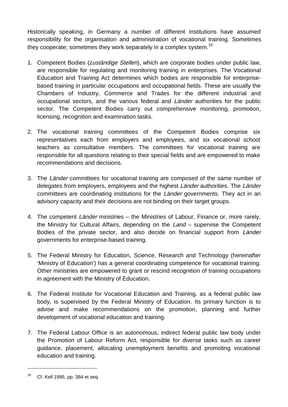Historically speaking, in Germany a number of different institutions have assumed responsibility for the organisation and administration of vocational training. Sometimes they cooperate; sometimes they work separately in a complex system.<sup>18</sup>

- 1. Competent Bodies (zuständige Stellen), which are corporate bodies under public law, are responsible for regulating and monitoring training in enterprises. The Vocational Education and Training Act determines which bodies are responsible for enterprisebased training in particular occupations and occupational fields. These are usually the Chambers of Industry, Commerce and Trades for the different industrial and occupational sectors, and the various federal and Länder authorities for the public sector. The Competent Bodies carry out comprehensive monitoring, promotion, licensing, recognition and examination tasks.
- 2. The vocational training committees of the Competent Bodies comprise six representatives each from employers and employees, and six vocational school teachers as consultative members. The committees for vocational training are responsible for all questions relating to their special fields and are empowered to make recommendations and decisions.
- 3. The Länder committees for vocational training are composed of the same number of delegates from employers, employees and the highest Länder authorities. The Länder committees are coordinating institutions for the Länder governments. They act in an advisory capacity and their decisions are not binding on their target groups.
- 4. The competent Länder ministries the Ministries of Labour, Finance or, more rarely, the Ministry for Cultural Affairs, depending on the Land – supervise the Competent Bodies of the private sector, and also decide on financial support from Länder governments for enterprise-based training.
- 5. The Federal Ministry for Education, Science, Research and Technology (hereinafter 'Ministry of Education') has a general coordinating competence for vocational training. Other ministries are empowered to grant or rescind recognition of training occupations in agreement with the Ministry of Education.
- 6. The Federal Institute for Vocational Education and Training, as a federal public law body, is supervised by the Federal Ministry of Education. Its primary function is to advise and make recommendations on the promotion, planning and further development of vocational education and training.
- 7. The Federal Labour Office is an autonomous, indirect federal public law body under the Promotion of Labour Reform Act, responsible for diverse tasks such as career guidance, placement, allocating unemployment benefits and promoting vocational education and training.

 $18$  Cf. Kell 1995, pp. 384 et seq.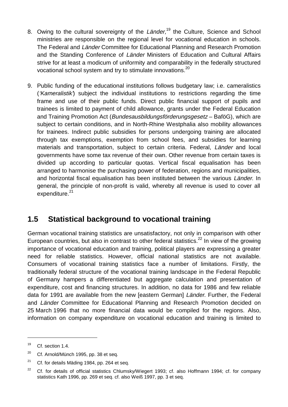- <span id="page-20-0"></span>8. Owing to the cultural sovereignty of the Länder,<sup>19</sup> the Culture, Science and School ministries are responsible on the regional level for vocational education in schools. The Federal and Länder Committee for Educational Planning and Research Promotion and the Standing Conference of Länder Ministers of Education and Cultural Affairs strive for at least a modicum of uniformity and comparability in the federally structured vocational school system and try to stimulate innovations.<sup>20</sup>
- 9. Public funding of the educational institutions follows budgetary law; i.e. cameralistics ('Kameralistik') subject the individual institutions to restrictions regarding the time frame and use of their public funds. Direct public financial support of pupils and trainees is limited to payment of child allowance, grants under the Federal Education and Training Promotion Act (*Bundesausbildungsförderungsgesetz* – BaföG), which are subject to certain conditions, and in North-Rhine Westphalia also mobility allowances for trainees. Indirect public subsidies for persons undergoing training are allocated through tax exemptions, exemption from school fees, and subsidies for learning materials and transportation, subject to certain criteria. Federal, Länder and local governments have some tax revenue of their own. Other revenue from certain taxes is divided up according to particular quotas. Vertical fiscal equalisation has been arranged to harmonise the purchasing power of federation, regions and municipalities, and horizontal fiscal equalisation has been instituted between the various Länder. In general, the principle of non-profit is valid, whereby all revenue is used to cover all expenditure.<sup>21</sup>

### **1.5 Statistical background to vocational training**

German vocational training statistics are unsatisfactory, not only in comparison with other European countries, but also in contrast to other federal statistics.<sup>22</sup> In view of the growing importance of vocational education and training, political players are expressing a greater need for reliable statistics. However, official national statistics are not available. Consumers of vocational training statistics face a number of limitations. Firstly, the traditionally federal structure of the vocational training landscape in the Federal Republic of Germany hampers a differentiated but aggregate calculation and presentation of expenditure, cost and financing structures. In addition, no data for 1986 and few reliable data for 1991 are available from the new [eastern German] Länder. Further, the Federal and Länder Committee for Educational Planning and Research Promotion decided on 25 March 1996 that no more financial data would be compiled for the regions. Also, information on company expenditure on vocational education and training is limited to

 $19$  Cf. section 1.4.

 $20$  Cf. Arnold/Münch 1995, pp. 38 et seq.

 $21$  Cf. for details Mäding 1984, pp. 264 et seq.

 $22$  Cf. for details of official statistics Chlumsky/Wiegert 1993; cf. also Hoffmann 1994; cf. for company statistics Kath 1996, pp. 269 et seq. cf. also Weiß 1997, pp. 3 et seq.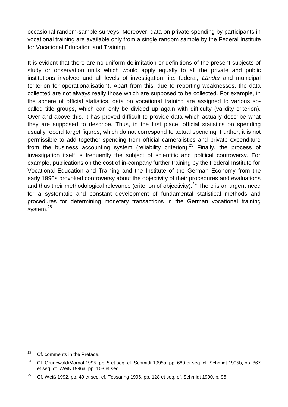occasional random-sample surveys. Moreover, data on private spending by participants in vocational training are available only from a single random sample by the Federal Institute for Vocational Education and Training.

It is evident that there are no uniform delimitation or definitions of the present subjects of study or observation units which would apply equally to all the private and public institutions involved and all levels of investigation, i.e. federal, *Länder* and municipal (criterion for operationalisation). Apart from this, due to reporting weaknesses, the data collected are not always really those which are supposed to be collected. For example, in the sphere of official statistics, data on vocational training are assigned to various socalled title groups, which can only be divided up again with difficulty (validity criterion). Over and above this, it has proved difficult to provide data which actually describe what they are supposed to describe. Thus, in the first place, official statistics on spending usually record target figures, which do not correspond to actual spending. Further, it is not permissible to add together spending from official cameralistics and private expenditure from the business accounting system (reliability criterion).<sup>23</sup> Finally, the process of investigation itself is frequently the subject of scientific and political controversy. For example, publications on the cost of in-company further training by the Federal Institute for Vocational Education and Training and the Institute of the German Economy from the early 1990s provoked controversy about the objectivity of their procedures and evaluations and thus their methodological relevance (criterion of objectivity). $24$  There is an urgent need for a systematic and constant development of fundamental statistical methods and procedures for determining monetary transactions in the German vocational training system.<sup>25</sup>

 $23$  Cf. comments in the Preface.

<sup>&</sup>lt;sup>24</sup> Cf. Grünewald/Moraal 1995, pp. 5 et seg. cf. Schmidt 1995a, pp. 680 et seg. cf. Schmidt 1995b, pp. 867 et seq. cf. Weiß 1996a, pp. 103 et seq.

 $25$  Cf. Weiß 1992, pp. 49 et seq. cf. Tessaring 1996, pp. 128 et seq. cf. Schmidt 1990, p. 96.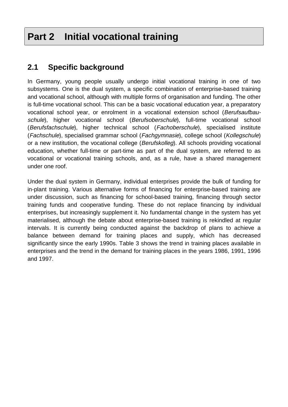## <span id="page-22-0"></span>**Part 2 Initial vocational training**

### **2.1 Specific background**

In Germany, young people usually undergo initial vocational training in one of two subsystems. One is the dual system, a specific combination of enterprise-based training and vocational school, although with multiple forms of organisation and funding. The other is full-time vocational school. This can be a basic vocational education year, a preparatory vocational school year, or enrolment in a vocational extension school (Berufsaufbauschule), higher vocational school (Berufsoberschule), full-time vocational school (Berufsfachschule), higher technical school (Fachoberschule), specialised institute (Fachschule), specialised grammar school (Fachgymnasie), college school (Kollegschule) or a new institution, the vocational college (Berufskolleg). All schools providing vocational education, whether full-time or part-time as part of the dual system, are referred to as vocational or vocational training schools, and, as a rule, have a shared management under one roof.

Under the dual system in Germany, individual enterprises provide the bulk of funding for in-plant training. Various alternative forms of financing for enterprise-based training are under discussion, such as financing for school-based training, financing through sector training funds and cooperative funding. These do not replace financing by individual enterprises, but increasingly supplement it. No fundamental change in the system has yet materialised, although the debate about enterprise-based training is rekindled at regular intervals. It is currently being conducted against the backdrop of plans to achieve a balance between demand for training places and supply, which has decreased significantly since the early 1990s. Table 3 shows the trend in training places available in enterprises and the trend in the demand for training places in the years 1986, 1991, 1996 and 1997.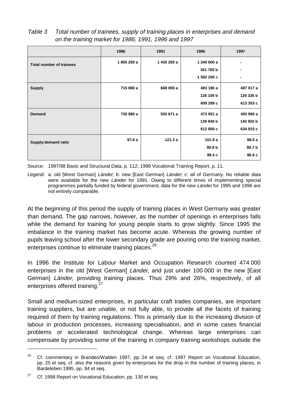<span id="page-23-0"></span>

| Table 3 | Total number of trainees, supply of training places in enterprises and demand |
|---------|-------------------------------------------------------------------------------|
|         | on the training market for 1986, 1991, 1996 and 1997                          |

|                                 | 1986       | 1991        | 1996              | 1997      |
|---------------------------------|------------|-------------|-------------------|-----------|
| <b>Total number of trainees</b> | 1805 200 a | 1 430 200 a | 1 240 600 a       |           |
|                                 |            |             | 351 700 b         |           |
|                                 |            |             | 1 592 200 c       | ٠         |
| <b>Supply</b>                   | 715 880 a  | 668 000 a   | 483 180 a         | 487 017 a |
|                                 |            |             | 126 109 b         | 126 336 b |
|                                 |            |             | 609 289 c         | 613 353 c |
| <b>Demand</b>                   | 730 980 a  | 550 671 a   | 473 951 a         | 493 990 a |
|                                 |            |             | 138 849 b         | 140 920 b |
|                                 |            |             | 612 800 c         | 634 910 c |
| Supply: demand ratio            | 97.8a      | 121.3a      | 101.9a            | 98.6a     |
|                                 |            |             | 90.8 <sub>b</sub> | 89.7 b    |
|                                 |            |             | 99.4 c            | 96.6c     |

Source: 1997/98 Basic and Structural Data, p. 112; 1998 Vocational Training Report, p. 11.

Legend: a: old [West German] Länder; b: new [East German] Länder; c: all of Germany. No reliable data were available for the new Länder for 1991. Owing to different times of implementing special programmes partially funded by federal government, data for the new Länder for 1995 and 1996 are not entirely comparable.

At the beginning of this period the supply of training places in West Germany was greater than demand. The gap narrows, however, as the number of openings in enterprises falls while the demand for training for young people starts to grow slightly. Since 1995 the imbalance in the training market has become acute. Whereas the growing number of pupils leaving school after the lower secondary grade are pouring onto the training market, enterprises continue to eliminate training places.<sup>26</sup>

In 1996 the Institute for Labour Market and Occupation Research counted 474 000 enterprises in the old [West German] Länder, and just under 100 000 in the new [East German] Länder, providing training places. Thus 29% and 26%, respectively, of all enterprises offered training.<sup>27</sup>

Small and medium-sized enterprises, in particular craft trades companies, are important training suppliers, but are unable, or not fully able, to provide all the facets of training required of them by training regulations. This is primarily due to the increasing division of labour in production processes, increasing specialisation, and in some cases financial problems or accelerated technological change. Whereas large enterprises can compensate by providing some of the training in company training workshops outside the

 $\overline{a}$ 

<sup>&</sup>lt;sup>26</sup> Cf. commentary in Brandes/Walden 1997, pp. 24 et seq. cf. 1997 Report on Vocational Education, pp. 25 et seq. cf. also the reasons given by enterprises for the drop in the number of training places, in Bardeleben 1995, pp. 84 et seq.

 $27$  Cf. 1998 Report on Vocational Education, pp. 130 et seq.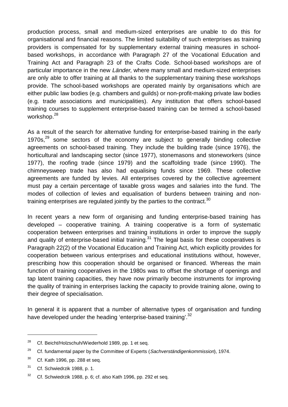production process, small and medium-sized enterprises are unable to do this for organisational and financial reasons. The limited suitability of such enterprises as training providers is compensated for by supplementary external training measures in schoolbased workshops, in accordance with Paragraph 27 of the Vocational Education and Training Act and Paragraph 23 of the Crafts Code. School-based workshops are of particular importance in the new Länder, where many small and medium-sized enterprises are only able to offer training at all thanks to the supplementary training these workshops provide. The school-based workshops are operated mainly by organisations which are either public law bodies (e.g. chambers and guilds) or non-profit-making private law bodies (e.g. trade associations and municipalities). Any institution that offers school-based training courses to supplement enterprise-based training can be termed a school-based workshop.<sup>28</sup>

As a result of the search for alternative funding for enterprise-based training in the early 1970s, $29$  some sectors of the economy are subject to generally binding collective agreements on school-based training. They include the building trade (since 1976), the horticultural and landscaping sector (since 1977), stonemasons and stoneworkers (since 1977), the roofing trade (since 1979) and the scaffolding trade (since 1990). The chimneysweep trade has also had equalising funds since 1969. These collective agreements are funded by levies. All enterprises covered by the collective agreement must pay a certain percentage of taxable gross wages and salaries into the fund. The modes of collection of levies and equalisation of burdens between training and nontraining enterprises are regulated jointly by the parties to the contract.<sup>30</sup>

In recent years a new form of organising and funding enterprise-based training has developed – cooperative training. A training cooperative is a form of systematic cooperation between enterprises and training institutions in order to improve the supply and quality of enterprise-based initial training. $31$  The legal basis for these cooperatives is Paragraph 22(2) of the Vocational Education and Training Act, which explicitly provides for cooperation between various enterprises and educational institutions without, however, prescribing how this cooperation should be organised or financed. Whereas the main function of training cooperatives in the 1980s was to offset the shortage of openings and tap latent training capacities, they have now primarily become instruments for improving the quality of training in enterprises lacking the capacity to provide training alone, owing to their degree of specialisation.

In general it is apparent that a number of alternative types of organisation and funding have developed under the heading 'enterprise-based training'.<sup>32</sup>

<sup>&</sup>lt;sup>28</sup> Cf. Beicht/Holzschuh/Wiederhold 1989, pp. 1 et seq.

<sup>&</sup>lt;sup>29</sup> Cf. fundamental paper by the Committee of Experts (Sachverständigenkommission), 1974.

 $30$  Cf. Kath 1996, pp. 288 et seq.

<sup>31</sup> Cf. Schwiedrzik 1988, p. 1.

 $32$  Cf. Schwiedrzik 1988, p. 6; cf. also Kath 1996, pp. 292 et seq.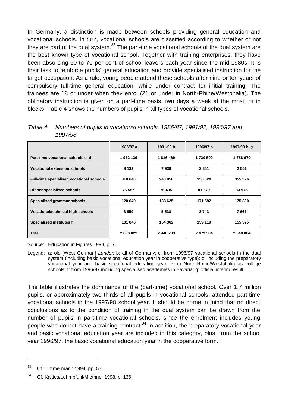<span id="page-25-0"></span>In Germany, a distinction is made between schools providing general education and vocational schools. In turn, vocational schools are classified according to whether or not they are part of the dual system. $^{33}$  The part-time vocational schools of the dual system are the best known type of vocational school. Together with training enterprises, they have been absorbing 60 to 70 per cent of school-leavers each year since the mid-1980s. It is their task to reinforce pupils' general education and provide specialised instruction for the target occupation. As a rule, young people attend these schools after nine or ten years of compulsory full-time general education, while under contract for initial training. The trainees are 18 or under when they enrol (21 or under in North-Rhine/Westphalia). The obligatory instruction is given on a part-time basis, two days a week at the most, or in blocks. Table 4 shows the numbers of pupils in all types of vocational schools.

| Table 4 | Numbers of pupils in vocational schools, 1986/87, 1991/92, 1996/97 and |  |  |
|---------|------------------------------------------------------------------------|--|--|
|         | 1997/98                                                                |  |  |

|                                          | 1986/87 a | 1991/92 b | 1996/97 b | 1997/98 b. q |
|------------------------------------------|-----------|-----------|-----------|--------------|
| Part-time vocational schools c, d        | 1972139   | 1816469   | 1730 590  | 1758970      |
| <b>Vocational extension schools</b>      | 8 1 3 2   | 7938      | 2851      | 2 5 5 1      |
| Full-time specialised vocational schools | 318 640   | 248 856   | 330 020   | 355 376      |
| <b>Higher specialised schools</b>        | 75 557    | 76 495    | 81 679    | 83 975       |
| Specialised grammar schools              | 120 649   | 138 625   | 171 582   | 175 890      |
| Vocational/technical high schools        | 3859      | 5 5 3 8   | 3743      | 7667         |
| <b>Specialised institutes f</b>          | 101 846   | 154 362   | 159 119   | 155 575      |
| <b>Total</b>                             | 2 600 822 | 2 448 283 | 2 479 584 | 2 540 004    |

Source: Education in Figures 1998, p. 76.

Legend: a: old IWest German] Länder; b: all of Germany; c: from 1996/97 vocational schools in the dual system (including basic vocational education year in cooperative type); d: including the preparatory vocational year and basic vocational education year; e: in North-Rhine/Westphalia as college schools; f: from 1996/97 including specialised academies in Bavaria; g: official interim result.

The table illustrates the dominance of the (part-time) vocational school. Over 1.7 million pupils, or approximately two thirds of all pupils in vocational schools, attended part-time vocational schools in the 1997/98 school year. It should be borne in mind that no direct conclusions as to the condition of training in the dual system can be drawn from the number of pupils in part-time vocational schools, since the enrolment includes young people who do not have a training contract.<sup>34</sup> In addition, the preparatory vocational year and basic vocational education year are included in this category, plus, from the school year 1996/97, the basic vocational education year in the cooperative form.

 $33$  Cf. Timmermann 1994, pp. 57.

<sup>34</sup> Cf. Kakies/Lehmpfuhl/Miethner 1998, p. 136.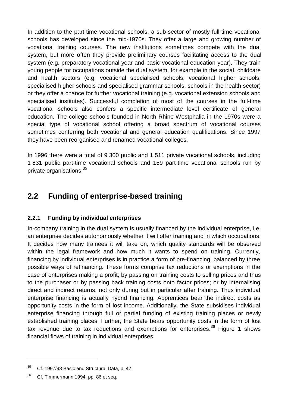<span id="page-26-0"></span>In addition to the part-time vocational schools, a sub-sector of mostly full-time vocational schools has developed since the mid-1970s. They offer a large and growing number of vocational training courses. The new institutions sometimes compete with the dual system, but more often they provide preliminary courses facilitating access to the dual system (e.g. preparatory vocational year and basic vocational education year). They train young people for occupations outside the dual system, for example in the social, childcare and health sectors (e.g. vocational specialised schools, vocational higher schools, specialised higher schools and specialised grammar schools, schools in the health sector) or they offer a chance for further vocational training (e.g. vocational extension schools and specialised institutes). Successful completion of most of the courses in the full-time vocational schools also confers a specific intermediate level certificate of general education. The college schools founded in North Rhine-Westphalia in the 1970s were a special type of vocational school offering a broad spectrum of vocational courses sometimes conferring both vocational and general education qualifications. Since 1997 they have been reorganised and renamed vocational colleges.

In 1996 there were a total of 9 300 public and 1 511 private vocational schools, including 1 831 public part-time vocational schools and 159 part-time vocational schools run by private organisations.<sup>35</sup>

## **2.2 Funding of enterprise-based training**

### **2.2.1 Funding by individual enterprises**

In-company training in the dual system is usually financed by the individual enterprise, i.e. an enterprise decides autonomously whether it will offer training and in which occupations. It decides how many trainees it will take on, which quality standards will be observed within the legal framework and how much it wants to spend on training. Currently, financing by individual enterprises is in practice a form of pre-financing, balanced by three possible ways of refinancing. These forms comprise tax reductions or exemptions in the case of enterprises making a profit; by passing on training costs to selling prices and thus to the purchaser or by passing back training costs onto factor prices; or by internalising direct and indirect returns, not only during but in particular after training. Thus individual enterprise financing is actually hybrid financing. Apprentices bear the indirect costs as opportunity costs in the form of lost income. Additionally, the State subsidises individual enterprise financing through full or partial funding of existing training places or newly established training places. Further, the State bears opportunity costs in the form of lost tax revenue due to tax reductions and exemptions for enterprises.<sup>36</sup> Figure 1 shows financial flows of training in individual enterprises.

 $35$  Cf. 1997/98 Basic and Structural Data, p. 47.

<sup>&</sup>lt;sup>36</sup> Cf. Timmermann 1994, pp. 86 et seq.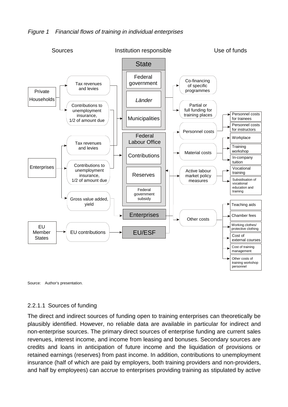<span id="page-27-0"></span>



#### 2.2.1.1 Sources of funding

The direct and indirect sources of funding open to training enterprises can theoretically be plausibly identified. However, no reliable data are available in particular for indirect and non-enterprise sources. The primary direct sources of enterprise funding are current sales revenues, interest income, and income from leasing and bonuses. Secondary sources are credits and loans in anticipation of future income and the liquidation of provisions or retained earnings (reserves) from past income. In addition, contributions to unemployment insurance (half of which are paid by employers, both training providers and non-providers, and half by employees) can accrue to enterprises providing training as stipulated by active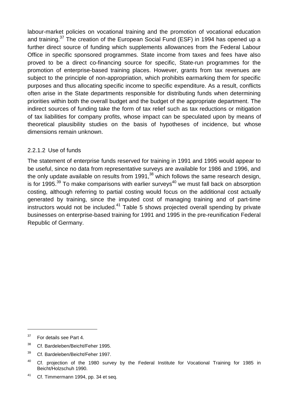<span id="page-28-0"></span>labour-market policies on vocational training and the promotion of vocational education and training.<sup>37</sup> The creation of the European Social Fund (ESF) in 1994 has opened up a further direct source of funding which supplements allowances from the Federal Labour Office in specific sponsored programmes. State income from taxes and fees have also proved to be a direct co-financing source for specific, State-run programmes for the promotion of enterprise-based training places. However, grants from tax revenues are subject to the principle of non-appropriation, which prohibits earmarking them for specific purposes and thus allocating specific income to specific expenditure. As a result, conflicts often arise in the State departments responsible for distributing funds when determining priorities within both the overall budget and the budget of the appropriate department. The indirect sources of funding take the form of tax relief such as tax reductions or mitigation of tax liabilities for company profits, whose impact can be speculated upon by means of theoretical plausibility studies on the basis of hypotheses of incidence, but whose dimensions remain unknown.

#### 2.2.1.2 Use of funds

The statement of enterprise funds reserved for training in 1991 and 1995 would appear to be useful, since no data from representative surveys are available for 1986 and 1996, and the only update available on results from  $1991<sup>38</sup>$  which follows the same research design, is for 1995.<sup>39</sup> To make comparisons with earlier surveys<sup>40</sup> we must fall back on absorption costing, although referring to partial costing would focus on the additional cost actually generated by training, since the imputed cost of managing training and of part-time instructors would not be included. $41$  Table 5 shows projected overall spending by private businesses on enterprise-based training for 1991 and 1995 in the pre-reunification Federal Republic of Germany.

<sup>&</sup>lt;sup>37</sup> For details see Part 4.

<sup>&</sup>lt;sup>38</sup> Cf. Bardeleben/Beicht/Feher 1995.

<sup>39</sup> Cf. Bardeleben/Beicht/Feher 1997.

<sup>&</sup>lt;sup>40</sup> Cf. projection of the 1980 survey by the Federal Institute for Vocational Training for 1985 in Beicht/Holzschuh 1990.

<sup>&</sup>lt;sup>41</sup> Cf. Timmermann 1994, pp. 34 et seq.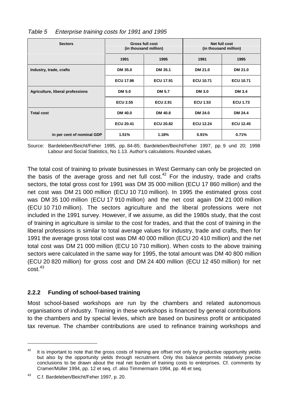| <b>Sectors</b>                   | <b>Gross full cost</b><br>(in thousand million) |                  | Net full cost<br>(in thousand million) |                  |
|----------------------------------|-------------------------------------------------|------------------|----------------------------------------|------------------|
|                                  | 1991                                            | 1995             | 1991                                   | 1995             |
| Industry, trade, crafts          | <b>DM 35.0</b>                                  | DM 35.1          | DM 21.0                                | DM 21.0          |
|                                  | <b>ECU 17.86</b>                                | <b>ECU 17.91</b> | <b>ECU 10.71</b>                       | <b>ECU 10.71</b> |
| Agriculture, liberal professions | <b>DM 5.0</b>                                   | <b>DM 5.7</b>    | <b>DM 3.0</b>                          | <b>DM 3.4</b>    |
|                                  | <b>ECU 2.55</b>                                 | <b>ECU 2.91</b>  | <b>ECU 1.53</b>                        | <b>ECU 1.73</b>  |
| <b>Total cost</b>                | <b>DM 40.0</b>                                  | <b>DM 40.8</b>   | DM 24.0                                | DM 24.4          |
|                                  | <b>ECU 20.41</b>                                | <b>ECU 20.82</b> | <b>ECU 12.24</b>                       | <b>ECU 12.45</b> |
| in per cent of nominal GDP       | 1.51%                                           | 1.18%            | 0.91%                                  | 0.71%            |

### <span id="page-29-0"></span>Table 5 Enterprise training costs for 1991 and 1995

Source: Bardeleben/Beicht/Feher 1995, pp. 84-85; Bardeleben/Beicht/Feher 1997, pp. 9 und 20; 1998 Labour and Social Statistics, No 1.13. Author's calculations. Rounded values.

The total cost of training to private businesses in West Germany can only be projected on the basis of the average gross and net full cost.<sup>42</sup> For the industry, trade and crafts sectors, the total gross cost for 1991 was DM 35 000 million (ECU 17 860 million) and the net cost was DM 21 000 million (ECU 10 710 million). In 1995 the estimated gross cost was DM 35 100 million (ECU 17 910 million) and the net cost again DM 21 000 million (ECU 10 710 million). The sectors agriculture and the liberal professions were not included in the 1991 survey. However, if we assume, as did the 1980s study, that the cost of training in agriculture is similar to the cost for trades, and that the cost of training in the liberal professions is similar to total average values for industry, trade and crafts, then for 1991 the average gross total cost was DM 40 000 million (ECU 20 410 million) and the net total cost was DM 21 000 million (ECU 10 710 million). When costs to the above training sectors were calculated in the same way for 1995, the total amount was DM 40 800 million (ECU 20 820 million) for gross cost and DM 24 400 million (ECU 12 450 million) for net  $\text{cost}^{43}$ 

#### **2.2.2 Funding of school-based training**

Most school-based workshops are run by the chambers and related autonomous organisations of industry. Training in these workshops is financed by general contributions to the chambers and by special levies, which are based on business profit or anticipated tax revenue. The chamber contributions are used to refinance training workshops and

 $42$  It is important to note that the gross costs of training are offset not only by productive opportunity yields but also by the opportunity yields through recruitment. Only this balance permits relatively precise conclusions to be drawn about the real net burden of training costs to enterprises. Cf. comments by Cramer/Müller 1994, pp. 12 et seq. cf. also Timmermann 1994, pp. 46 et seq.

<sup>43</sup> C.f. Bardeleben/Beicht/Feher 1997, p. 20.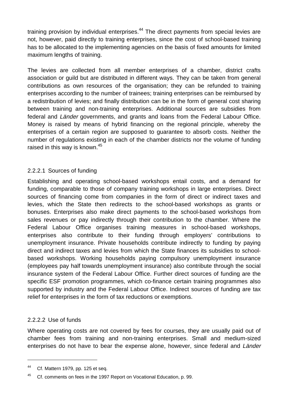<span id="page-30-0"></span>training provision by individual enterprises. $44$  The direct payments from special levies are not, however, paid directly to training enterprises, since the cost of school-based training has to be allocated to the implementing agencies on the basis of fixed amounts for limited maximum lengths of training.

The levies are collected from all member enterprises of a chamber, district crafts association or guild but are distributed in different ways. They can be taken from general contributions as own resources of the organisation; they can be refunded to training enterprises according to the number of trainees; training enterprises can be reimbursed by a redistribution of levies; and finally distribution can be in the form of general cost sharing between training and non-training enterprises. Additional sources are subsidies from federal and Länder governments, and grants and loans from the Federal Labour Office. Money is raised by means of hybrid financing on the regional principle, whereby the enterprises of a certain region are supposed to guarantee to absorb costs. Neither the number of regulations existing in each of the chamber districts nor the volume of funding raised in this way is known.<sup>45</sup>

#### 2.2.2.1 Sources of funding

Establishing and operating school-based workshops entail costs, and a demand for funding, comparable to those of company training workshops in large enterprises. Direct sources of financing come from companies in the form of direct or indirect taxes and levies, which the State then redirects to the school-based workshops as grants or bonuses. Enterprises also make direct payments to the school-based workshops from sales revenues or pay indirectly through their contribution to the chamber. Where the Federal Labour Office organises training measures in school-based workshops, enterprises also contribute to their funding through employers' contributions to unemployment insurance. Private households contribute indirectly to funding by paying direct and indirect taxes and levies from which the State finances its subsidies to schoolbased workshops. Working households paying compulsory unemployment insurance (employees pay half towards unemployment insurance) also contribute through the social insurance system of the Federal Labour Office. Further direct sources of funding are the specific ESF promotion programmes, which co-finance certain training programmes also supported by industry and the Federal Labour Office. Indirect sources of funding are tax relief for enterprises in the form of tax reductions or exemptions.

#### 2.2.2.2 Use of funds

1

Where operating costs are not covered by fees for courses, they are usually paid out of chamber fees from training and non-training enterprises. Small and medium-sized enterprises do not have to bear the expense alone, however, since federal and Länder

<sup>&</sup>lt;sup>44</sup> Cf. Mattern 1979, pp. 125 et seq.

<sup>&</sup>lt;sup>45</sup> Cf. comments on fees in the 1997 Report on Vocational Education, p. 99.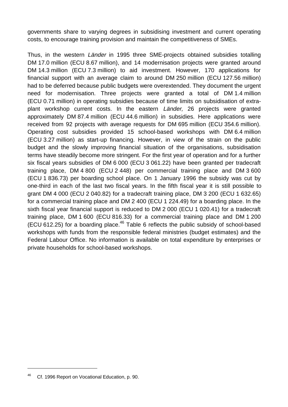governments share to varying degrees in subsidising investment and current operating costs, to encourage training provision and maintain the competitiveness of SMEs.

Thus, in the western Länder in 1995 three SME-projects obtained subsidies totalling DM 17.0 million (ECU 8.67 million), and 14 modernisation projects were granted around DM 14.3 million (ECU 7.3 million) to aid investment. However, 170 applications for financial support with an average claim to around DM 250 million (ECU 127.56 million) had to be deferred because public budgets were overextended. They document the urgent need for modernisation. Three projects were granted a total of DM 1.4 million (ECU 0.71 million) in operating subsidies because of time limits on subsidisation of extraplant workshop current costs. In the eastern Länder, 26 projects were granted approximately DM 87.4 million (ECU 44.6 million) in subsidies. Here applications were received from 92 projects with average requests for DM 695 million (ECU 354.6 million). Operating cost subsidies provided 15 school-based workshops with DM 6.4 million (ECU 3.27 million) as start-up financing. However, in view of the strain on the public budget and the slowly improving financial situation of the organisations, subsidisation terms have steadily become more stringent. For the first year of operation and for a further six fiscal years subsidies of DM 6 000 (ECU 3 061.22) have been granted per tradecraft training place, DM 4 800 (ECU 2 448) per commercial training place and DM 3 600 (ECU 1 836.73) per boarding school place. On 1 January 1996 the subsidy was cut by one-third in each of the last two fiscal years. In the fifth fiscal year it is still possible to grant DM 4 000 (ECU 2 040.82) for a tradecraft training place, DM 3 200 (ECU 1 632.65) for a commercial training place and DM 2 400 (ECU 1 224.49) for a boarding place. In the sixth fiscal year financial support is reduced to DM 2 000 (ECU 1 020.41) for a tradecraft training place, DM 1 600 (ECU 816.33) for a commercial training place and DM 1 200 (ECU 612.25) for a boarding place. $46$  Table 6 reflects the public subsidy of school-based workshops with funds from the responsible federal ministries (budget estimates) and the Federal Labour Office. No information is available on total expenditure by enterprises or private households for school-based workshops.

<sup>46</sup> Cf. 1996 Report on Vocational Education, p. 90.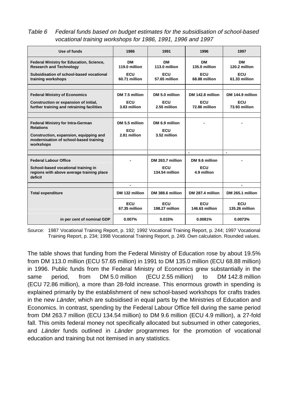<span id="page-32-0"></span>Table 6 Federal funds based on budget estimates for the subsidisation of school-based vocational training workshops for 1986, 1991, 1996 and 1997

| Use of funds                                                                                                                                                  | 1986                                         | 1991                                         | 1996                                 | 1997                  |
|---------------------------------------------------------------------------------------------------------------------------------------------------------------|----------------------------------------------|----------------------------------------------|--------------------------------------|-----------------------|
| <b>Federal Ministry for Education, Science,</b><br><b>Research and Technology</b>                                                                             | <b>DM</b><br>119.0 million                   | <b>DM</b><br>113.0 million                   | <b>DM</b><br>135.0 million           | DМ<br>120.2 million   |
| Subsidisation of school-based vocational<br>training workshops                                                                                                | ECU<br>60.71 million                         | ECU<br>57.65 million                         | ECU<br>68.88 million                 | ECU<br>61.33 million  |
|                                                                                                                                                               |                                              |                                              |                                      |                       |
| <b>Federal Ministry of Economics</b>                                                                                                                          | DM 7.5 million                               | DM 5.0 million                               | DM 142.8 million                     | DM 144.9 million      |
| Construction or expansion of initial,<br>further training and retraining facilities                                                                           | <b>ECU</b><br>3.83 million                   | <b>ECU</b><br>2.55 million                   | ECU<br>72.86 million                 | ECU<br>73.93 million  |
|                                                                                                                                                               |                                              |                                              |                                      |                       |
| <b>Federal Ministry for Intra-German</b><br><b>Relations</b><br>Construction, expansion, equipping and<br>modernisation of school-based training<br>workshops | DM 5.5 million<br><b>ECU</b><br>2.81 million | DM 6.9 million<br><b>ECU</b><br>3.52 million |                                      |                       |
|                                                                                                                                                               |                                              |                                              | $\blacksquare$                       | $\blacksquare$        |
| <b>Federal Labour Office</b><br>School-based vocational training in<br>regions with above average training place<br>deficit                                   |                                              | DM 263.7 million<br>ECU<br>134.54 million    | DM 9.6 million<br>ECU<br>4.9 million |                       |
|                                                                                                                                                               | $\blacksquare$                               |                                              |                                      | $\blacksquare$        |
| <b>Total expenditure</b>                                                                                                                                      | DM 132 million                               | DM 388.6 million                             | DM 287.4 million                     | DM 265.1 million      |
|                                                                                                                                                               | <b>ECU</b><br>67.35 million                  | <b>ECU</b><br>198.27 million                 | <b>ECU</b><br>146.63 million         | ECU<br>135.26 million |
| in per cent of nominal GDP                                                                                                                                    | 0.007%                                       | 0.015%                                       | 0.0081%                              | 0.0073%               |

Source: 1987 Vocational Training Report, p. 192; 1992 Vocational Training Report, p. 244; 1997 Vocational Training Report, p. 234; 1998 Vocational Training Report, p. 249. Own calculation. Rounded values.

The table shows that funding from the Federal Ministry of Education rose by about 19.5% from DM 113.0 million (ECU 57.65 million) in 1991 to DM 135.0 million (ECU 68.88 million) in 1996. Public funds from the Federal Ministry of Economics grew substantially in the same period, from DM 5.0 million (ECU 2.55 million) to DM 142.8 million (ECU 72.86 million), a more than 28-fold increase. This enormous growth in spending is explained primarily by the establishment of new school-based workshops for crafts trades in the new Länder, which are subsidised in equal parts by the Ministries of Education and Economics. In contrast, spending by the Federal Labour Office fell during the same period from DM 263.7 million (ECU 134.54 million) to DM 9.6 million (ECU 4.9 million), a 27-fold fall. This omits federal money not specifically allocated but subsumed in other categories, and Länder funds outlined in Länder programmes for the promotion of vocational education and training but not itemised in any statistics.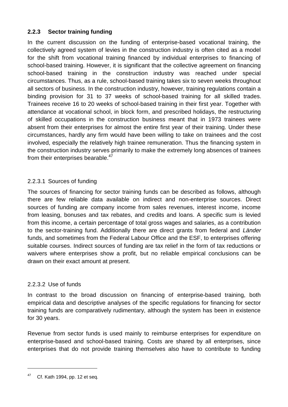### <span id="page-33-0"></span>**2.2.3 Sector training funding**

In the current discussion on the funding of enterprise-based vocational training, the collectively agreed system of levies in the construction industry is often cited as a model for the shift from vocational training financed by individual enterprises to financing of school-based training. However, it is significant that the collective agreement on financing school-based training in the construction industry was reached under special circumstances. Thus, as a rule, school-based training takes six to seven weeks throughout all sectors of business. In the construction industry, however, training regulations contain a binding provision for 31 to 37 weeks of school-based training for all skilled trades. Trainees receive 16 to 20 weeks of school-based training in their first year. Together with attendance at vocational school, in block form, and prescribed holidays, the restructuring of skilled occupations in the construction business meant that in 1973 trainees were absent from their enterprises for almost the entire first year of their training. Under these circumstances, hardly any firm would have been willing to take on trainees and the cost involved, especially the relatively high trainee remuneration. Thus the financing system in the construction industry serves primarily to make the extremely long absences of trainees from their enterprises bearable.<sup>47</sup>

### 2.2.3.1 Sources of funding

The sources of financing for sector training funds can be described as follows, although there are few reliable data available on indirect and non-enterprise sources. Direct sources of funding are company income from sales revenues, interest income, income from leasing, bonuses and tax rebates, and credits and loans. A specific sum is levied from this income, a certain percentage of total gross wages and salaries, as a contribution to the sector-training fund. Additionally there are direct grants from federal and Länder funds, and sometimes from the Federal Labour Office and the ESF, to enterprises offering suitable courses. Indirect sources of funding are tax relief in the form of tax reductions or waivers where enterprises show a profit, but no reliable empirical conclusions can be drawn on their exact amount at present.

#### 2.2.3.2 Use of funds

In contrast to the broad discussion on financing of enterprise-based training, both empirical data and descriptive analyses of the specific regulations for financing for sector training funds are comparatively rudimentary, although the system has been in existence for 30 years.

Revenue from sector funds is used mainly to reimburse enterprises for expenditure on enterprise-based and school-based training. Costs are shared by all enterprises, since enterprises that do not provide training themselves also have to contribute to funding

Cf. Kath 1994, pp. 12 et seq.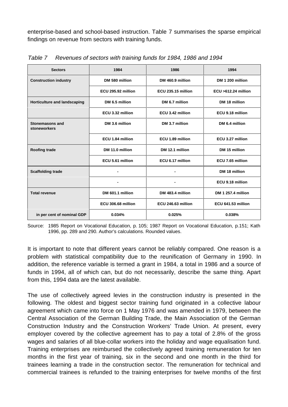<span id="page-34-0"></span>enterprise-based and school-based instruction. Table 7 summarises the sparse empirical findings on revenue from sectors with training funds.

| <b>Sectors</b>                         | 1984               | 1986               | 1994                   |  |
|----------------------------------------|--------------------|--------------------|------------------------|--|
| <b>Construction industry</b>           | DM 580 million     | DM 460.9 million   | DM 1 200 million       |  |
|                                        | ECU 295.92 million | ECU 235.15 million | $ECU > 612.24$ million |  |
| Horticulture and landscaping           | DM 6.5 million     | DM 6.7 million     | DM 18 million          |  |
|                                        | ECU 3.32 million   | ECU 3.42 million   | ECU 9.18 million       |  |
| <b>Stonemasons and</b><br>stoneworkers | DM 3.6 million     | DM 3.7 million     | DM 6.4 million         |  |
|                                        | ECU 1.84 million   | ECU 1.89 million   | ECU 3.27 million       |  |
| <b>Roofing trade</b>                   | DM 11.0 million    | DM 12.1 million    | DM 15 million          |  |
|                                        | ECU 5.61 million   | ECU 6.17 million   | ECU 7.65 million       |  |
| <b>Scaffolding trade</b>               |                    |                    | DM 18 million          |  |
|                                        |                    |                    | ECU 9.18 million       |  |
| <b>Total revenue</b>                   | DM 601.1 million   | DM 483.4 million   | DM 1 257.4 million     |  |
|                                        | ECU 306.68 million | ECU 246.63 million | ECU 641.53 million     |  |
| in per cent of nominal GDP             | 0.034%             | 0.025%             | 0.038%                 |  |

Table 7 Revenues of sectors with training funds for 1984, 1986 and 1994

Source: 1985 Report on Vocational Education, p. 105; 1987 Report on Vocational Education, p.151; Kath 1996, pp. 289 and 290. Author's calculations. Rounded values.

It is important to note that different years cannot be reliably compared. One reason is a problem with statistical compatibility due to the reunification of Germany in 1990. In addition, the reference variable is termed a grant in 1984, a total in 1986 and a source of funds in 1994, all of which can, but do not necessarily, describe the same thing. Apart from this, 1994 data are the latest available.

The use of collectively agreed levies in the construction industry is presented in the following. The oldest and biggest sector training fund originated in a collective labour agreement which came into force on 1 May 1976 and was amended in 1979, between the Central Association of the German Building Trade, the Main Association of the German Construction Industry and the Construction Workers' Trade Union. At present, every employer covered by the collective agreement has to pay a total of 2.8% of the gross wages and salaries of all blue-collar workers into the holiday and wage equalisation fund. Training enterprises are reimbursed the collectively agreed training remuneration for ten months in the first year of training, six in the second and one month in the third for trainees learning a trade in the construction sector. The remuneration for technical and commercial trainees is refunded to the training enterprises for twelve months of the first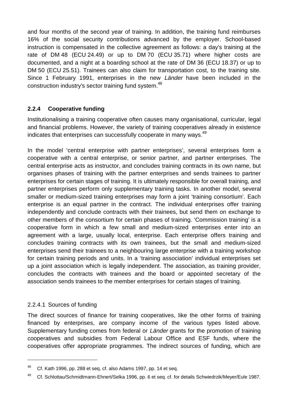<span id="page-35-0"></span>and four months of the second year of training. In addition, the training fund reimburses 16% of the social security contributions advanced by the employer. School-based instruction is compensated in the collective agreement as follows: a day's training at the rate of DM 48 (ECU 24.49) or up to DM 70 (ECU 35.71) where higher costs are documented, and a night at a boarding school at the rate of DM 36 (ECU 18.37) or up to DM 50 (ECU 25.51). Trainees can also claim for transportation cost, to the training site. Since 1 February 1991, enterprises in the new Länder have been included in the construction industry's sector training fund system.<sup>48</sup>

### **2.2.4 Cooperative funding**

Institutionalising a training cooperative often causes many organisational, curricular, legal and financial problems. However, the variety of training cooperatives already in existence indicates that enterprises can successfully cooperate in many ways.<sup>49</sup>

In the model 'central enterprise with partner enterprises', several enterprises form a cooperative with a central enterprise, or senior partner, and partner enterprises. The central enterprise acts as instructor, and concludes training contracts in its own name, but organises phases of training with the partner enterprises and sends trainees to partner enterprises for certain stages of training. It is ultimately responsible for overall training, and partner enterprises perform only supplementary training tasks. In another model, several smaller or medium-sized training enterprises may form a joint 'training consortium'. Each enterprise is an equal partner in the contract. The individual enterprises offer training independently and conclude contracts with their trainees, but send them on exchange to other members of the consortium for certain phases of training. 'Commission training' is a cooperative form in which a few small and medium-sized enterprises enter into an agreement with a large, usually local, enterprise. Each enterprise offers training and concludes training contracts with its own trainees, but the small and medium-sized enterprises send their trainees to a neighbouring large enterprise with a training workshop for certain training periods and units. In a 'training association' individual enterprises set up a joint association which is legally independent. The association, as training provider, concludes the contracts with trainees and the board or appointed secretary of the association sends trainees to the member enterprises for certain stages of training.

### 2.2.4.1 Sources of funding

1

The direct sources of finance for training cooperatives, like the other forms of training financed by enterprises, are company income of the various types listed above. Supplementary funding comes from federal or Länder grants for the promotion of training cooperatives and subsidies from Federal Labour Office and ESF funds, where the cooperatives offer appropriate programmes. The indirect sources of funding, which are

 $48$  Cf. Kath 1996, pp. 288 et seq. cf. also Adams 1997, pp. 14 et seq.

<sup>49</sup> Cf. Schlottau/Schmidtmann-Ehnert/Selka 1996, pp. 6 et seq. cf. for details Schwiedrzik/Meyer/Eule 1987.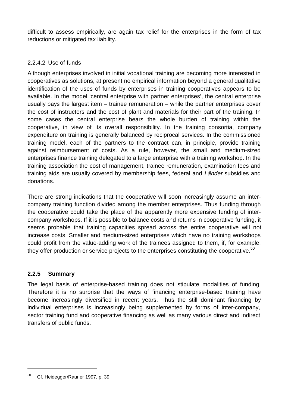difficult to assess empirically, are again tax relief for the enterprises in the form of tax reductions or mitigated tax liability.

#### 2.2.4.2 Use of funds

Although enterprises involved in initial vocational training are becoming more interested in cooperatives as solutions, at present no empirical information beyond a general qualitative identification of the uses of funds by enterprises in training cooperatives appears to be available. In the model 'central enterprise with partner enterprises', the central enterprise usually pays the largest item – trainee remuneration – while the partner enterprises cover the cost of instructors and the cost of plant and materials for their part of the training. In some cases the central enterprise bears the whole burden of training within the cooperative, in view of its overall responsibility. In the training consortia, company expenditure on training is generally balanced by reciprocal services. In the commissioned training model, each of the partners to the contract can, in principle, provide training against reimbursement of costs. As a rule, however, the small and medium-sized enterprises finance training delegated to a large enterprise with a training workshop. In the training association the cost of management, trainee remuneration, examination fees and training aids are usually covered by membership fees, federal and Länder subsidies and donations.

There are strong indications that the cooperative will soon increasingly assume an intercompany training function divided among the member enterprises. Thus funding through the cooperative could take the place of the apparently more expensive funding of intercompany workshops. If it is possible to balance costs and returns in cooperative funding, it seems probable that training capacities spread across the entire cooperative will not increase costs. Smaller and medium-sized enterprises which have no training workshops could profit from the value-adding work of the trainees assigned to them, if, for example, they offer production or service projects to the enterprises constituting the cooperative.<sup>50</sup>

#### **2.2.5 Summary**

<u>.</u>

The legal basis of enterprise-based training does not stipulate modalities of funding. Therefore it is no surprise that the ways of financing enterprise-based training have become increasingly diversified in recent years. Thus the still dominant financing by individual enterprises is increasingly being supplemented by forms of inter-company, sector training fund and cooperative financing as well as many various direct and indirect transfers of public funds.

<sup>&</sup>lt;sup>50</sup> Cf. Heidegger/Rauner 1997, p. 39.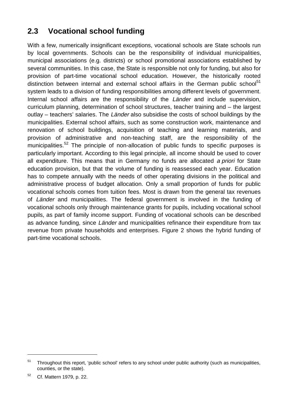## **2.3 Vocational school funding**

With a few, numerically insignificant exceptions, vocational schools are State schools run by local governments. Schools can be the responsibility of individual municipalities, municipal associations (e.g. districts) or school promotional associations established by several communities. In this case, the State is responsible not only for funding, but also for provision of part-time vocational school education. However, the historically rooted distinction between internal and external school affairs in the German public school<sup>51</sup> system leads to a division of funding responsibilities among different levels of government. Internal school affairs are the responsibility of the Länder and include supervision, curriculum planning, determination of school structures, teacher training and – the largest outlay – teachers' salaries. The Länder also subsidise the costs of school buildings by the municipalities. External school affairs, such as some construction work, maintenance and renovation of school buildings, acquisition of teaching and learning materials, and provision of administrative and non-teaching staff, are the responsibility of the municipalities.<sup>52</sup> The principle of non-allocation of public funds to specific purposes is particularly important. According to this legal principle, all income should be used to cover all expenditure. This means that in Germany no funds are allocated a priori for State education provision, but that the volume of funding is reassessed each year. Education has to compete annually with the needs of other operating divisions in the political and administrative process of budget allocation. Only a small proportion of funds for public vocational schools comes from tuition fees. Most is drawn from the general tax revenues of Länder and municipalities. The federal government is involved in the funding of vocational schools only through maintenance grants for pupils, including vocational school pupils, as part of family income support. Funding of vocational schools can be described as advance funding, since Länder and municipalities refinance their expenditure from tax revenue from private households and enterprises. Figure 2 shows the hybrid funding of part-time vocational schools.

 $51$  Throughout this report, 'public school' refers to any school under public authority (such as municipalities, counties, or the state).

<sup>52</sup> Cf. Mattern 1979, p. 22.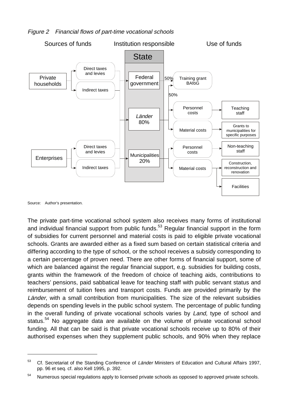



Source: Author's presentation.

<u>.</u>

The private part-time vocational school system also receives many forms of institutional and individual financial support from public funds.<sup>53</sup> Regular financial support in the form of subsidies for current personnel and material costs is paid to eligible private vocational schools. Grants are awarded either as a fixed sum based on certain statistical criteria and differing according to the type of school, or the school receives a subsidy corresponding to a certain percentage of proven need. There are other forms of financial support, some of which are balanced against the regular financial support, e.g. subsidies for building costs, grants within the framework of the freedom of choice of teaching aids, contributions to teachers' pensions, paid sabbatical leave for teaching staff with public servant status and reimbursement of tuition fees and transport costs. Funds are provided primarily by the Länder, with a small contribution from municipalities. The size of the relevant subsidies depends on spending levels in the public school system. The percentage of public funding in the overall funding of private vocational schools varies by Land, type of school and status.<sup>54</sup> No aggregate data are available on the volume of private vocational school funding. All that can be said is that private vocational schools receive up to 80% of their authorised expenses when they supplement public schools, and 90% when they replace

<sup>&</sup>lt;sup>53</sup> Cf. Secretariat of the Standing Conference of Länder Ministers of Education and Cultural Affairs 1997, pp. 96 et seq. cf. also Kell 1995, p. 392.

 $54$  Numerous special regulations apply to licensed private schools as opposed to approved private schools.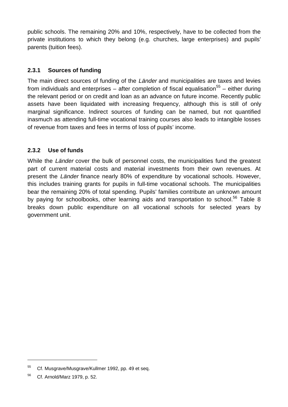public schools. The remaining 20% and 10%, respectively, have to be collected from the private institutions to which they belong (e.g. churches, large enterprises) and pupils' parents (tuition fees).

#### **2.3.1 Sources of funding**

The main direct sources of funding of the Länder and municipalities are taxes and levies from individuals and enterprises – after completion of fiscal equalisation<sup>55</sup> – either during the relevant period or on credit and loan as an advance on future income. Recently public assets have been liquidated with increasing frequency, although this is still of only marginal significance. Indirect sources of funding can be named, but not quantified inasmuch as attending full-time vocational training courses also leads to intangible losses of revenue from taxes and fees in terms of loss of pupils' income.

#### **2.3.2 Use of funds**

While the Länder cover the bulk of personnel costs, the municipalities fund the greatest part of current material costs and material investments from their own revenues. At present the Länder finance nearly 80% of expenditure by vocational schools. However, this includes training grants for pupils in full-time vocational schools. The municipalities bear the remaining 20% of total spending. Pupils' families contribute an unknown amount by paying for schoolbooks, other learning aids and transportation to school.<sup>56</sup> Table 8 breaks down public expenditure on all vocational schools for selected years by government unit.

<sup>&</sup>lt;sup>55</sup> Cf. Musgrave/Musgrave/Kullmer 1992, pp. 49 et seg.

<sup>56</sup> Cf. Arnold/Marz 1979, p. 52.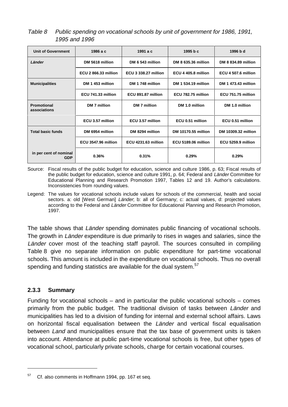Table 8 Public spending on vocational schools by unit of government for 1986, 1991, 1995 and 1996

| <b>Unit of Government</b>            | 1986 a c                    | 1991 а с                    | 1995 b c                   | 1996 b d            |
|--------------------------------------|-----------------------------|-----------------------------|----------------------------|---------------------|
| Länder                               | DM 5618 million             | DM 6 543 million            | DM 8 635.36 million        | DM 8 834.89 million |
|                                      | <b>ECU 2 866.33 million</b> | <b>ECU 3 338.27 million</b> | ECU 4 405.8 million        | ECU 4 507.6 million |
| <b>Municipalities</b>                | DM 1 453 million            | DM 1748 million             | DM 1 534.19 million        | DM 1 473.43 million |
|                                      | ECU 741.33 million          | ECU 891.87 million          | ECU 782.75 million         | ECU 751.75 million  |
| <b>Promotional</b><br>associations   | DM 7 million                | DM 7 million                | DM 1.0 million             | DM 1.0 million      |
|                                      | ECU 3.57 million            | ECU 3.57 million            | ECU 0.51 million           | ECU 0.51 million    |
| <b>Total basic funds</b>             | DM 6954 million             | DM 8294 million             | DM 10170.55 million        | DM 10309.32 million |
|                                      | <b>ECU 3547.96 million</b>  | <b>ECU 4231.63 million</b>  | <b>ECU 5189.06 million</b> | ECU 5259.9 million  |
| in per cent of nominal<br><b>GDP</b> | 0.36%                       | 0.31%                       | 0.29%                      | 0.29%               |

Source: Fiscal results of the public budget for education, science and culture 1986, p. 63; Fiscal results of the public budget for education, science and culture 1991, p. 64; Federal and Länder Committee for Educational Planning and Research Promotion 1997, Tables 12 and 19. Author's calculations. Inconsistencies from rounding values.

Legend: The values for vocational schools include values for schools of the commercial, health and social sectors. a: old [West German] Länder; b: all of Germany; c: actual values, d: projected values according to the Federal and Länder Committee for Educational Planning and Research Promotion, 1997.

The table shows that Länder spending dominates public financing of vocational schools. The growth in Länder expenditure is due primarily to rises in wages and salaries, since the Länder cover most of the teaching staff payroll. The sources consulted in compiling Table 8 give no separate information on public expenditure for part-time vocational schools. This amount is included in the expenditure on vocational schools. Thus no overall spending and funding statistics are available for the dual system.<sup>57</sup>

#### **2.3.3 Summary**

<u>.</u>

Funding for vocational schools – and in particular the public vocational schools – comes primarily from the public budget. The traditional division of tasks between Länder and municipalities has led to a division of funding for internal and external school affairs. Laws on horizontal fiscal equalisation between the Länder and vertical fiscal equalisation between Land and municipalities ensure that the tax base of government units is taken into account. Attendance at public part-time vocational schools is free, but other types of vocational school, particularly private schools, charge for certain vocational courses.

<sup>&</sup>lt;sup>57</sup> Cf. also comments in Hoffmann 1994, pp. 167 et seq.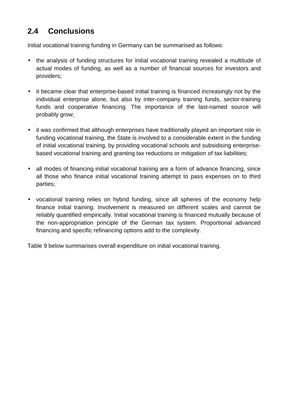### **2.4 Conclusions**

Initial vocational training funding in Germany can be summarised as follows:

- the analysis of funding structures for initial vocational training revealed a multitude of actual modes of funding, as well as a number of financial sources for investors and providers;
- it became clear that enterprise-based initial training is financed increasingly not by the individual enterprise alone, but also by inter-company training funds, sector-training funds and cooperative financing. The importance of the last-named source will probably grow;
- it was confirmed that although enterprises have traditionally played an important role in funding vocational training, the State is involved to a considerable extent in the funding of initial vocational training, by providing vocational schools and subsidising enterprisebased vocational training and granting tax reductions or mitigation of tax liabilities;
- all modes of financing initial vocational training are a form of advance financing, since all those who finance initial vocational training attempt to pass expenses on to third parties;
- vocational training relies on hybrid funding, since all spheres of the economy help finance initial training. Involvement is measured on different scales and cannot be reliably quantified empirically. Initial vocational training is financed mutually because of the non-appropriation principle of the German tax system. Proportional advanced financing and specific refinancing options add to the complexity.

Table 9 below summarises overall expenditure on initial vocational training.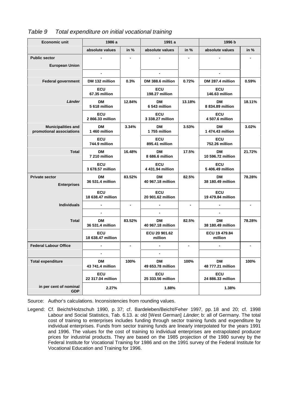| <b>Economic unit</b>                                  | 1986 a                          |        | 1991 a                          |        |                                 |        |
|-------------------------------------------------------|---------------------------------|--------|---------------------------------|--------|---------------------------------|--------|
|                                                       | absolute values                 | in $%$ | absolute values                 | in $%$ | absolute values                 | in $%$ |
| <b>Public sector</b>                                  |                                 |        |                                 |        |                                 |        |
| <b>European Union</b>                                 |                                 |        |                                 |        |                                 |        |
|                                                       | $\overline{\phantom{a}}$        |        | $\blacksquare$                  |        |                                 |        |
| <b>Federal government</b>                             | DM 132 million                  | 0.3%   | DM 388.6 million                | 0.72%  | DM 287.4 million                | 0.59%  |
|                                                       | <b>ECU</b><br>67.35 million     |        | <b>ECU</b><br>198.27 million    |        | <b>ECU</b><br>146.63 million    |        |
| Länder                                                | <b>DM</b><br>5 618 million      | 12.84% | <b>DM</b><br>6 543 million      | 13.18% | <b>DM</b><br>8 834.89 million   | 18.11% |
|                                                       | <b>ECU</b><br>2866.33 million   |        | <b>ECU</b><br>3 338.27 million  |        | ECU<br>4 507.6 million          |        |
| <b>Municipalities and</b><br>promotional associations | <b>DM</b><br>1 460 million      | 3.34%  | <b>DM</b><br>1755 million       | 3.53%  | <b>DM</b><br>1 474.43 million   | 3.02%  |
|                                                       | ECU<br>744.9 million            |        | <b>ECU</b><br>895.41 million    |        | <b>ECU</b><br>752.26 million    |        |
| <b>Total</b>                                          | DМ<br>7 210 million             | 16.48% | DМ<br>8 686.6 million           | 17.5%  | <b>DM</b><br>10 596.72 million  | 21.72% |
|                                                       | <b>ECU</b><br>3 678.57 million  |        | <b>ECU</b><br>4 431.94 million  |        | <b>ECU</b><br>5 406.49 million  |        |
| <b>Private sector</b><br><b>Enterprises</b>           | DМ<br>36 531.4 million          | 83.52% | DМ<br>40 967.18 million         | 82.5%  | <b>DM</b><br>38 180.49 million  | 78.28% |
|                                                       | <b>ECU</b><br>18 638.47 million |        | <b>ECU</b><br>20 901.62 million |        | <b>ECU</b><br>19 479.84 million |        |
| <b>Individuals</b>                                    |                                 |        |                                 |        |                                 |        |
|                                                       |                                 |        | $\overline{\phantom{0}}$        |        |                                 |        |
| <b>Total</b>                                          | DM<br>36 531.4 million          | 83.52% | <b>DM</b><br>40 967.18 million  | 82.5%  | <b>DM</b><br>38 180.49 million  | 78.28% |
|                                                       | <b>ECU</b><br>18 638.47 million |        | ECU 20 901.62<br>million        |        | ECU 19 479.84<br>million        |        |
| <b>Federal Labour Office</b>                          | $\overline{\phantom{a}}$        |        |                                 |        |                                 |        |
|                                                       |                                 |        |                                 |        |                                 |        |
| <b>Total expenditure</b>                              | <b>DM</b><br>43 741.4 million   | 100%   | <b>DM</b><br>49 653.78 million  | 100%   | <b>DM</b><br>48 777.21 million  | 100%   |
|                                                       | ECU<br>22 317.04 million        |        | ECU<br>25 333.56 million        |        | ECU<br>24 886.33 million        |        |
| in per cent of nominal<br><b>GDP</b>                  | 2.27%                           |        | 1.88%                           |        | 1.38%                           |        |

#### Table 9 Total expenditure on initial vocational training

Source: Author's calculations. Inconsistencies from rounding values.

Legend: Cf. Beicht/Holzschuh 1990, p. 37; cf. Bardeleben/Beicht/Feher 1997, pp. 18 and 20; cf. 1998 Labour and Social Statistics, Tab. 6.13. a: old [West German] Länder; b: all of Germany. The total cost of training to enterprises includes funding through sector training funds and expenditure by individual enterprises. Funds from sector training funds are linearly interpolated for the years 1991 and 1996. The values for the cost of training to individual enterprises are extrapolated producer prices for industrial products. They are based on the 1985 projection of the 1980 survey by the Federal Institute for Vocational Training for 1986 and on the 1991 survey of the Federal Institute for Vocational Education and Training for 1996.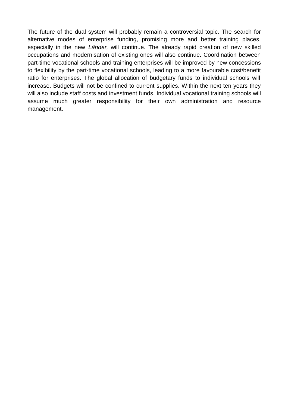The future of the dual system will probably remain a controversial topic. The search for alternative modes of enterprise funding, promising more and better training places, especially in the new Länder, will continue. The already rapid creation of new skilled occupations and modernisation of existing ones will also continue. Coordination between part-time vocational schools and training enterprises will be improved by new concessions to flexibility by the part-time vocational schools, leading to a more favourable cost/benefit ratio for enterprises. The global allocation of budgetary funds to individual schools will increase. Budgets will not be confined to current supplies. Within the next ten years they will also include staff costs and investment funds. Individual vocational training schools will assume much greater responsibility for their own administration and resource management.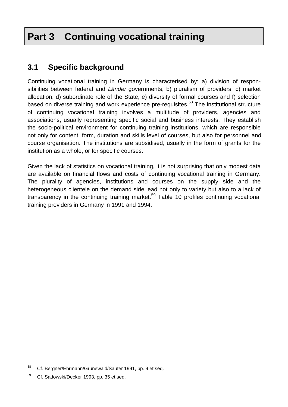# **Part 3 Continuing vocational training**

### **3.1 Specific background**

Continuing vocational training in Germany is characterised by: a) division of responsibilities between federal and Länder governments, b) pluralism of providers, c) market allocation, d) subordinate role of the State, e) diversity of formal courses and f) selection based on diverse training and work experience pre-requisites.<sup>58</sup> The institutional structure of continuing vocational training involves a multitude of providers, agencies and associations, usually representing specific social and business interests. They establish the socio-political environment for continuing training institutions, which are responsible not only for content, form, duration and skills level of courses, but also for personnel and course organisation. The institutions are subsidised, usually in the form of grants for the institution as a whole, or for specific courses.

Given the lack of statistics on vocational training, it is not surprising that only modest data are available on financial flows and costs of continuing vocational training in Germany. The plurality of agencies, institutions and courses on the supply side and the heterogeneous clientele on the demand side lead not only to variety but also to a lack of transparency in the continuing training market.<sup>59</sup> Table 10 profiles continuing vocational training providers in Germany in 1991 and 1994.

<sup>58</sup> Cf. Bergner/Ehrmann/Grünewald/Sauter 1991, pp. 9 et seq.

<sup>&</sup>lt;sup>59</sup> Cf. Sadowski/Decker 1993, pp. 35 et seq.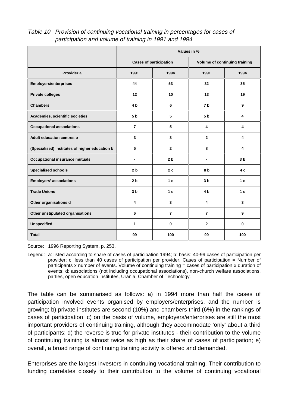Table 10 Provision of continuing vocational training in percentages for cases of participation and volume of training in 1991 and 1994

|                                                | Values in %                   |                |                               |                |
|------------------------------------------------|-------------------------------|----------------|-------------------------------|----------------|
|                                                | <b>Cases of participation</b> |                | Volume of continuing training |                |
| Provider a                                     | 1991                          | 1994           | 1991                          | 1994           |
| <b>Employers/enterprises</b>                   | 44                            | 53             | 32                            | 35             |
| <b>Private colleges</b>                        | 12                            | 10             | 13                            | 19             |
| <b>Chambers</b>                                | 4 <sub>b</sub>                | 6              | 7 <sub>b</sub>                | 9              |
| Academies, scientific societies                | 5 <sub>b</sub>                | 5              | 5 <sub>b</sub>                | 4              |
| <b>Occupational associations</b>               | $\overline{7}$                | 5              | 4                             | 4              |
| <b>Adult education centres b</b>               | 3                             | 3              | $\overline{2}$                | 4              |
| (Specialised) institutes of higher education b | 5                             | $\mathbf{2}$   | 8                             | 4              |
| <b>Occupational insurance mutuals</b>          | $\blacksquare$                | 2 <sub>b</sub> | $\blacksquare$                | 3 <sub>b</sub> |
| <b>Specialised schools</b>                     | 2 <sub>b</sub>                | 2c             | 8 b                           | 4 c            |
| <b>Employers' associations</b>                 | 2 <sub>b</sub>                | 1 <sub>c</sub> | 3 <sub>b</sub>                | 1 <sub>c</sub> |
| <b>Trade Unions</b>                            | 3 <sub>b</sub>                | 1 <sub>c</sub> | 4 <sub>b</sub>                | 1 <sub>c</sub> |
| Other organisations d                          | 4                             | $\mathbf{3}$   | 4                             | 3              |
| Other unstipulated organisations               | 6                             | $\overline{7}$ | $\overline{7}$                | 9              |
| <b>Unspecified</b>                             | $\mathbf{1}$                  | $\bf{0}$       | $\mathbf{2}$                  | $\bf{0}$       |
| <b>Total</b>                                   | 99                            | 100            | 99                            | 100            |

Source: 1996 Reporting System, p. 253.

Legend: a: listed according to share of cases of participation 1994; b: basis: 40-99 cases of participation per provider; c: less than 40 cases of participation per provider. Cases of participation = Number of participants x number of events. Volume of continuing training = cases of participation x duration of events; d: associations (not including occupational associations), non-church welfare associations, parties, open education institutes, Urania, Chamber of Technology.

The table can be summarised as follows: a) in 1994 more than half the cases of participation involved events organised by employers/enterprises, and the number is growing; b) private institutes are second (10%) and chambers third (6%) in the rankings of cases of participation; c) on the basis of volume, employers/enterprises are still the most important providers of continuing training, although they accommodate 'only' about a third of participants; d) the reverse is true for private institutes - their contribution to the volume of continuing training is almost twice as high as their share of cases of participation; e) overall, a broad range of continuing training activity is offered and demanded.

Enterprises are the largest investors in continuing vocational training. Their contribution to funding correlates closely to their contribution to the volume of continuing vocational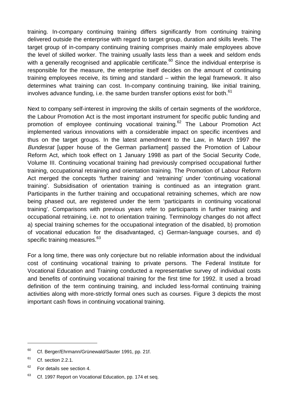training. In-company continuing training differs significantly from continuing training delivered outside the enterprise with regard to target group, duration and skills levels. The target group of in-company continuing training comprises mainly male employees above the level of skilled worker. The training usually lasts less than a week and seldom ends with a generally recognised and applicable certificate.<sup>60</sup> Since the individual enterprise is responsible for the measure, the enterprise itself decides on the amount of continuing training employees receive, its timing and standard – within the legal framework. It also determines what training can cost. In-company continuing training, like initial training, involves advance funding, i.e. the same burden transfer options exist for both.<sup>61</sup>

Next to company self-interest in improving the skills of certain segments of the workforce, the Labour Promotion Act is the most important instrument for specific public funding and promotion of employee continuing vocational training.<sup>62</sup> The Labour Promotion Act implemented various innovations with a considerable impact on specific incentives and thus on the target groups. In the latest amendment to the Law, in March 1997 the Bundesrat [upper house of the German parliament] passed the Promotion of Labour Reform Act, which took effect on 1 January 1998 as part of the Social Security Code, Volume III. Continuing vocational training had previously comprised occupational further training, occupational retraining and orientation training. The Promotion of Labour Reform Act merged the concepts 'further training' and 'retraining' under 'continuing vocational training'. Subsidisation of orientation training is continued as an integration grant. Participants in the further training and occupational retraining schemes, which are now being phased out, are registered under the term 'participants in continuing vocational training'. Comparisons with previous years refer to participants in further training and occupational retraining, i.e. not to orientation training. Terminology changes do not affect a) special training schemes for the occupational integration of the disabled, b) promotion of vocational education for the disadvantaged, c) German-language courses, and d) specific training measures.<sup>63</sup>

For a long time, there was only conjecture but no reliable information about the individual cost of continuing vocational training to private persons. The Federal Institute for Vocational Education and Training conducted a representative survey of individual costs and benefits of continuing vocational training for the first time for 1992. It used a broad definition of the term continuing training, and included less-formal continuing training activities along with more-strictly formal ones such as courses. Figure 3 depicts the most important cash flows in continuing vocational training.

<sup>&</sup>lt;sup>60</sup> Cf. Berger/Ehrmann/Grünewald/Sauter 1991, pp. 21f.

 $61$  Cf. section 2.2.1.

 $62$  For details see section 4.

<sup>&</sup>lt;sup>63</sup> Cf. 1997 Report on Vocational Education, pp. 174 et seq.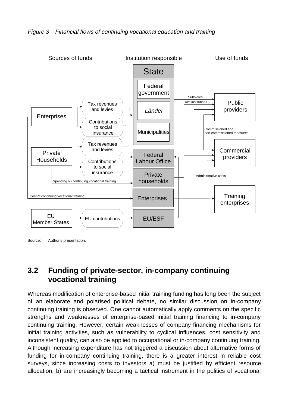



Source: Author's presentation.

### **3.2 Funding of private-sector, in-company continuing vocational training**

Whereas modification of enterprise-based initial training funding has long been the subject of an elaborate and polarised political debate, no similar discussion on in-company continuing training is observed. One cannot automatically apply comments on the specific strengths and weaknesses of enterprise-based initial training financing to in-company continuing training. However, certain weaknesses of company financing mechanisms for initial training activities, such as vulnerability to cyclical influences, cost sensitivity and inconsistent quality, can also be applied to occupational or in-company continuing training. Although increasing expenditure has not triggered a discussion about alternative forms of funding for in-company continuing training, there is a greater interest in reliable cost surveys, since increasing costs to investors a) must be justified by efficient resource allocation, b) are increasingly becoming a tactical instrument in the politics of vocational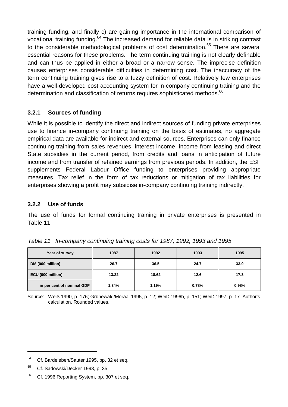training funding, and finally c) are gaining importance in the international comparison of vocational training funding.<sup>64</sup> The increased demand for reliable data is in striking contrast to the considerable methodological problems of cost determination.<sup>65</sup> There are several essential reasons for these problems. The term continuing training is not clearly definable and can thus be applied in either a broad or a narrow sense. The imprecise definition causes enterprises considerable difficulties in determining cost. The inaccuracy of the term continuing training gives rise to a fuzzy definition of cost. Relatively few enterprises have a well-developed cost accounting system for in-company continuing training and the determination and classification of returns requires sophisticated methods.<sup>66</sup>

#### **3.2.1 Sources of funding**

While it is possible to identify the direct and indirect sources of funding private enterprises use to finance in-company continuing training on the basis of estimates, no aggregate empirical data are available for indirect and external sources. Enterprises can only finance continuing training from sales revenues, interest income, income from leasing and direct State subsidies in the current period, from credits and loans in anticipation of future income and from transfer of retained earnings from previous periods. In addition, the ESF supplements Federal Labour Office funding to enterprises providing appropriate measures. Tax relief in the form of tax reductions or mitigation of tax liabilities for enterprises showing a profit may subsidise in-company continuing training indirectly.

#### **3.2.2 Use of funds**

The use of funds for formal continuing training in private enterprises is presented in Table 11.

| Year of survey             | 1987  | 1992  | 1993  | 1995  |
|----------------------------|-------|-------|-------|-------|
| DM (000 million)           | 26.7  | 36.5  | 24.7  | 33.9  |
| ECU (000 million)          | 13.22 | 18.62 | 12.6  | 17.3  |
| in per cent of nominal GDP | 1.34% | 1.19% | 0.78% | 0.98% |

Table 11 In-company continuing training costs for 1987, 1992, 1993 and 1995

Source: Weiß 1990, p. 176; Grünewald/Moraal 1995, p. 12; Weiß 1996b, p. 151; Weiß 1997, p. 17. Author's calculation. Rounded values.

<sup>&</sup>lt;sup>64</sup> Cf. Bardeleben/Sauter 1995, pp. 32 et seq.

<sup>&</sup>lt;sup>65</sup> Cf. Sadowski/Decker 1993, p. 35.

<sup>&</sup>lt;sup>66</sup> Cf. 1996 Reporting System, pp. 307 et seq.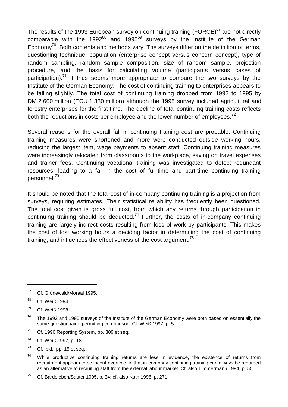The results of the 1993 European survey on continuing training (FORCE)<sup>67</sup> are not directly comparable with the 1992 $^{68}$  and 1995 $^{69}$  surveys by the Institute of the German Economv<sup>70</sup>. Both contents and methods vary. The surveys differ on the definition of terms, questioning technique, population (enterprise concept versus concern concept), type of random sampling, random sample composition, size of random sample, projection procedure, and the basis for calculating volume (participants versus cases of participation).<sup>71</sup> It thus seems more appropriate to compare the two surveys by the Institute of the German Economy. The cost of continuing training to enterprises appears to be falling slightly. The total cost of continuing training dropped from 1992 to 1995 by DM 2 600 million (ECU 1 330 million) although the 1995 survey included agricultural and forestry enterprises for the first time. The decline of total continuing training costs reflects both the reductions in costs per employee and the lower number of employees.<sup>72</sup>

Several reasons for the overall fall in continuing training cost are probable. Continuing training measures were shortened and more were conducted outside working hours, reducing the largest item, wage payments to absent staff. Continuing training measures were increasingly relocated from classrooms to the workplace, saving on travel expenses and trainer fees. Continuing vocational training was investigated to detect redundant resources, leading to a fall in the cost of full-time and part-time continuing training personnel.73

It should be noted that the total cost of in-company continuing training is a projection from surveys, requiring estimates. Their statistical reliability has frequently been questioned. The total cost given is gross full cost, from which any returns through participation in continuing training should be deducted.<sup>74</sup> Further, the costs of in-company continuing training are largely indirect costs resulting from loss of work by participants. This makes the cost of lost working hours a deciding factor in determining the cost of continuing training, and influences the effectiveness of the cost argument.<sup>75</sup>

- $71$  Cf. 1996 Reporting System, pp. 309 et seq.
- <sup>72</sup> Cf. Weiß 1997, p. 18.
- $73$  Cf. ibid., pp. 15 et seq.
- $74$  While productive continuing training returns are less in evidence, the existence of returns from recruitment appears to be incontrovertible, in that in-company continuing training can always be regarded as an alternative to recruiting staff from the external labour market. Cf. also Timmermann 1994, p. 55.

 $67$  Cf. Grünewald/Moraal 1995.

<sup>68</sup> Cf. Weiß 1994.

<sup>&</sup>lt;sup>69</sup> Cf. Weiß 1998.

 $70$  The 1992 and 1995 surveys of the Institute of the German Economy were both based on essentially the same questionnaire, permitting comparison. Cf. Weiß 1997, p. 5.

 $75$  Cf. Bardeleben/Sauter 1995, p. 34; cf. also Kath 1996, p. 271.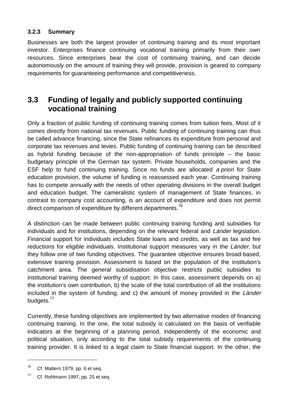#### **3.2.3 Summary**

Businesses are both the largest provider of continuing training and its most important investor. Enterprises finance continuing vocational training primarily from their own resources. Since enterprises bear the cost of continuing training, and can decide autonomously on the amount of training they will provide, provision is geared to company requirements for guaranteeing performance and competitiveness.

### **3.3 Funding of legally and publicly supported continuing vocational training**

Only a fraction of public funding of continuing training comes from tuition fees. Most of it comes directly from national tax revenues. Public funding of continuing training can thus be called advance financing, since the State refinances its expenditure from personal and corporate tax revenues and levies. Public funding of continuing training can be described as hybrid funding because of the non-appropriation of funds principle – the basic budgetary principle of the German tax system. Private households, companies and the ESF help to fund continuing training. Since no funds are allocated a priori for State education provision, the volume of funding is reassessed each year. Continuing training has to compete annually with the needs of other operating divisions in the overall budget and education budget. The cameralistic system of management of State finances, in contrast to company cost accounting, is an account of expenditure and does not permit direct comparison of expenditure by different departments.<sup>76</sup>

A distinction can be made between public continuing training funding and subsidies for individuals and for institutions, depending on the relevant federal and Länder legislation. Financial support for individuals includes State loans and credits, as well as tax and fee reductions for eligible individuals. Institutional support measures vary in the Länder, but they follow one of two funding objectives. The guarantee objective ensures broad-based, extensive training provision. Assessment is based on the population of the institution's catchment area. The general subsidisation objective restricts public subsidies to institutional training deemed worthy of support. In this case, assessment depends on a) the institution's own contribution, b) the scale of the total contribution of all the institutions included in the system of funding, and c) the amount of money provided in the Länder budgets.<sup>77</sup>

Currently, these funding objectives are implemented by two alternative modes of financing continuing training. In the one, the total subsidy is calculated on the basis of verifiable indicators at the beginning of a planning period, independently of the economic and political situation, only according to the total subsidy requirements of the continuing training provider. It is linked to a legal claim to State financial support. In the other, the

 $76$  Cf. Mattern 1979, pp. 6 et seq.

 $77$  Cf. Rohlmann 1997, pp. 25 et seq.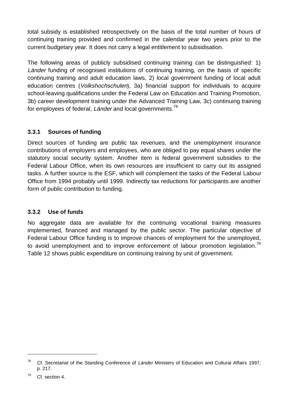total subsidy is established retrospectively on the basis of the total number of hours of continuing training provided and confirmed in the calendar year two years prior to the current budgetary year. It does not carry a legal entitlement to subsidisation.

The following areas of publicly subsidised continuing training can be distinguished: 1) Länder funding of recognised institutions of continuing training, on the basis of specific continuing training and adult education laws, 2) local government funding of local adult education centres (Volkshochschulen), 3a) financial support for individuals to acquire school-leaving qualifications under the Federal Law on Education and Training Promotion, 3b) career development training under the Advanced Training Law, 3c) continuing training for employees of federal, Länder and local governments.<sup>78</sup>

#### **3.3.1 Sources of funding**

Direct sources of funding are public tax revenues, and the unemployment insurance contributions of employers and employees, who are obliged to pay equal shares under the statutory social security system. Another item is federal government subsidies to the Federal Labour Office, when its own resources are insufficient to carry out its assigned tasks. A further source is the ESF, which will complement the tasks of the Federal Labour Office from 1994 probably until 1999. Indirectly tax reductions for participants are another form of public contribution to funding.

#### **3.3.2 Use of funds**

No aggregate data are available for the continuing vocational training measures implemented, financed and managed by the public sector. The particular objective of Federal Labour Office funding is to improve chances of employment for the unemployed, to avoid unemployment and to improve enforcement of labour promotion legislation.<sup>79</sup> Table 12 shows public expenditure on continuing training by unit of government.

<u>.</u>

<sup>&</sup>lt;sup>78</sup> Cf. Secretariat of the Standing Conference of Länder Ministers of Education and Cultural Affairs 1997, p. 217.

 $79$  Cf. section 4.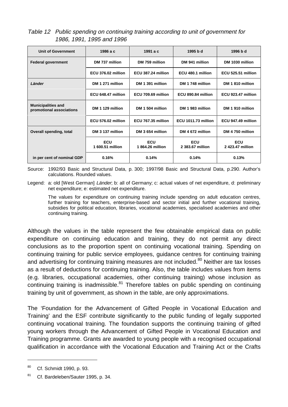Table 12 Public spending on continuing training according to unit of government for 1986, 1991, 1995 and 1996

| Unit of Government                                    | 1986 a c                       | 1991 a c                      | 1995 b d                       | 1996 b d                      |
|-------------------------------------------------------|--------------------------------|-------------------------------|--------------------------------|-------------------------------|
| <b>Federal government</b>                             | DM 737 million                 | DM 759 million                | DM 941 million                 | DM 1030 million               |
|                                                       | ECU 376.02 million             | ECU 387.24 million            | ECU 480.1 million              | ECU 525.51 million            |
| Länder                                                | DM 1 271 million               | DM 1 391 million              | DM 1 748 million               | DM 1810 million               |
|                                                       | ECU 648.47 million             | ECU 709.69 million            | ECU 890.84 million             | ECU 923.47 million            |
| <b>Municipalities and</b><br>promotional associations | DM 1 129 million               | DM 1 504 million              | DM 1983 million                | DM 1910 million               |
|                                                       | ECU 576.02 million             | ECU 767.35 million            | ECU 1011.73 million            | ECU 947.49 million            |
| Overall spending, total                               | DM 3 137 million               | DM 3 654 million              | DM 4 672 million               | DM 4 750 million              |
|                                                       | <b>ECU</b><br>1 600.51 million | <b>ECU</b><br>1864.26 million | <b>ECU</b><br>2 383.67 million | <b>ECU</b><br>2423.47 million |
| in per cent of nominal GDP                            | 0.16%                          | 0.14%                         | 0.14%                          | 0.13%                         |

Source: 1992/93 Basic and Structural Data, p. 300; 1997/98 Basic and Structural Data, p.290. Author's calculations. Rounded values.

Legend: a: old [West German] *Länder*; b: all of Germany; c: actual values of net expenditure, d: preliminary net expenditure; e: estimated net expenditure.

The values for expenditure on continuing training include spending on adult education centres, further training for teachers, enterprise-based and sector initial and further vocational training, subsidies for political education, libraries, vocational academies, specialised academies and other continuing training.

Although the values in the table represent the few obtainable empirical data on public expenditure on continuing education and training, they do not permit any direct conclusions as to the proportion spent on continuing vocational training. Spending on continuing training for public service employees, guidance centres for continuing training and advertising for continuing training measures are not included.<sup>80</sup> Neither are tax losses as a result of deductions for continuing training. Also, the table includes values from items (e.g. libraries, occupational academies, other continuing training) whose inclusion as continuing training is inadmissible.<sup>81</sup> Therefore tables on public spending on continuing training by unit of government, as shown in the table, are only approximations.

The 'Foundation for the Advancement of Gifted People in Vocational Education and Training' and the ESF contribute significantly to the public funding of legally supported continuing vocational training. The foundation supports the continuing training of gifted young workers through the Advancement of Gifted People in Vocational Education and Training programme. Grants are awarded to young people with a recognised occupational qualification in accordance with the Vocational Education and Training Act or the Crafts

<sup>80</sup> Cf. Schmidt 1990, p. 93.

<sup>81</sup> Cf. Bardeleben/Sauter 1995, p. 34.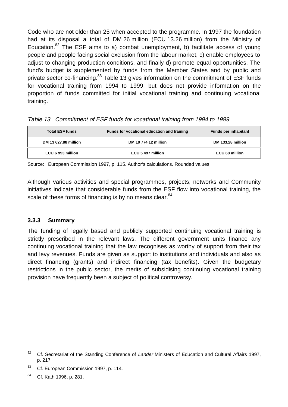Code who are not older than 25 when accepted to the programme. In 1997 the foundation had at its disposal a total of DM 26 million (ECU 13.26 million) from the Ministry of Education.<sup>82</sup> The ESF aims to a) combat unemployment, b) facilitate access of young people and people facing social exclusion from the labour market, c) enable employees to adjust to changing production conditions, and finally d) promote equal opportunities. The fund's budget is supplemented by funds from the Member States and by public and private sector co-financing.<sup>83</sup> Table 13 gives information on the commitment of ESF funds for vocational training from 1994 to 1999, but does not provide information on the proportion of funds committed for initial vocational training and continuing vocational training.

| <b>Total ESF funds</b> | Funds for vocational education and training | <b>Funds per inhabitant</b> |
|------------------------|---------------------------------------------|-----------------------------|
| DM 13 627.88 million   | DM 10 774.12 million                        | DM 133.28 million           |
| ECU 6 953 million      | ECU 5 497 million                           | <b>ECU 68 million</b>       |

Source: European Commission 1997, p. 115. Author's calculations. Rounded values.

Although various activities and special programmes, projects, networks and Community initiatives indicate that considerable funds from the ESF flow into vocational training, the scale of these forms of financing is by no means clear.<sup>84</sup>

#### **3.3.3 Summary**

The funding of legally based and publicly supported continuing vocational training is strictly prescribed in the relevant laws. The different government units finance any continuing vocational training that the law recognises as worthy of support from their tax and levy revenues. Funds are given as support to institutions and individuals and also as direct financing (grants) and indirect financing (tax benefits). Given the budgetary restrictions in the public sector, the merits of subsidising continuing vocational training provision have frequently been a subject of political controversy.

<sup>&</sup>lt;sup>82</sup> Cf. Secretariat of the Standing Conference of Länder Ministers of Education and Cultural Affairs 1997, p. 217.

<sup>&</sup>lt;sup>83</sup> Cf. European Commission 1997, p. 114.

<sup>84</sup> Cf. Kath 1996, p. 281.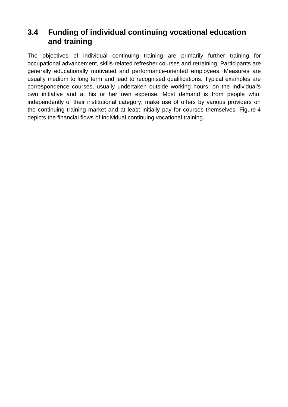### **3.4 Funding of individual continuing vocational education and training**

The objectives of individual continuing training are primarily further training for occupational advancement, skills-related refresher courses and retraining. Participants are generally educationally motivated and performance-oriented employees. Measures are usually medium to long term and lead to recognised qualifications. Typical examples are correspondence courses, usually undertaken outside working hours, on the individual's own initiative and at his or her own expense. Most demand is from people who, independently of their institutional category, make use of offers by various providers on the continuing training market and at least initially pay for courses themselves. Figure 4 depicts the financial flows of individual continuing vocational training.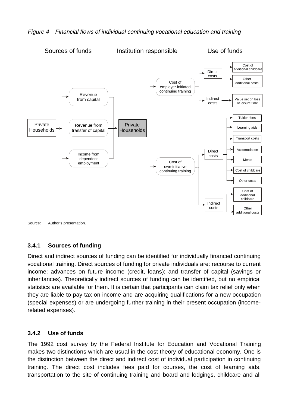

#### Figure 4 Financial flows of individual continuing vocational education and training

Source: Author's presentation.

#### **3.4.1 Sources of funding**

Direct and indirect sources of funding can be identified for individually financed continuing vocational training. Direct sources of funding for private individuals are: recourse to current income; advances on future income (credit, loans); and transfer of capital (savings or inheritances). Theoretically indirect sources of funding can be identified, but no empirical statistics are available for them. It is certain that participants can claim tax relief only when they are liable to pay tax on income and are acquiring qualifications for a new occupation (special expenses) or are undergoing further training in their present occupation (incomerelated expenses).

#### **3.4.2 Use of funds**

The 1992 cost survey by the Federal Institute for Education and Vocational Training makes two distinctions which are usual in the cost theory of educational economy. One is the distinction between the direct and indirect cost of individual participation in continuing training. The direct cost includes fees paid for courses, the cost of learning aids, transportation to the site of continuing training and board and lodgings, childcare and all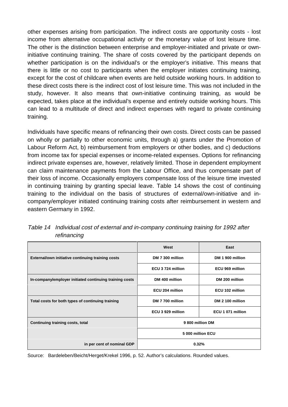other expenses arising from participation. The indirect costs are opportunity costs - lost income from alternative occupational activity or the monetary value of lost leisure time. The other is the distinction between enterprise and employer-initiated and private or owninitiative continuing training. The share of costs covered by the participant depends on whether participation is on the individual's or the employer's initiative. This means that there is little or no cost to participants when the employer initiates continuing training, except for the cost of childcare when events are held outside working hours. In addition to these direct costs there is the indirect cost of lost leisure time. This was not included in the study, however. It also means that own-initiative continuing training, as would be expected, takes place at the individual's expense and entirely outside working hours. This can lead to a multitude of direct and indirect expenses with regard to private continuing training.

Individuals have specific means of refinancing their own costs. Direct costs can be passed on wholly or partially to other economic units, through a) grants under the Promotion of Labour Reform Act, b) reimbursement from employers or other bodies, and c) deductions from income tax for special expenses or income-related expenses. Options for refinancing indirect private expenses are, however, relatively limited. Those in dependent employment can claim maintenance payments from the Labour Office, and thus compensate part of their loss of income. Occasionally employers compensate loss of the leisure time invested in continuing training by granting special leave. Table 14 shows the cost of continuing training to the individual on the basis of structures of external/own-initiative and incompany/employer initiated continuing training costs after reimbursement in western and eastern Germany in 1992.

|                                                         | West              | East              |  |
|---------------------------------------------------------|-------------------|-------------------|--|
| External/own initiative continuing training costs       | DM 7 300 million  | DM 1 900 million  |  |
|                                                         | ECU 3724 million  | ECU 969 million   |  |
| In-company/employer initiated continuing training costs | DM 400 million    | DM 200 million    |  |
|                                                         | ECU 204 million   | ECU 102 million   |  |
| Total costs for both types of continuing training       | DM 7 700 million  | DM 2 100 million  |  |
|                                                         | ECU 3 929 million | ECU 1 071 million |  |
| Continuing training costs, total                        | 9800 million DM   |                   |  |
|                                                         |                   | 5 000 million ECU |  |
| in per cent of nominal GDP                              | 0.32%             |                   |  |

Table 14 Individual cost of external and in-company continuing training for 1992 after refinancing

Source: Bardeleben/Beicht/Herget/Krekel 1996, p. 52. Author's calculations. Rounded values.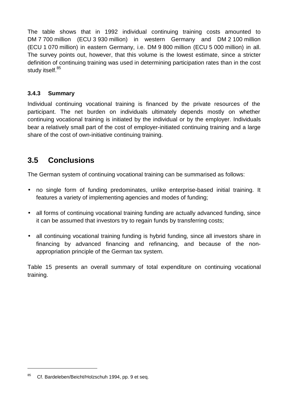The table shows that in 1992 individual continuing training costs amounted to DM 7 700 million (ECU 3 930 million) in western Germany and DM 2 100 million (ECU 1 070 million) in eastern Germany, i.e. DM 9 800 million (ECU 5 000 million) in all. The survey points out, however, that this volume is the lowest estimate, since a stricter definition of continuing training was used in determining participation rates than in the cost study itself.<sup>85</sup>

#### **3.4.3 Summary**

Individual continuing vocational training is financed by the private resources of the participant. The net burden on individuals ultimately depends mostly on whether continuing vocational training is initiated by the individual or by the employer. Individuals bear a relatively small part of the cost of employer-initiated continuing training and a large share of the cost of own-initiative continuing training.

### **3.5 Conclusions**

The German system of continuing vocational training can be summarised as follows:

- no single form of funding predominates, unlike enterprise-based initial training. It features a variety of implementing agencies and modes of funding;
- all forms of continuing vocational training funding are actually advanced funding, since it can be assumed that investors try to regain funds by transferring costs;
- all continuing vocational training funding is hybrid funding, since all investors share in financing by advanced financing and refinancing, and because of the nonappropriation principle of the German tax system.

Table 15 presents an overall summary of total expenditure on continuing vocational training.

<u>.</u>

<sup>85</sup> Cf. Bardeleben/Beicht/Holzschuh 1994, pp. 9 et seq.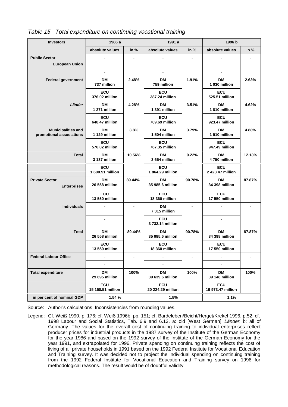| <b>Investors</b>                                      | 1986 a                       |                | 1991 a                         |        | 1996 b                       |                |
|-------------------------------------------------------|------------------------------|----------------|--------------------------------|--------|------------------------------|----------------|
|                                                       | absolute values              | in %           | absolute values                | in %   | absolute values              | in %           |
| <b>Public Sector</b><br><b>European Union</b>         |                              |                |                                |        |                              |                |
|                                                       |                              |                |                                |        |                              |                |
| <b>Federal government</b>                             | <b>DM</b><br>737 million     | 2.48%          | <b>DM</b><br>759 million       | 1.91%  | DМ<br>1 030 million          | 2.63%          |
|                                                       | <b>ECU</b><br>376.02 million |                | <b>ECU</b><br>387.24 million   |        | <b>ECU</b><br>525.51 million |                |
| Länder                                                | <b>DM</b><br>1 271 million   | 4.28%          | <b>DM</b><br>1 391 million     | 3.51%  | <b>DM</b><br>1810 million    | 4.62%          |
|                                                       | <b>ECU</b><br>648.47 million |                | <b>ECU</b><br>709.69 million   |        | <b>ECU</b><br>923.47 million |                |
| <b>Municipalities and</b><br>promotional associations | DM<br>1 129 million          | 3.8%           | DM<br>1 504 million            | 3.79%  | <b>DM</b><br>1910 million    | 4.88%          |
|                                                       | <b>ECU</b><br>576.02 million |                | ECU<br>767.35 million          |        | <b>ECU</b><br>947.49 million |                |
| <b>Total</b>                                          | <b>DM</b><br>3 137 million   | 10.56%         | <b>DM</b><br>3 654 million     | 9.22%  | <b>DM</b><br>4750 million    | 12.13%         |
|                                                       | ECU<br>1 600.51 million      |                | <b>ECU</b><br>1864.29 million  |        | ECU<br>2 423 47 million      |                |
| <b>Private Sector</b><br><b>Enterprises</b>           | DМ<br>26 558 million         | 89.44%         | DМ<br>35 985.6 million         | 90.78% | <b>DM</b><br>34 398 million  | 87.87%         |
|                                                       | ECU<br>13 550 million        |                | ECU<br>18 360 million          |        | ECU<br>17 550 million        |                |
| <b>Individuals</b>                                    | $\blacksquare$               | $\blacksquare$ | DM<br>7 315 million            |        |                              | $\blacksquare$ |
|                                                       | $\overline{a}$               |                | <b>ECU</b><br>3 732.14 million |        |                              |                |
| <b>Total</b>                                          | <b>DM</b><br>26 558 million  | 89.44%         | <b>DM</b><br>35 985.6 million  | 90.78% | <b>DM</b><br>34 398 million  | 87.87%         |
|                                                       | <b>ECU</b><br>13 550 million |                | ECU<br>18 360 million          |        | <b>ECU</b><br>17 550 million |                |
| <b>Federal Labour Office</b>                          | $\blacksquare$               |                | -                              |        | -                            |                |
|                                                       | $\overline{\phantom{a}}$     |                | $\blacksquare$                 |        | $\blacksquare$               |                |
| <b>Total expenditure</b>                              | <b>DM</b><br>29 695 million  | 100%           | <b>DM</b><br>39 639.6 million  | 100%   | <b>DM</b><br>39 148 million  | 100%           |
|                                                       | ECU<br>15 150.51 million     |                | ECU<br>20 224.29 million       |        | ECU<br>19 973.47 million     |                |
| in per cent of nominal GDP                            | 1.54 %                       |                | 1.5%                           |        |                              |                |

Table 15 Total expenditure on continuing vocational training

Source: Author's calculations. Inconsistencies from rounding values.

Legend: Cf. Weiß 1990, p. 176; cf. Weiß 1996b, pp. 151; cf. Bardeleben/Beicht/Herget/Krekel 1996, p.52; cf. 1998 Labour and Social Statistics, Tab. 6.9 and 6.13. a: old [West German] Länder; b: all of Germany. The values for the overall cost of continuing training to individual enterprises reflect producer prices for industrial products in the 1987 survey of the Institute of the German Economy for the year 1986 and based on the 1992 survey of the Institute of the German Economy for the year 1991, and extrapolated for 1996. Private spending on continuing training reflects the cost of living of all private households in 1991 based on the 1992 Federal Institute for Vocational Education and Training survey. It was decided not to project the individual spending on continuing training from the 1992 Federal Institute for Vocational Education and Training survey on 1996 for methodological reasons. The result would be of doubtful validity.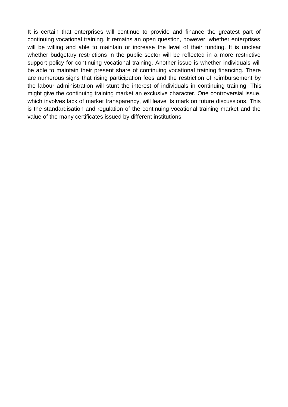It is certain that enterprises will continue to provide and finance the greatest part of continuing vocational training. It remains an open question, however, whether enterprises will be willing and able to maintain or increase the level of their funding. It is unclear whether budgetary restrictions in the public sector will be reflected in a more restrictive support policy for continuing vocational training. Another issue is whether individuals will be able to maintain their present share of continuing vocational training financing. There are numerous signs that rising participation fees and the restriction of reimbursement by the labour administration will stunt the interest of individuals in continuing training. This might give the continuing training market an exclusive character. One controversial issue, which involves lack of market transparency, will leave its mark on future discussions. This is the standardisation and regulation of the continuing vocational training market and the value of the many certificates issued by different institutions.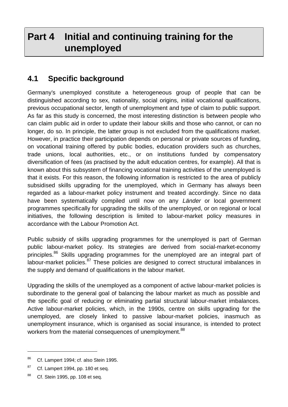# **Part 4 Initial and continuing training for the unemployed**

### **4.1 Specific background**

Germany's unemployed constitute a heterogeneous group of people that can be distinguished according to sex, nationality, social origins, initial vocational qualifications, previous occupational sector, length of unemployment and type of claim to public support. As far as this study is concerned, the most interesting distinction is between people who can claim public aid in order to update their labour skills and those who cannot, or can no longer, do so. In principle, the latter group is not excluded from the qualifications market. However, in practice their participation depends on personal or private sources of funding, on vocational training offered by public bodies, education providers such as churches, trade unions, local authorities, etc., or on institutions funded by compensatory diversification of fees (as practised by the adult education centres, for example). All that is known about this subsystem of financing vocational training activities of the unemployed is that it exists. For this reason, the following information is restricted to the area of publicly subsidised skills upgrading for the unemployed, which in Germany has always been regarded as a labour-market policy instrument and treated accordingly. Since no data have been systematically compiled until now on any Länder or local government programmes specifically for upgrading the skills of the unemployed, or on regional or local initiatives, the following description is limited to labour-market policy measures in accordance with the Labour Promotion Act.

Public subsidy of skills upgrading programmes for the unemployed is part of German public labour-market policy. Its strategies are derived from social-market-economy principles.<sup>86</sup> Skills upgrading programmes for the unemployed are an integral part of labour-market policies. $87$  These policies are designed to correct structural imbalances in the supply and demand of qualifications in the labour market.

Upgrading the skills of the unemployed as a component of active labour-market policies is subordinate to the general goal of balancing the labour market as much as possible and the specific goal of reducing or eliminating partial structural labour-market imbalances. Active labour-market policies, which, in the 1990s, centre on skills upgrading for the unemployed, are closely linked to passive labour-market policies, inasmuch as unemployment insurance, which is organised as social insurance, is intended to protect workers from the material consequences of unemployment.<sup>88</sup>

<sup>86</sup> Cf. Lampert 1994; cf. also Stein 1995.

 $87$  Cf. Lampert 1994, pp. 180 et seq.

<sup>88</sup> Cf. Stein 1995, pp. 108 et seq.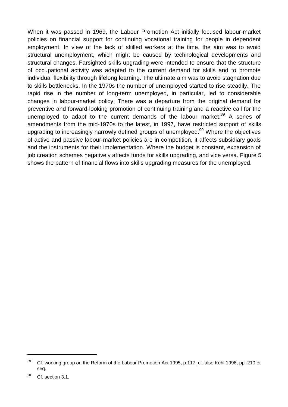When it was passed in 1969, the Labour Promotion Act initially focused labour-market policies on financial support for continuing vocational training for people in dependent employment. In view of the lack of skilled workers at the time, the aim was to avoid structural unemployment, which might be caused by technological developments and structural changes. Farsighted skills upgrading were intended to ensure that the structure of occupational activity was adapted to the current demand for skills and to promote individual flexibility through lifelong learning. The ultimate aim was to avoid stagnation due to skills bottlenecks. In the 1970s the number of unemployed started to rise steadily. The rapid rise in the number of long-term unemployed, in particular, led to considerable changes in labour-market policy. There was a departure from the original demand for preventive and forward-looking promotion of continuing training and a reactive call for the unemployed to adapt to the current demands of the labour market.<sup>89</sup> A series of amendments from the mid-1970s to the latest, in 1997, have restricted support of skills upgrading to increasingly narrowly defined groups of unemployed.<sup>90</sup> Where the objectives of active and passive labour-market policies are in competition, it affects subsidiary goals and the instruments for their implementation. Where the budget is constant, expansion of job creation schemes negatively affects funds for skills upgrading, and vice versa. Figure 5 shows the pattern of financial flows into skills upgrading measures for the unemployed.

<sup>&</sup>lt;sup>89</sup> Cf. working group on the Reform of the Labour Promotion Act 1995, p.117; cf. also Kühl 1996, pp. 210 et seq.

 $90$  Cf. section 3.1.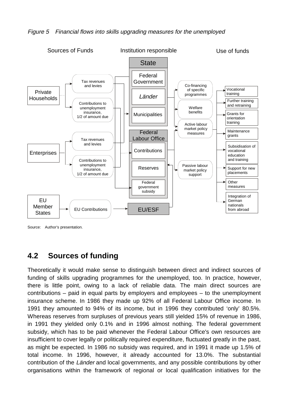



Source: Author's presentation.

### **4.2 Sources of funding**

Theoretically it would make sense to distinguish between direct and indirect sources of funding of skills upgrading programmes for the unemployed, too. In practice, however, there is little point, owing to a lack of reliable data. The main direct sources are contributions – paid in equal parts by employers and employees – to the unemployment insurance scheme. In 1986 they made up 92% of all Federal Labour Office income. In 1991 they amounted to 94% of its income, but in 1996 they contributed 'only' 80.5%. Whereas reserves from surpluses of previous years still yielded 15% of revenue in 1986, in 1991 they yielded only 0.1% and in 1996 almost nothing. The federal government subsidy, which has to be paid whenever the Federal Labour Office's own resources are insufficient to cover legally or politically required expenditure, fluctuated greatly in the past, as might be expected. In 1986 no subsidy was required, and in 1991 it made up 1.5% of total income. In 1996, however, it already accounted for 13.0%. The substantial contribution of the Länder and local governments, and any possible contributions by other organisations within the framework of regional or local qualification initiatives for the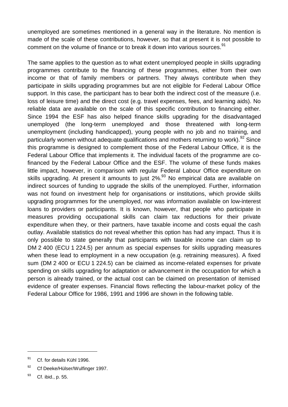unemployed are sometimes mentioned in a general way in the literature. No mention is made of the scale of these contributions, however, so that at present it is not possible to comment on the volume of finance or to break it down into various sources.<sup>91</sup>

The same applies to the question as to what extent unemployed people in skills upgrading programmes contribute to the financing of these programmes, either from their own income or that of family members or partners. They always contribute when they participate in skills upgrading programmes but are not eligible for Federal Labour Office support. In this case, the participant has to bear both the indirect cost of the measure (i.e. loss of leisure time) and the direct cost (e.g. travel expenses, fees, and learning aids). No reliable data are available on the scale of this specific contribution to financing either. Since 1994 the ESF has also helped finance skills upgrading for the disadvantaged unemployed (the long-term unemployed and those threatened with long-term unemployment (including handicapped), young people with no job and no training, and particularly women without adequate qualifications and mothers returning to work).<sup>92</sup> Since this programme is designed to complement those of the Federal Labour Office, it is the Federal Labour Office that implements it. The individual facets of the programme are cofinanced by the Federal Labour Office and the ESF. The volume of these funds makes little impact, however, in comparison with regular Federal Labour Office expenditure on skills upgrading. At present it amounts to just  $2\%$ <sup>93</sup> No empirical data are available on indirect sources of funding to upgrade the skills of the unemployed. Further, information was not found on investment help for organisations or institutions, which provide skills upgrading programmes for the unemployed, nor was information available on low-interest loans to providers or participants. It is known, however, that people who participate in measures providing occupational skills can claim tax reductions for their private expenditure when they, or their partners, have taxable income and costs equal the cash outlay. Available statistics do not reveal whether this option has had any impact. Thus it is only possible to state generally that participants with taxable income can claim up to DM 2 400 (ECU 1 224.5) per annum as special expenses for skills upgrading measures when these lead to employment in a new occupation (e.g. retraining measures). A fixed sum (DM 2 400 or ECU 1 224.5) can be claimed as income-related expenses for private spending on skills upgrading for adaptation or advancement in the occupation for which a person is already trained, or the actual cost can be claimed on presentation of itemised evidence of greater expenses. Financial flows reflecting the labour-market policy of the Federal Labour Office for 1986, 1991 and 1996 are shown in the following table.

<sup>&</sup>lt;sup>91</sup> Cf. for details Kühl 1996.

<sup>92</sup> Cf Deeke/Hülser/Wulfinger 1997.

<sup>93</sup> Cf. ibid., p. 55.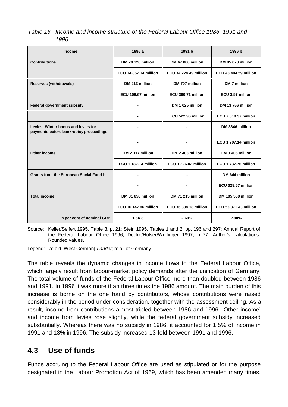| Table 16 Income and income structure of the Federal Labour Office 1986, 1991 and |  |  |  |
|----------------------------------------------------------------------------------|--|--|--|
| 1996                                                                             |  |  |  |

| <b>Income</b>                                                                 | 1986 a                       | 1991 b                       | 1996 b                       |
|-------------------------------------------------------------------------------|------------------------------|------------------------------|------------------------------|
| <b>Contributions</b>                                                          | DM 29 120 million            | DM 67 080 million            | DM 85 073 million            |
|                                                                               | <b>ECU 14 857.14 million</b> | <b>ECU 34 224.49 million</b> | <b>ECU 43 404.59 million</b> |
| <b>Reserves (withdrawals)</b>                                                 | DM 213 million               | DM 707 million               | DM 7 million                 |
|                                                                               | ECU 108.67 million           | ECU 360.71 million           | ECU 3.57 million             |
| <b>Federal government subsidy</b>                                             | ٠                            | DM 1 025 million             | DM 13 756 million            |
|                                                                               |                              | ECU 522.96 million           | <b>ECU 7 018.37 million</b>  |
| Levies: Winter bonus and levies for<br>payments before bankruptcy proceedings | $\blacksquare$               |                              | DM 3346 million              |
|                                                                               |                              |                              | <b>ECU 1 707.14 million</b>  |
| Other income                                                                  | DM 2 317 million             | DM 2 403 million             | DM 3 406 million             |
|                                                                               | <b>ECU 1 182.14 million</b>  | <b>ECU 1 226.02 million</b>  | <b>ECU 1 737.76 million</b>  |
| <b>Grants from the European Social Fund b</b>                                 | $\blacksquare$               | $\blacksquare$               | DM 644 million               |
|                                                                               |                              |                              | ECU 328.57 million           |
| <b>Total income</b>                                                           | DM 31 650 million            | DM 71 215 million            | <b>DM 105 588 million</b>    |
|                                                                               | <b>ECU 16 147.96 million</b> | <b>ECU 36 334.18 million</b> | <b>ECU 53 871.43 million</b> |
| in per cent of nominal GDP                                                    | 1.64%                        | 2.69%                        | 2.98%                        |

Source: Keller/Seifert 1995, Table 3, p. 21; Stein 1995, Tables 1 and 2, pp. 196 and 297; Annual Report of the Federal Labour Office 1996; Deeke/Hülser/Wulfinger 1997, p. 77. Author's calculations. Rounded values.

Legend: a: old [West German] Länder; b: all of Germany.

The table reveals the dynamic changes in income flows to the Federal Labour Office, which largely result from labour-market policy demands after the unification of Germany. The total volume of funds of the Federal Labour Office more than doubled between 1986 and 1991. In 1996 it was more than three times the 1986 amount. The main burden of this increase is borne on the one hand by contributors, whose contributions were raised considerably in the period under consideration, together with the assessment ceiling. As a result, income from contributions almost tripled between 1986 and 1996. 'Other income' and income from levies rose slightly, while the federal government subsidy increased substantially. Whereas there was no subsidy in 1986, it accounted for 1.5% of income in 1991 and 13% in 1996. The subsidy increased 13-fold between 1991 and 1996.

### **4.3 Use of funds**

Funds accruing to the Federal Labour Office are used as stipulated or for the purpose designated in the Labour Promotion Act of 1969, which has been amended many times.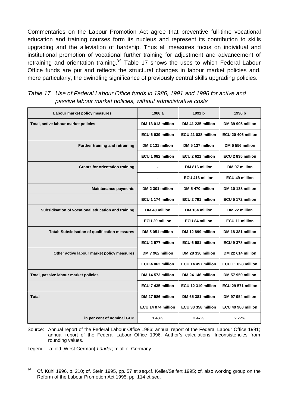Commentaries on the Labour Promotion Act agree that preventive full-time vocational education and training courses form its nucleus and represent its contribution to skills upgrading and the alleviation of hardship. Thus all measures focus on individual and institutional promotion of vocational further training for adjustment and advancement of retraining and orientation training.<sup>94</sup> Table 17 shows the uses to which Federal Labour Office funds are put and reflects the structural changes in labour market policies and, more particularly, the dwindling significance of previously central skills upgrading policies.

| Labour market policy measures                      | 1986 a             | 1991 b                | 1996 b                   |
|----------------------------------------------------|--------------------|-----------------------|--------------------------|
| Total, active labour market policies               | DM 13 013 million  | DM 41 235 million     | DM 39 995 million        |
|                                                    | ECU 6 639 million  | ECU 21 038 million    | ECU 20 406 million       |
| Further training and retraining                    | DM 2 121 million   | DM 5 137 million      | DM 5 556 million         |
|                                                    | ECU 1 082 million  | ECU 2 621 million     | ECU 2 835 million        |
| <b>Grants for orientation training</b>             |                    | DM 816 million        | DM 97 million            |
|                                                    |                    | ECU 416 million       | ECU 49 million           |
| <b>Maintenance payments</b>                        | DM 2 301 million   | DM 5 470 million      | DM 10 138 million        |
|                                                    | ECU 1 174 million  | ECU 2791 million      | ECU 5 172 million        |
| Subsidisation of vocational education and training | DM 40 million      | DM 164 million        | DM 22 million            |
|                                                    | ECU 20 million     | <b>ECU 84 million</b> | ECU 11 million           |
| Total: Subsidisation of qualification measures     | DM 5 051 million   | DM 12 899 million     | DM 18 381 million        |
|                                                    | ECU 2 577 million  | ECU 6 581 million     | ECU 9 378 million        |
| Other active labour market policy measures         | DM 7 962 million   | DM 28 336 million     | DM 22 614 million        |
|                                                    | ECU 4 062 million  | ECU 14 457 million    | ECU 11 028 million       |
| Total, passive labour market policies              | DM 14 573 million  | DM 24 146 million     | <b>DM 57 959 million</b> |
|                                                    | ECU 7 435 million  | ECU 12 319 million    | ECU 29 571 million       |
| Total                                              | DM 27 586 million  | DM 65 381 million     | DM 97 954 million        |
|                                                    | ECU 14 074 million | ECU 33 358 million    | ECU 49 980 million       |
| in per cent of nominal GDP                         | 1.43%              | 2.47%                 | 2.77%                    |

Table 17 Use of Federal Labour Office funds in 1986, 1991 and 1996 for active and passive labour market policies, without administrative costs

Source: Annual report of the Federal Labour Office 1986; annual report of the Federal Labour Office 1991; annual report of the Federal Labour Office 1996. Author's calculations. Inconsistencies from rounding values.

Legend: a: old [West German] Länder; b: all of Germany.

<sup>&</sup>lt;sup>94</sup> Cf. Kühl 1996, p. 210; cf. Stein 1995, pp. 57 et seq.cf. Keller/Seifert 1995; cf. also working group on the Reform of the Labour Promotion Act 1995, pp. 114 et seq.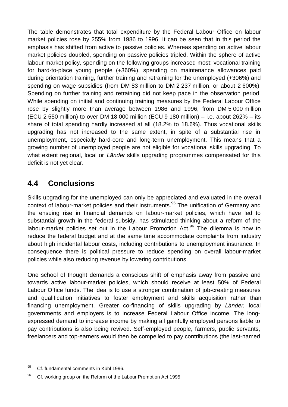The table demonstrates that total expenditure by the Federal Labour Office on labour market policies rose by 255% from 1986 to 1996. It can be seen that in this period the emphasis has shifted from active to passive policies. Whereas spending on active labour market policies doubled, spending on passive policies tripled. Within the sphere of active labour market policy, spending on the following groups increased most: vocational training for hard-to-place young people (+360%), spending on maintenance allowances paid during orientation training, further training and retraining for the unemployed (+306%) and spending on wage subsidies (from DM 83 million to DM 2 237 million, or about 2 600%). Spending on further training and retraining did not keep pace in the observation period. While spending on initial and continuing training measures by the Federal Labour Office rose by slightly more than average between 1986 and 1996, from DM 5 000 million (ECU 2 550 million) to over DM 18 000 million (ECU 9 180 million) – i.e. about 262% – its share of total spending hardly increased at all (18.2% to 18.6%). Thus vocational skills upgrading has not increased to the same extent, in spite of a substantial rise in unemployment, especially hard-core and long-term unemployment. This means that a growing number of unemployed people are not eligible for vocational skills upgrading. To what extent regional, local or Länder skills upgrading programmes compensated for this deficit is not yet clear.

### **4.4 Conclusions**

Skills upgrading for the unemployed can only be appreciated and evaluated in the overall context of labour-market policies and their instruments.<sup>95</sup> The unification of Germany and the ensuing rise in financial demands on labour-market policies, which have led to substantial growth in the federal subsidy, has stimulated thinking about a reform of the labour-market policies set out in the Labour Promotion  $Act.^{96}$  The dilemma is how to reduce the federal budget and at the same time accommodate complaints from industry about high incidental labour costs, including contributions to unemployment insurance. In consequence there is political pressure to reduce spending on overall labour-market policies while also reducing revenue by lowering contributions.

One school of thought demands a conscious shift of emphasis away from passive and towards active labour-market policies, which should receive at least 50% of Federal Labour Office funds. The idea is to use a stronger combination of job-creating measures and qualification initiatives to foster employment and skills acquisition rather than financing unemployment. Greater co-financing of skills upgrading by Länder, local governments and employers is to increase Federal Labour Office income. The longexpressed demand to increase income by making all gainfully employed persons liable to pay contributions is also being revived. Self-employed people, farmers, public servants, freelancers and top-earners would then be compelled to pay contributions (the last-named

 $^{95}$  Cf. fundamental comments in Kühl 1996.

<sup>&</sup>lt;sup>96</sup> Cf. working group on the Reform of the Labour Promotion Act 1995.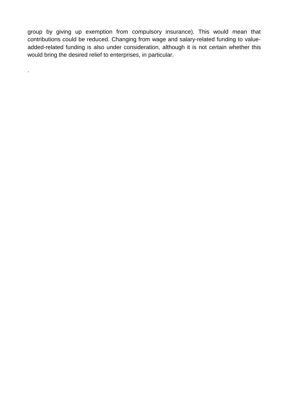group by giving up exemption from compulsory insurance). This would mean that contributions could be reduced. Changing from wage and salary-related funding to valueadded-related funding is also under consideration, although it is not certain whether this would bring the desired relief to enterprises, in particular.

.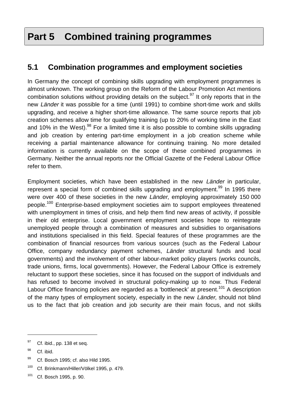# **Part 5 Combined training programmes**

### **5.1 Combination programmes and employment societies**

In Germany the concept of combining skills upgrading with employment programmes is almost unknown. The working group on the Reform of the Labour Promotion Act mentions combination solutions without providing details on the subject.<sup>97</sup> It only reports that in the new Länder it was possible for a time (until 1991) to combine short-time work and skills upgrading, and receive a higher short-time allowance. The same source reports that job creation schemes allow time for qualifying training (up to 20% of working time in the East and 10% in the West).<sup>98</sup> For a limited time it is also possible to combine skills upgrading and job creation by entering part-time employment in a job creation scheme while receiving a partial maintenance allowance for continuing training. No more detailed information is currently available on the scope of these combined programmes in Germany. Neither the annual reports nor the Official Gazette of the Federal Labour Office refer to them.

Employment societies, which have been established in the new Länder in particular. represent a special form of combined skills upgrading and employment.<sup>99</sup> In 1995 there were over 400 of these societies in the new Länder, employing approximately 150 000 people.100 Enterprise-based employment societies aim to support employees threatened with unemployment in times of crisis, and help them find new areas of activity, if possible in their old enterprise. Local government employment societies hope to reintegrate unemployed people through a combination of measures and subsidies to organisations and institutions specialised in this field. Special features of these programmes are the combination of financial resources from various sources (such as the Federal Labour Office, company redundancy payment schemes, Länder structural funds and local governments) and the involvement of other labour-market policy players (works councils, trade unions, firms, local governments). However, the Federal Labour Office is extremely reluctant to support these societies, since it has focused on the support of individuals and has refused to become involved in structural policy-making up to now. Thus Federal Labour Office financing policies are regarded as a 'bottleneck' at present.<sup>101</sup> A description of the many types of employment society, especially in the new Länder, should not blind us to the fact that job creation and job security are their main focus, and not skills

<sup>&</sup>lt;sup>97</sup> Cf. ibid., pp. 138 et seq.

<sup>&</sup>lt;sup>98</sup> Cf. ibid.

<sup>99</sup> Cf. Bosch 1995; cf. also Hild 1995.

<sup>100</sup> Cf. Brinkmann/Hiller/Völkel 1995, p. 479.

<sup>101</sup> Cf. Bosch 1995, p. 90.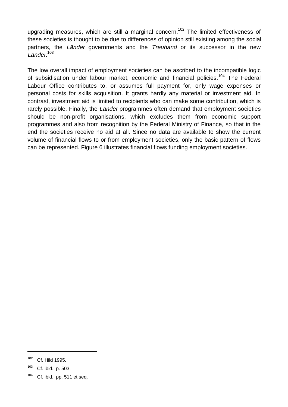upgrading measures, which are still a marginal concern.<sup>102</sup> The limited effectiveness of these societies is thought to be due to differences of opinion still existing among the social partners, the Länder governments and the Treuhand or its successor in the new Länder.<sup>103</sup>

The low overall impact of employment societies can be ascribed to the incompatible logic of subsidisation under labour market, economic and financial policies.<sup>104</sup> The Federal Labour Office contributes to, or assumes full payment for, only wage expenses or personal costs for skills acquisition. It grants hardly any material or investment aid. In contrast, investment aid is limited to recipients who can make some contribution, which is rarely possible. Finally, the Länder programmes often demand that employment societies should be non-profit organisations, which excludes them from economic support programmes and also from recognition by the Federal Ministry of Finance, so that in the end the societies receive no aid at all. Since no data are available to show the current volume of financial flows to or from employment societies, only the basic pattern of flows can be represented. Figure 6 illustrates financial flows funding employment societies.

<sup>102</sup> Cf. Hild 1995.

<sup>103</sup> Cf. ibid., p. 503.

 $104$  Cf. ibid., pp. 511 et seq.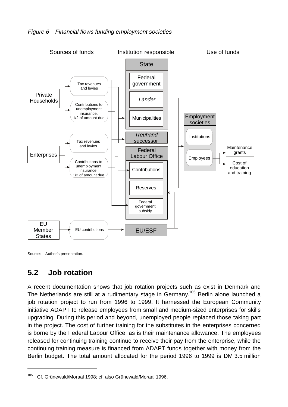

Source: Author's presentation.

<u>.</u>

### **5.2 Job rotation**

A recent documentation shows that job rotation projects such as exist in Denmark and The Netherlands are still at a rudimentary stage in Germany.<sup>105</sup> Berlin alone launched a job rotation project to run from 1996 to 1999. It harnessed the European Community initiative ADAPT to release employees from small and medium-sized enterprises for skills upgrading. During this period and beyond, unemployed people replaced those taking part in the project. The cost of further training for the substitutes in the enterprises concerned is borne by the Federal Labour Office, as is their maintenance allowance. The employees released for continuing training continue to receive their pay from the enterprise, while the continuing training measure is financed from ADAPT funds together with money from the Berlin budget. The total amount allocated for the period 1996 to 1999 is DM 3.5 million

<sup>&</sup>lt;sup>105</sup> Cf. Grünewald/Moraal 1998; cf. also Grünewald/Moraal 1996.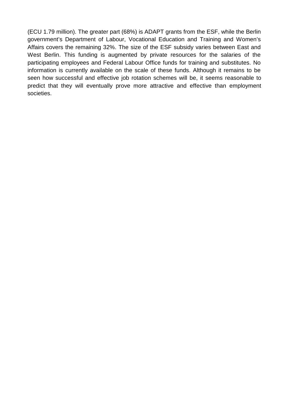(ECU 1.79 million). The greater part (68%) is ADAPT grants from the ESF, while the Berlin government's Department of Labour, Vocational Education and Training and Women's Affairs covers the remaining 32%. The size of the ESF subsidy varies between East and West Berlin. This funding is augmented by private resources for the salaries of the participating employees and Federal Labour Office funds for training and substitutes. No information is currently available on the scale of these funds. Although it remains to be seen how successful and effective job rotation schemes will be, it seems reasonable to predict that they will eventually prove more attractive and effective than employment societies.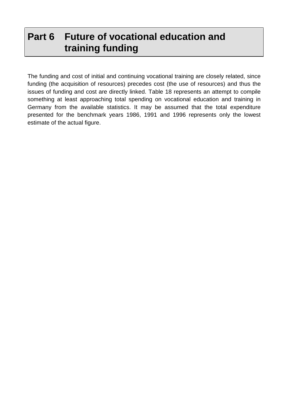# **Part 6 Future of vocational education and training funding**

The funding and cost of initial and continuing vocational training are closely related, since funding (the acquisition of resources) precedes cost (the use of resources) and thus the issues of funding and cost are directly linked. Table 18 represents an attempt to compile something at least approaching total spending on vocational education and training in Germany from the available statistics. It may be assumed that the total expenditure presented for the benchmark years 1986, 1991 and 1996 represents only the lowest estimate of the actual figure.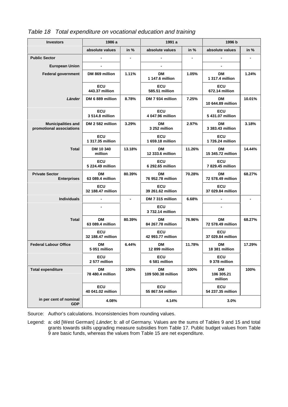| <b>Investors</b>                                      | 1986 a                          |        | 1991 a                          |        | 1996 b                          |        |
|-------------------------------------------------------|---------------------------------|--------|---------------------------------|--------|---------------------------------|--------|
|                                                       | absolute values                 | in $%$ | absolute values                 | in $%$ | absolute values                 | in $%$ |
| <b>Public Sector</b>                                  |                                 |        | -                               |        | $\blacksquare$                  |        |
| <b>European Union</b>                                 |                                 |        |                                 |        |                                 |        |
| <b>Federal government</b>                             | DM 869 million                  | 1.11%  | DМ<br>1 147.6 million           | 1.05%  | DM<br>1 317.4 million           | 1.24%  |
|                                                       | <b>ECU</b><br>443.37 million    |        | ECU<br>585.51 million           |        | ECU<br>672.14 million           |        |
| Länder                                                | DM 6 889 million                | 8.78%  | DM 7 934 million                | 7.25%  | <b>DM</b><br>10 644.89 million  | 10.01% |
|                                                       | <b>ECU</b><br>3 514.8 million   |        | <b>ECU</b><br>4 047.96 million  |        | <b>ECU</b><br>5 431.07 million  |        |
| <b>Municipalities and</b><br>promotional associations | DM 2 582 million                | 3.29%  | DM<br>3 252 million             | 2.97%  | DM<br>3 383.43 million          | 3.18%  |
|                                                       | <b>ECU</b><br>1 317.35 million  |        | <b>ECU</b><br>1 659.18 million  |        | <b>ECU</b><br>1 726.24 million  |        |
| <b>Total</b>                                          | DM 10 340<br>million            | 13.18% | DМ<br>12 333.6 million          | 11.26% | DМ<br>15 345.72 million         | 14.44% |
|                                                       | <b>ECU</b><br>5 224.49 million  |        | ECU<br>6 292.65 million         |        | <b>ECU</b><br>7829.45 million   |        |
| <b>Private Sector</b><br><b>Enterprises</b>           | <b>DM</b><br>63 089.4 million   | 80.39% | DМ<br>76 952.78 million         | 70.28% | DМ<br>72 578.49 million         | 68.27% |
|                                                       | <b>ECU</b><br>32 188.47 million |        | <b>ECU</b><br>39 261.62 million |        | <b>ECU</b><br>37 029.84 million |        |
| <b>Individuals</b>                                    |                                 |        | DM 7 315 million                | 6.68%  | -                               |        |
|                                                       |                                 |        | <b>ECU</b><br>3 732.14 million  |        |                                 |        |
| <b>Total</b>                                          | DМ<br>63 089.4 million          | 80.39% | DМ<br>84 267.78 million         | 76.96% | DM<br>72 578.49 million         | 68.27% |
|                                                       | <b>ECU</b><br>32 188.47 million |        | <b>ECU</b><br>42 993.77 million |        | <b>ECU</b><br>37 029.84 million |        |
| <b>Federal Labour Office</b>                          | DM<br>5 051 million             | 6.44%  | DM<br>12 899 million            | 11.78% | DМ<br>18 381 million            | 17.29% |
|                                                       | ECU<br>2 577 million            |        | <b>ECU</b><br>6 581 million     |        | ECU<br>9 378 million            |        |
| <b>Total expenditure</b>                              | <b>DM</b><br>78 480.4 million   | 100%   | <b>DM</b><br>109 500.38 million | 100%   | DM<br>106 305.21<br>million     | 100%   |
|                                                       | ECU<br>40 041.02 million        |        | <b>ECU</b><br>55 867.54 million |        | <b>ECU</b><br>54 237.35 million |        |
| in per cent of nominal<br><b>GDP</b>                  | 4.08%                           |        | 4.14%                           |        | 3.0%                            |        |

Table 18 Total expenditure on vocational education and training

Source: Author's calculations. Inconsistencies from rounding values.

Legend: a: old [West German] Länder, b: all of Germany. Values are the sums of Tables 9 and 15 and total grants towards skills upgrading measure subsidies from Table 17. Public budget values from Table 9 are basic funds, whereas the values from Table 15 are net expenditure.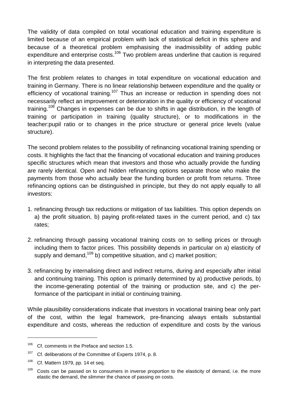The validity of data compiled on total vocational education and training expenditure is limited because of an empirical problem with lack of statistical deficit in this sphere and because of a theoretical problem emphasising the inadmissibility of adding public expenditure and enterprise costs.<sup>106</sup> Two problem areas underline that caution is required in interpreting the data presented.

The first problem relates to changes in total expenditure on vocational education and training in Germany. There is no linear relationship between expenditure and the quality or efficiency of vocational training.<sup>107</sup> Thus an increase or reduction in spending does not necessarily reflect an improvement or deterioration in the quality or efficiency of vocational training.<sup>108</sup> Changes in expenses can be due to shifts in age distribution, in the length of training or participation in training (quality structure), or to modifications in the teacher:pupil ratio or to changes in the price structure or general price levels (value structure).

The second problem relates to the possibility of refinancing vocational training spending or costs. It highlights the fact that the financing of vocational education and training produces specific structures which mean that investors and those who actually provide the funding are rarely identical. Open and hidden refinancing options separate those who make the payments from those who actually bear the funding burden or profit from returns. Three refinancing options can be distinguished in principle, but they do not apply equally to all investors:

- 1. refinancing through tax reductions or mitigation of tax liabilities. This option depends on a) the profit situation, b) paying profit-related taxes in the current period, and c) tax rates;
- 2. refinancing through passing vocational training costs on to selling prices or through including them to factor prices. This possibility depends in particular on a) elasticity of supply and demand,  $109$  b) competitive situation, and c) market position;
- 3. refinancing by internalising direct and indirect returns, during and especially after initial and continuing training. This option is primarily determined by a) productive periods, b) the income-generating potential of the training or production site, and c) the performance of the participant in initial or continuing training.

While plausibility considerations indicate that investors in vocational training bear only part of the cost, within the legal framework, pre-financing always entails substantial expenditure and costs, whereas the reduction of expenditure and costs by the various

1

 $106$  Cf. comments in the Preface and section 1.5.

<sup>&</sup>lt;sup>107</sup> Cf. deliberations of the Committee of Experts 1974, p. 8.

 $108$  Cf. Mattern 1979, pp. 14 et seq.

 $109$  Costs can be passed on to consumers in inverse proportion to the elasticity of demand, i.e. the more elastic the demand, the slimmer the chance of passing on costs.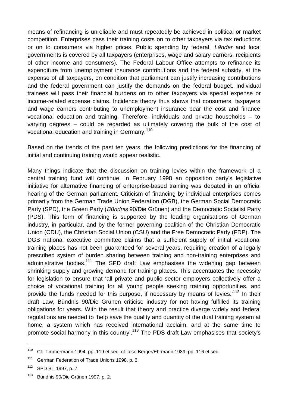means of refinancing is unreliable and must repeatedly be achieved in political or market competition. Enterprises pass their training costs on to other taxpayers via tax reductions or on to consumers via higher prices. Public spending by federal, Länder and local governments is covered by all taxpayers (enterprises, wage and salary earners, recipients of other income and consumers). The Federal Labour Office attempts to refinance its expenditure from unemployment insurance contributions and the federal subsidy, at the expense of all taxpayers, on condition that parliament can justify increasing contributions and the federal government can justify the demands on the federal budget. Individual trainees will pass their financial burdens on to other taxpayers via special expense or income-related expense claims. Incidence theory thus shows that consumers, taxpayers and wage earners contributing to unemployment insurance bear the cost and finance vocational education and training. Therefore, individuals and private households – to varying degrees – could be regarded as ultimately covering the bulk of the cost of vocational education and training in Germany.<sup>110</sup>

Based on the trends of the past ten years, the following predictions for the financing of initial and continuing training would appear realistic.

Many things indicate that the discussion on training levies within the framework of a central training fund will continue. In February 1998 an opposition party's legislative initiative for alternative financing of enterprise-based training was debated in an official hearing of the German parliament. Criticism of financing by individual enterprises comes primarily from the German Trade Union Federation (DGB), the German Social Democratic Party (SPD), the Green Party (Bündnis 90/Die Grünen) and the Democratic Socialist Party (PDS). This form of financing is supported by the leading organisations of German industry, in particular, and by the former governing coalition of the Christian Democratic Union (CDU), the Christian Social Union (CSU) and the Free Democratic Party (FDP). The DGB national executive committee claims that a sufficient supply of initial vocational training places has not been guaranteed for several years, requiring creation of a legally prescribed system of burden sharing between training and non-training enterprises and administrative bodies.<sup>111</sup> The SPD draft Law emphasises the widening gap between shrinking supply and growing demand for training places. This accentuates the necessity for legislation to ensure that 'all private and public sector employers collectively offer a choice of vocational training for all young people seeking training opportunities, and provide the funds needed for this purpose, if necessary by means of levies.<sup>112</sup> In their draft Law, Bündnis 90/Die Grünen criticise industry for not having fulfilled its training obligations for years. With the result that theory and practice diverge widely and federal regulations are needed to 'help save the quality and quantity of the dual training system at home, a system which has received international acclaim, and at the same time to promote social harmony in this country'.<sup>113</sup> The PDS draft Law emphasises that society's

1

<sup>110</sup> Cf. Timmermann 1994, pp. 119 et seq. cf. also Berger/Ehrmann 1989, pp. 116 et seq.

<sup>&</sup>lt;sup>111</sup> German Federation of Trade Unions 1998, p. 6.

<sup>112</sup> SPD Bill 1997, p. 7.

<sup>113</sup> Bündnis 90/Die Grünen 1997, p. 2.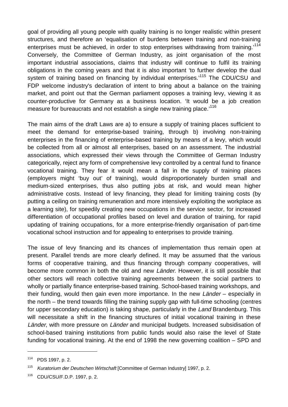goal of providing all young people with quality training is no longer realistic within present structures, and therefore an 'equalisation of burdens between training and non-training enterprises must be achieved, in order to stop enterprises withdrawing from training.<sup>114</sup> Conversely, the Committee of German Industry, as joint organisation of the most important industrial associations, claims that industry will continue to fulfil its training obligations in the coming years and that it is also important 'to further develop the dual system of training based on financing by individual enterprises.<sup>115</sup> The CDU/CSU and FDP welcome industry's declaration of intent to bring about a balance on the training market, and point out that the German parliament opposes a training levy, viewing it as counter-productive for Germany as a business location. 'It would be a job creation measure for bureaucrats and not establish a single new training place.<sup>116</sup>

The main aims of the draft Laws are a) to ensure a supply of training places sufficient to meet the demand for enterprise-based training, through b) involving non-training enterprises in the financing of enterprise-based training by means of a levy, which would be collected from all or almost all enterprises, based on an assessment. The industrial associations, which expressed their views through the Committee of German Industry categorically, reject any form of comprehensive levy controlled by a central fund to finance vocational training. They fear it would mean a fall in the supply of training places (employers might 'buy out' of training), would disproportionately burden small and medium-sized enterprises, thus also putting jobs at risk, and would mean higher administrative costs. Instead of levy financing, they plead for limiting training costs (by putting a ceiling on training remuneration and more intensively exploiting the workplace as a learning site), for speedily creating new occupations in the service sector, for increased differentiation of occupational profiles based on level and duration of training, for rapid updating of training occupations, for a more enterprise-friendly organisation of part-time vocational school instruction and for appealing to enterprises to provide training.

The issue of levy financing and its chances of implementation thus remain open at present. Parallel trends are more clearly defined. It may be assumed that the various forms of cooperative training, and thus financing through company cooperatives, will become more common in both the old and new *Länder*. However, it is still possible that other sectors will reach collective training agreements between the social partners to wholly or partially finance enterprise-based training. School-based training workshops, and their funding, would then gain even more importance. In the new Länder – especially in the north – the trend towards filling the training supply gap with full-time schooling (centres for upper secondary education) is taking shape, particularly in the Land Brandenburg. This will necessitate a shift in the financing structures of initial vocational training in these Länder, with more pressure on Länder and municipal budgets. Increased subsidisation of school-based training institutions from public funds would also raise the level of State funding for vocational training. At the end of 1998 the new governing coalition – SPD and

<u>.</u>

<sup>114</sup> PDS 1997, p. 2.

<sup>115</sup> Kuratorium der Deutschen Wirtschaft [Committee of German Industry] 1997, p. 2.

<sup>116</sup> CDU/CSU/F.D.P. 1997, p. 2.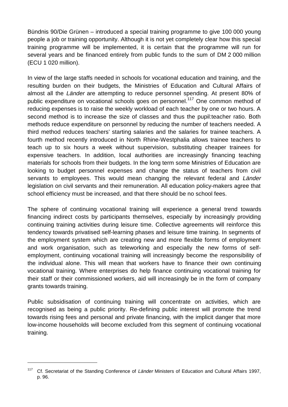Bündnis 90/Die Grünen – introduced a special training programme to give 100 000 young people a job or training opportunity. Although it is not yet completely clear how this special training programme will be implemented, it is certain that the programme will run for several years and be financed entirely from public funds to the sum of DM 2 000 million (ECU 1 020 million).

In view of the large staffs needed in schools for vocational education and training, and the resulting burden on their budgets, the Ministries of Education and Cultural Affairs of almost all the Länder are attempting to reduce personnel spending. At present 80% of public expenditure on vocational schools goes on personnel.<sup>117</sup> One common method of reducing expenses is to raise the weekly workload of each teacher by one or two hours. A second method is to increase the size of classes and thus the pupil:teacher ratio. Both methods reduce expenditure on personnel by reducing the number of teachers needed. A third method reduces teachers' starting salaries and the salaries for trainee teachers. A fourth method recently introduced in North Rhine-Westphalia allows trainee teachers to teach up to six hours a week without supervision, substituting cheaper trainees for expensive teachers. In addition, local authorities are increasingly financing teaching materials for schools from their budgets. In the long term some Ministries of Education are looking to budget personnel expenses and change the status of teachers from civil servants to employees. This would mean changing the relevant federal and Länder legislation on civil servants and their remuneration. All education policy-makers agree that school efficiency must be increased, and that there should be no school fees.

The sphere of continuing vocational training will experience a general trend towards financing indirect costs by participants themselves, especially by increasingly providing continuing training activities during leisure time. Collective agreements will reinforce this tendency towards privatised self-learning phases and leisure time training. In segments of the employment system which are creating new and more flexible forms of employment and work organisation, such as teleworking and especially the new forms of selfemployment, continuing vocational training will increasingly become the responsibility of the individual alone. This will mean that workers have to finance their own continuing vocational training. Where enterprises do help finance continuing vocational training for their staff or their commissioned workers, aid will increasingly be in the form of company grants towards training.

Public subsidisation of continuing training will concentrate on activities, which are recognised as being a public priority. Re-defining public interest will promote the trend towards rising fees and personal and private financing, with the implicit danger that more low-income households will become excluded from this segment of continuing vocational training.

1

<sup>&</sup>lt;sup>117</sup> Cf. Secretariat of the Standing Conference of Länder Ministers of Education and Cultural Affairs 1997, p. 96.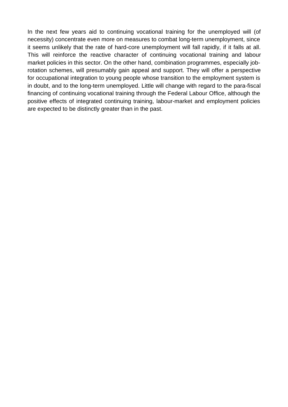In the next few years aid to continuing vocational training for the unemployed will (of necessity) concentrate even more on measures to combat long-term unemployment, since it seems unlikely that the rate of hard-core unemployment will fall rapidly, if it falls at all. This will reinforce the reactive character of continuing vocational training and labour market policies in this sector. On the other hand, combination programmes, especially jobrotation schemes, will presumably gain appeal and support. They will offer a perspective for occupational integration to young people whose transition to the employment system is in doubt, and to the long-term unemployed. Little will change with regard to the para-fiscal financing of continuing vocational training through the Federal Labour Office, although the positive effects of integrated continuing training, labour-market and employment policies are expected to be distinctly greater than in the past.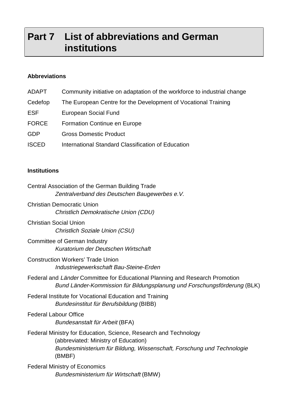# **Part 7 List of abbreviations and German institutions**

# **Abbreviations**

| ADAPT        | Community initiative on adaptation of the workforce to industrial change |
|--------------|--------------------------------------------------------------------------|
| Cedefop      | The European Centre for the Development of Vocational Training           |
| <b>ESF</b>   | European Social Fund                                                     |
| <b>FORCE</b> | <b>Formation Continue en Europe</b>                                      |
| <b>GDP</b>   | <b>Gross Domestic Product</b>                                            |
| <b>ISCED</b> | International Standard Classification of Education                       |

# **Institutions**

| Central Association of the German Building Trade<br>Zentralverband des Deutschen Baugewerbes e.V.                                                                                            |
|----------------------------------------------------------------------------------------------------------------------------------------------------------------------------------------------|
| <b>Christian Democratic Union</b><br>Christlich Demokratische Union (CDU)                                                                                                                    |
| <b>Christian Social Union</b><br><b>Christlich Soziale Union (CSU)</b>                                                                                                                       |
| Committee of German Industry<br>Kuratorium der Deutschen Wirtschaft                                                                                                                          |
| <b>Construction Workers' Trade Union</b><br>Industriegewerkschaft Bau-Steine-Erden                                                                                                           |
| Federal and Länder Committee for Educational Planning and Research Promotion<br>Bund Länder-Kommission für Bildungsplanung und Forschungsförderung (BLK)                                     |
| Federal Institute for Vocational Education and Training<br>Bundesinstitut für Berufsbildung (BIBB)                                                                                           |
| <b>Federal Labour Office</b><br>Bundesanstalt für Arbeit (BFA)                                                                                                                               |
| Federal Ministry for Education, Science, Research and Technology<br>(abbreviated: Ministry of Education)<br>Bundesministerium für Bildung, Wissenschaft, Forschung und Technologie<br>(BMBF) |
| <b>Federal Ministry of Economics</b><br>Bundesministerium für Wirtschaft (BMW)                                                                                                               |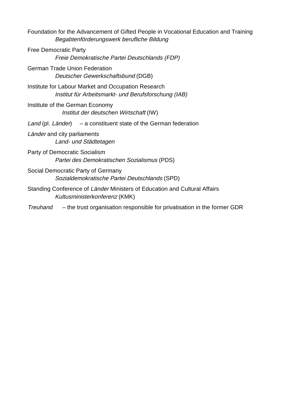| Foundation for the Advancement of Gifted People in Vocational Education and Training<br>Begabtenförderungswerk berufliche Bildung |  |
|-----------------------------------------------------------------------------------------------------------------------------------|--|
| <b>Free Democratic Party</b><br>Freie Demokratische Partei Deutschlands (FDP)                                                     |  |
| <b>German Trade Union Federation</b><br>Deutscher Gewerkschaftsbund (DGB)                                                         |  |
| Institute for Labour Market and Occupation Research<br>Institut für Arbeitsmarkt- und Berufsforschung (IAB)                       |  |
| Institute of the German Economy<br>Institut der deutschen Wirtschaft (IW)                                                         |  |
| Land (pl. Länder) $-$ a constituent state of the German federation                                                                |  |
| Länder and city parliaments<br>Land- und Städtetagen                                                                              |  |
| Party of Democratic Socialism<br>Partei des Demokratischen Sozialismus (PDS)                                                      |  |
| Social Democratic Party of Germany<br>Sozialdemokratische Partei Deutschlands (SPD)                                               |  |
| Standing Conference of Länder Ministers of Education and Cultural Affairs<br>Kultusministerkonferenz (KMK)                        |  |
| - the trust organisation responsible for privatisation in the former GDR<br>Treuhand                                              |  |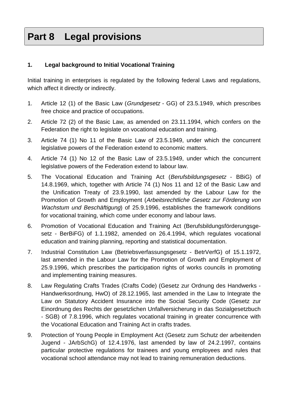# **Part 8 Legal provisions**

# **1. Legal background to Initial Vocational Training**

Initial training in enterprises is regulated by the following federal Laws and regulations, which affect it directly or indirectly.

- 1. Article 12 (1) of the Basic Law (Grundgesetz GG) of 23.5.1949, which prescribes free choice and practice of occupations.
- 2. Article 72 (2) of the Basic Law, as amended on 23.11.1994, which confers on the Federation the right to legislate on vocational education and training.
- 3. Article 74 (1) No 11 of the Basic Law of 23.5.1949, under which the concurrent legislative powers of the Federation extend to economic matters.
- 4. Article 74 (1) No 12 of the Basic Law of 23.5.1949, under which the concurrent legislative powers of the Federation extend to labour law.
- 5. The Vocational Education and Training Act (Berufsbildungsgesetz BBiG) of 14.8.1969, which, together with Article 74 (1) Nos 11 and 12 of the Basic Law and the Unification Treaty of 23.9.1990, last amended by the Labour Law for the Promotion of Growth and Employment (Arbeitsrechtliche Gesetz zur Förderung von Wachstum und Beschäftigung) of 25.9.1996, establishes the framework conditions for vocational training, which come under economy and labour laws.
- 6. Promotion of Vocational Education and Training Act (Berufsbildungsförderungsgesetz - BerBiFG) of 1.1.1982, amended on 26.4.1994, which regulates vocational education and training planning, reporting and statistical documentation.
- 7. Industrial Constitution Law (Betriebsverfassungsgesetz BetrVerfG) of 15.1.1972, last amended in the Labour Law for the Promotion of Growth and Employment of 25.9.1996, which prescribes the participation rights of works councils in promoting and implementing training measures.
- 8. Law Regulating Crafts Trades (Crafts Code) (Gesetz zur Ordnung des Handwerks Handwerksordnung, HwO) of 28.12.1965, last amended in the Law to Integrate the Law on Statutory Accident Insurance into the Social Security Code (Gesetz zur Einordnung des Rechts der gesetzlichen Unfallversicherung in das Sozialgesetzbuch - SGB) of 7.8.1996, which regulates vocational training in greater concurrence with the Vocational Education and Training Act in crafts trades.
- 9. Protection of Young People in Employment Act (Gesetz zum Schutz der arbeitenden Jugend - JArbSchG) of 12.4.1976, last amended by law of 24.2.1997, contains particular protective regulations for trainees and young employees and rules that vocational school attendance may not lead to training remuneration deductions.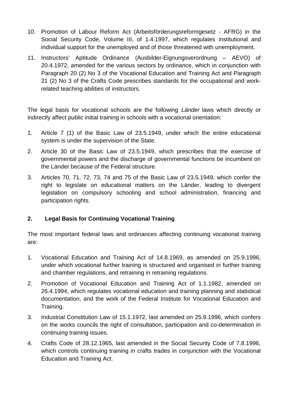- 10. Promotion of Labour Reform Act (Arbeitsförderungsreformgesetz AFRG) in the Social Security Code, Volume III, of 1.4.1997, which regulates institutional and individual support for the unemployed and of those threatened with unemployment.
- 11. Instructors' Aptitude Ordinance (Ausbilder-Eignungsverordnung AEVO) of 20.4.1972, amended for the various sectors by ordinance, which in conjunction with Paragraph 20 (2) No 3 of the Vocational Education and Training Act and Paragraph 21 (2) No 3 of the Crafts Code prescribes standards for the occupational and workrelated teaching abilities of instructors.

The legal basis for vocational schools are the following *Länder* laws which directly or indirectly affect public initial training in schools with a vocational orientation:

- 1. Article 7 (1) of the Basic Law of 23.5.1949, under which the entire educational system is under the supervision of the State.
- 2. Article 30 of the Basic Law of 23.5.1949, which prescribes that the exercise of governmental powers and the discharge of governmental functions be incumbent on the Länder because of the Federal structure.
- 3. Articles 70, 71, 72, 73, 74 and 75 of the Basic Law of 23.5.1949, which confer the right to legislate on educational matters on the Länder, leading to divergent legislation on compulsory schooling and school administration, financing and participation rights.

# **2. Legal Basis for Continuing Vocational Training**

The most important federal laws and ordinances affecting continuing vocational training are:

- 1. Vocational Education and Training Act of 14.8.1969, as amended on 25.9.1996, under which vocational further training is structured and organised in further training and chamber regulations, and retraining in retraining regulations.
- 2. Promotion of Vocational Education and Training Act of 1.1.1982, amended on 26.4.1994, which regulates vocational education and training planning and statistical documentation, and the work of the Federal Institute for Vocational Education and Training.
- 3. Industrial Constitution Law of 15.1.1972, last amended on 25.9.1996, which confers on the works councils the right of consultation, participation and co-determination in continuing training issues.
- 4. Crafts Code of 28.12.1965, last amended in the Social Security Code of 7.8.1996, which controls continuing training in crafts trades in conjunction with the Vocational Education and Training Act.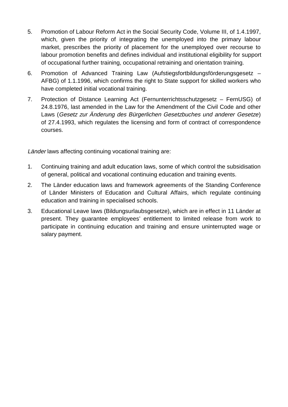- 5. Promotion of Labour Reform Act in the Social Security Code, Volume III, of 1.4.1997, which, given the priority of integrating the unemployed into the primary labour market, prescribes the priority of placement for the unemployed over recourse to labour promotion benefits and defines individual and institutional eligibility for support of occupational further training, occupational retraining and orientation training.
- 6. Promotion of Advanced Training Law (Aufstiegsfortbildungsförderungsgesetz AFBG) of 1.1.1996, which confirms the right to State support for skilled workers who have completed initial vocational training.
- 7. Protection of Distance Learning Act (Fernunterrichtsschutzgesetz FernUSG) of 24.8.1976, last amended in the Law for the Amendment of the Civil Code and other Laws (Gesetz zur Änderung des Bürgerlichen Gesetzbuches und anderer Gesetze) of 27.4.1993, which regulates the licensing and form of contract of correspondence courses.

Länder laws affecting continuing vocational training are:

- 1. Continuing training and adult education laws, some of which control the subsidisation of general, political and vocational continuing education and training events.
- 2. The Länder education laws and framework agreements of the Standing Conference of Länder Ministers of Education and Cultural Affairs, which regulate continuing education and training in specialised schools.
- 3. Educational Leave laws (Bildungsurlaubsgesetze), which are in effect in 11 Länder at present. They guarantee employees' entitlement to limited release from work to participate in continuing education and training and ensure uninterrupted wage or salary payment.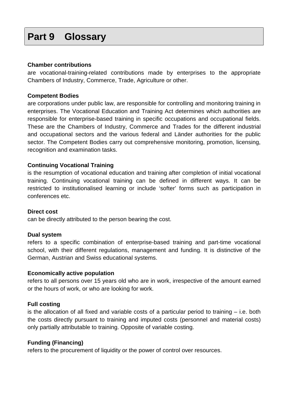# **Part 9 Glossary**

#### **Chamber contributions**

are vocational-training-related contributions made by enterprises to the appropriate Chambers of Industry, Commerce, Trade, Agriculture or other.

#### **Competent Bodies**

are corporations under public law, are responsible for controlling and monitoring training in enterprises. The Vocational Education and Training Act determines which authorities are responsible for enterprise-based training in specific occupations and occupational fields. These are the Chambers of Industry, Commerce and Trades for the different industrial and occupational sectors and the various federal and Länder authorities for the public sector. The Competent Bodies carry out comprehensive monitoring, promotion, licensing, recognition and examination tasks.

#### **Continuing Vocational Training**

is the resumption of vocational education and training after completion of initial vocational training. Continuing vocational training can be defined in different ways. It can be restricted to institutionalised learning or include 'softer' forms such as participation in conferences etc.

#### **Direct cost**

can be directly attributed to the person bearing the cost.

#### **Dual system**

refers to a specific combination of enterprise-based training and part-time vocational school, with their different regulations, management and funding. It is distinctive of the German, Austrian and Swiss educational systems.

#### **Economically active population**

refers to all persons over 15 years old who are in work, irrespective of the amount earned or the hours of work, or who are looking for work.

#### **Full costing**

is the allocation of all fixed and variable costs of a particular period to training – i.e. both the costs directly pursuant to training and imputed costs (personnel and material costs) only partially attributable to training. Opposite of variable costing.

#### **Funding (Financing)**

refers to the procurement of liquidity or the power of control over resources.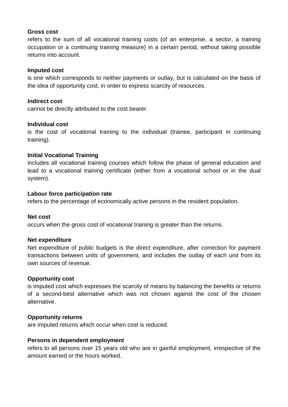#### **Gross cost**

refers to the sum of all vocational training costs (of an enterprise, a sector, a training occupation or a continuing training measure) in a certain period, without taking possible returns into account.

#### **Imputed cost**

is one which corresponds to neither payments or outlay, but is calculated on the basis of the idea of opportunity cost, in order to express scarcity of resources.

#### **Indirect cost**

cannot be directly attributed to the cost bearer.

#### **Individual cost**

is the cost of vocational training to the individual (trainee, participant in continuing training).

#### **Initial Vocational Training**

includes all vocational training courses which follow the phase of general education and lead to a vocational training certificate (either from a vocational school or in the dual system).

#### **Labour force participation rate**

refers to the percentage of economically active persons in the resident population.

#### **Net cost**

occurs when the gross cost of vocational training is greater than the returns.

#### **Net expenditure**

Net expenditure of public budgets is the direct expenditure, after correction for payment transactions between units of government, and includes the outlay of each unit from its own sources of revenue.

#### **Opportunity cost**

is imputed cost which expresses the scarcity of means by balancing the benefits or returns of a second-best alternative which was not chosen against the cost of the chosen alternative.

#### **Opportunity returns**

are imputed returns which occur when cost is reduced.

#### **Persons in dependent employment**

refers to all persons over 15 years old who are in gainful employment, irrespective of the amount earned or the hours worked.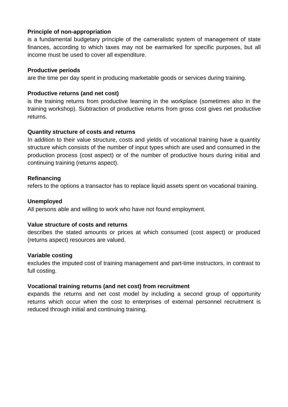# **Principle of non-appropriation**

is a fundamental budgetary principle of the cameralistic system of management of state finances, according to which taxes may not be earmarked for specific purposes, but all income must be used to cover all expenditure.

## **Productive periods**

are the time per day spent in producing marketable goods or services during training.

## **Productive returns (and net cost)**

is the training returns from productive learning in the workplace (sometimes also in the training workshop). Subtraction of productive returns from gross cost gives net productive returns.

### **Quantity structure of costs and returns**

In addition to their value structure, costs and yields of vocational training have a quantity structure which consists of the number of input types which are used and consumed in the production process (cost aspect) or of the number of productive hours during initial and continuing training (returns aspect).

### **Refinancing**

refers to the options a transactor has to replace liquid assets spent on vocational training.

### **Unemployed**

All persons able and willing to work who have not found employment.

#### **Value structure of costs and returns**

describes the stated amounts or prices at which consumed (cost aspect) or produced (returns aspect) resources are valued.

#### **Variable costing**

excludes the imputed cost of training management and part-time instructors, in contrast to full costing.

# **Vocational training returns (and net cost) from recruitment**

expands the returns and net cost model by including a second group of opportunity returns which occur when the cost to enterprises of external personnel recruitment is reduced through initial and continuing training.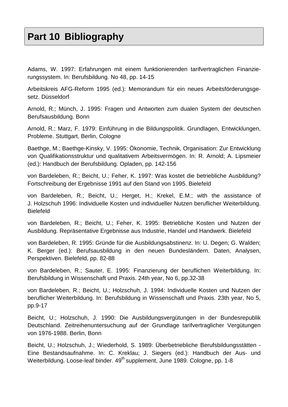# **Part 10 Bibliography**

Adams, W. 1997: Erfahrungen mit einem funktionierenden tarifvertraglichen Finanzierungssystem. In: Berufsbildung. No 48, pp. 14-15

Arbeitskreis AFG-Reform 1995 (ed.): Memorandum für ein neues Arbeitsförderungsgesetz. Düsseldorf

Arnold, R.; Münch, J. 1995: Fragen und Antworten zum dualen System der deutschen Berufsausbildung. Bonn

Arnold, R.; Marz, F. 1979: Einführung in die Bildungspolitik. Grundlagen, Entwicklungen, Probleme. Stuttgart, Berlin, Cologne

Baethge, M.; Baethge-Kinsky, V. 1995: Ökonomie, Technik, Organisation: Zur Entwicklung von Qualifikationsstruktur und qualitativem Arbeitsvermögen. In: R. Arnold; A. Lipsmeier (ed.): Handbuch der Berufsbildung. Opladen, pp. 142-156

von Bardeleben, R.; Beicht, U.; Feher, K. 1997: Was kostet die betriebliche Ausbildung? Fortschreibung der Ergebnisse 1991 auf den Stand von 1995. Bielefeld

von Bardeleben, R.; Beicht, U.; Herget, H.; Krekel, E.M.; with the assistance of J. Holzschuh 1996: Individuelle Kosten und individueller Nutzen beruflicher Weiterbildung. Bielefeld

von Bardeleben, R.; Beicht, U.; Feher, K. 1995: Betriebliche Kosten und Nutzen der Ausbildung. Repräsentative Ergebnisse aus Industrie, Handel und Handwerk. Bielefeld

von Bardeleben, R. 1995: Gründe für die Ausbildungsabstinenz. In: U. Degen; G. Walden; K. Berger (ed.): Berufsausbildung in den neuen Bundesländern. Daten, Analysen, Perspektiven. Bielefeld, pp. 82-88

von Bardeleben, R.; Sauter, E. 1995: Finanzierung der beruflichen Weiterbildung. In: Berufsbildung in Wissenschaft und Praxis. 24th year, No 6, pp.32-38

von Bardeleben, R.; Beicht, U.; Holzschuh, J. 1994: Individuelle Kosten und Nutzen der beruflicher Weiterbildung. In: Berufsbildung in Wissenschaft und Praxis. 23th year, No 5, pp.9-17

Beicht, U.; Holzschuh, J. 1990: Die Ausbildungsvergütungen in der Bundesrepublik Deutschland. Zeitreihenuntersuchung auf der Grundlage tarifvertraglicher Vergütungen von 1976-1988. Berlin, Bonn

Beicht, U.; Holzschuh, J.; Wiederhold, S. 1989: Überbetriebliche Berufsbildungsstätten - Eine Bestandsaufnahme. In: C. Kreklau; J. Siegers (ed.): Handbuch der Aus- und Weiterbildung. Loose-leaf binder.  $49^{th}$  supplement, June 1989. Cologne, pp. 1-8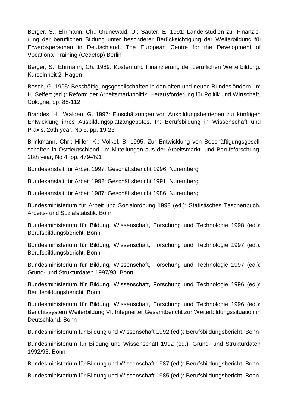Berger, S.; Ehrmann, Ch.; Grünewald, U.; Sauter, E. 1991: Länderstudien zur Finanzierung der beruflichen Bildung unter besonderer Berücksichtigung der Weiterbildung für Erwerbspersonen in Deutschland. The European Centre for the Development of Vocational Training (Cedefop) Berlin

Berger, S.; Ehrmann, Ch. 1989: Kosten und Finanzierung der beruflichen Weiterbildung. Kurseinheit 2. Hagen

Bosch, G. 1995: Beschäftigungsgesellschaften in den alten und neuen Bundesländern. In: H. Seifert (ed.): Reform der Arbeitsmarktpolitik. Herausforderung für Politik und Wirtschaft. Cologne, pp. 88-112

Brandes, H.; Walden, G. 1997: Einschätzungen von Ausbildungsbetrieben zur künftigen Entwicklung ihres Ausbildungsplatzangebotes. In: Berufsbildung in Wissenschaft und Praxis. 26th year, No 6, pp. 19-25

Brinkmann, Chr.; Hiller, K.; Völkel, B. 1995: Zur Entwicklung von Beschäftigungsgesellschaften in Ostdeutschland. In: Mitteilungen aus der Arbeitsmarkt- und Berufsforschung. 28th year, No 4, pp. 479-491

Bundesanstalt für Arbeit 1997: Geschäftsbericht 1996. Nuremberg

Bundesanstalt für Arbeit 1992: Geschäftsbericht 1991. Nuremberg

Bundesanstalt für Arbeit 1987: Geschäftsbericht 1986. Nuremberg

Bundesministerium für Arbeit und Sozialordnung 1998 (ed.): Statistisches Taschenbuch. Arbeits- und Sozialstatistik. Bonn

Bundesministerium für Bildung, Wissenschaft, Forschung und Technologie 1998 (ed.): Berufsbildungsbericht. Bonn

Bundesministerium für Bildung, Wissenschaft, Forschung und Technologie 1997 (ed.): Berufsbildungsbericht. Bonn

Bundesministerium für Bildung, Wissenschaft, Forschung und Technologie 1997 (ed.): Grund- und Strukturdaten 1997/98. Bonn

Bundesministerium für Bildung, Wissenschaft, Forschung und Technologie 1996 (ed.): Berufsbildungsbericht. Bonn

Bundesministerium für Bildung, Wissenschaft, Forschung und Technologie 1996 (ed.): Berichtssystem Weiterbildung VI. Integrierter Gesamtbericht zur Weiterbildungssituation in Deutschland. Bonn

Bundesministerium für Bildung und Wissenschaft 1992 (ed.): Berufsbildungsbericht. Bonn

Bundesministerium für Bildung und Wissenschaft 1992 (ed.): Grund- und Strukturdaten 1992/93. Bonn

Bundesministerium für Bildung und Wissenschaft 1987 (ed.): Berufsbildungsbericht. Bonn

Bundesministerium für Bildung und Wissenschaft 1985 (ed.): Berufsbildungsbericht. Bonn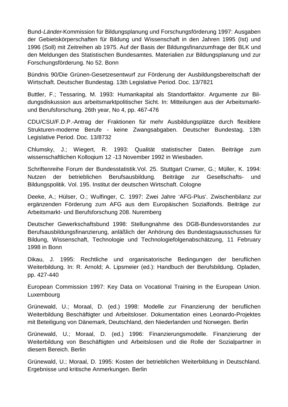Bund-Länder-Kommission für Bildungsplanung und Forschungsförderung 1997: Ausgaben der Gebietskörperschaften für Bildung und Wissenschaft in den Jahren 1995 (Ist) und 1996 (Soll) mit Zeitreihen ab 1975. Auf der Basis der Bildungsfinanzumfrage der BLK und den Meldungen des Statistischen Bundesamtes. Materialien zur Bildungsplanung und zur Forschungsförderung. No 52. Bonn

Bündnis 90/Die Grünen-Gesetzesentwurf zur Förderung der Ausbildungsbereitschaft der Wirtschaft. Deutscher Bundestag. 13th Legislative Period. Doc. 13/7821

Buttler, F.; Tessaring, M. 1993: Humankapital als Standortfaktor. Argumente zur Bildungsdiskussion aus arbeitsmarktpolitischer Sicht. In: Mitteilungen aus der Arbeitsmarktund Berufsforschung. 26th year, No 4, pp. 467-476

CDU/CSU/F.D.P.-Antrag der Fraktionen für mehr Ausbildungsplätze durch flexiblere Strukturen-moderne Berufe - keine Zwangsabgaben. Deutscher Bundestag. 13th Legislative Period. Doc. 13/8732

Chlumsky, J.; Wiegert, R. 1993: Qualität statistischer Daten. Beiträge zum wissenschaftlichen Kolloqium 12 -13 November 1992 in Wiesbaden.

Schriftenreihe Forum der Bundesstatistik.Vol. 25. Stuttgart Cramer, G.; Müller, K. 1994: Nutzen der betrieblichen Berufsausbildung. Beiträge zur Gesellschafts- und Bildungspolitik. Vol. 195. Institut der deutschen Wirtschaft. Cologne

Deeke, A.; Hülser, O.; Wulfinger, C. 1997: Zwei Jahre 'AFG-Plus'. Zwischenbilanz zur ergänzenden Förderung zum AFG aus dem Europäischen Sozialfonds. Beiträge zur Arbeitsmarkt- und Berufsforschung 208. Nuremberg

Deutscher Gewerkschaftsbund 1998: Stellungnahme des DGB-Bundesvorstandes zur Berufsausbildungsfinanzierung, anläßlich der Anhörung des Bundestagsausschusses für Bildung, Wissenschaft, Technologie und Technologiefolgenabschätzung, 11 February 1998 in Bonn

Dikau, J. 1995: Rechtliche und organisatorische Bedingungen der beruflichen Weiterbildung. In: R. Arnold; A. Lipsmeier (ed.): Handbuch der Berufsbildung. Opladen, pp. 427-440

European Commission 1997: Key Data on Vocational Training in the European Union. Luxembourg

Grünewald, U.; Moraal, D. (ed.) 1998: Modelle zur Finanzierung der beruflichen Weiterbildung Beschäftigter und Arbeitsloser. Dokumentation eines Leonardo-Projektes mit Beteiligung von Dänemark, Deutschland, den Niederlanden und Norwegen. Berlin

Grünewald, U.; Moraal, D. (ed.) 1996: Finanzierungsmodelle. Finanzierung der Weiterbildung von Beschäftigten und Arbeitslosen und die Rolle der Sozialpartner in diesem Bereich. Berlin

Grünewald, U.; Moraal, D. 1995: Kosten der betrieblichen Weiterbildung in Deutschland. Ergebnisse und kritische Anmerkungen. Berlin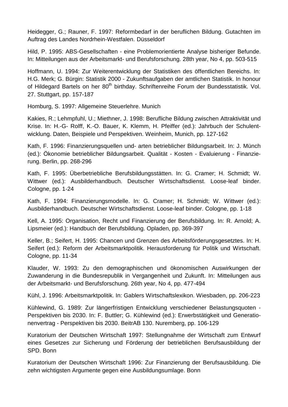Heidegger, G.; Rauner, F. 1997: Reformbedarf in der beruflichen Bildung. Gutachten im Auftrag des Landes Nordrhein-Westfalen. Düsseldorf

Hild, P. 1995: ABS-Gesellschaften - eine Problemorientierte Analyse bisheriger Befunde. In: Mitteilungen aus der Arbeitsmarkt- und Berufsforschung. 28th year, No 4, pp. 503-515

Hoffmann, U. 1994: Zur Weiterentwicklung der Statistiken des öffentlichen Bereichs. In: H.G. Merk; G. Bürgin: Statistik 2000 - Zukunftsaufgaben der amtlichen Statistik. In honour of Hildegard Bartels on her 80<sup>th</sup> birthday. Schriftenreihe Forum der Bundesstatistik. Vol. 27. Stuttgart, pp. 157-187

Homburg, S. 1997: Allgemeine Steuerlehre. Munich

Kakies, R.; Lehmpfuhl, U.; Miethner, J. 1998: Berufliche Bildung zwischen Attraktivität und Krise. In: H.-G- Rolff, K.-O. Bauer, K. Klemm, H. Pfeiffer (ed.): Jahrbuch der Schulentwicklung. Daten, Beispiele und Perspektiven. Weinheim, Munich, pp. 127-162

Kath, F. 1996: Finanzierungsquellen und- arten betrieblicher Bildungsarbeit. In: J. Münch (ed.): Ökonomie betrieblicher Bildungsarbeit. Qualität - Kosten - Evaluierung - Finanzierung. Berlin, pp. 268-296

Kath, F. 1995: Überbetriebliche Berufsbildungsstätten. In: G. Cramer; H. Schmidt; W. Wittwer (ed.): Ausbilderhandbuch. Deutscher Wirtschaftsdienst. Loose-leaf binder. Cologne, pp. 1-24

Kath, F. 1994: Finanzierungsmodelle. In: G. Cramer; H. Schmidt; W. Wittwer (ed.): Ausbilderhandbuch. Deutscher Wirtschaftsdienst. Loose-leaf binder. Cologne, pp. 1-18

Kell, A. 1995: Organisation, Recht und Finanzierung der Berufsbildung. In: R. Arnold; A. Lipsmeier (ed.): Handbuch der Berufsbildung. Opladen, pp. 369-397

Keller, B.; Seifert, H. 1995: Chancen und Grenzen des Arbeitsförderungsgesetztes. In: H. Seifert (ed.): Reform der Arbeitsmarktpolitik. Herausforderung für Politik und Wirtschaft. Cologne, pp. 11-34

Klauder, W. 1993: Zu den demographischen und ökonomischen Auswirkungen der Zuwanderung in die Bundesrepublik in Vergangenheit und Zukunft. In: Mitteilungen aus der Arbeitsmarkt- und Berufsforschung. 26th year, No 4, pp. 477-494

Kühl, J. 1996: Arbeitsmarktpolitik. In: Gablers Wirtschaftslexikon. Wiesbaden, pp. 206-223

Kühlewind, G. 1989: Zur längerfristigen Entwicklung verschiedener Belastungsquoten - Perspektiven bis 2030. In: F. Buttler; G. Kühlewind (ed.): Erwerbstätigkeit und Generationenvertrag - Perspektiven bis 2030. BeitrAB 130. Nuremberg, pp. 106-129

Kuratorium der Deutschen Wirtschaft 1997: Stellungnahme der Wirtschaft zum Entwurf eines Gesetzes zur Sicherung und Förderung der betrieblichen Berufsausbildung der SPD. Bonn

Kuratorium der Deutschen Wirtschaft 1996: Zur Finanzierung der Berufsausbildung. Die zehn wichtigsten Argumente gegen eine Ausbildungsumlage. Bonn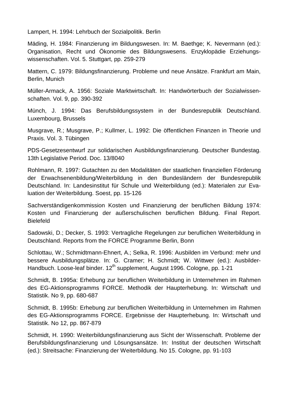Lampert, H. 1994: Lehrbuch der Sozialpolitik. Berlin

Mäding, H. 1984: Finanzierung im Bildungswesen. In: M. Baethge; K. Nevermann (ed.): Organisation, Recht und Ökonomie des Bildungswesens. Enzyklopädie Erziehungswissenschaften. Vol. 5. Stuttgart, pp. 259-279

Mattern, C. 1979: Bildungsfinanzierung. Probleme und neue Ansätze. Frankfurt am Main, Berlin, Munich

Müller-Armack, A. 1956: Soziale Marktwirtschaft. In: Handwörterbuch der Sozialwissenschaften. Vol. 9, pp. 390-392

Münch, J. 1994: Das Berufsbildungssystem in der Bundesrepublik Deutschland. Luxembourg, Brussels

Musgrave, R.; Musgrave, P.; Kullmer, L. 1992: Die öffentlichen Finanzen in Theorie und Praxis. Vol. 3. Tübingen

PDS-Gesetzesentwurf zur solidarischen Ausbildungsfinanzierung. Deutscher Bundestag. 13th Legislative Period. Doc. 13/8040

Rohlmann, R. 1997: Gutachten zu den Modalitäten der staatlichen finanziellen Förderung der Erwachsenenbildung/Weiterbildung in den Bundesländern der Bundesrepublik Deutschland. In: Landesinstitut für Schule und Weiterbildung (ed.): Materialen zur Evaluation der Weiterbildung. Soest, pp. 15-126

Sachverständigenkommission Kosten und Finanzierung der beruflichen Bildung 1974: Kosten und Finanzierung der außerschulischen beruflichen Bildung. Final Report. Bielefeld

Sadowski, D.; Decker, S. 1993: Vertragliche Regelungen zur beruflichen Weiterbildung in Deutschland. Reports from the FORCE Programme Berlin, Bonn

Schlottau, W.; Schmidtmann-Ehnert, A.; Selka, R. 1996: Ausbilden im Verbund: mehr und bessere Ausbildungsplätze. In: G. Cramer; H. Schmidt; W. Wittwer (ed.): Ausbilder-Handbuch. Loose-leaf binder. 12<sup>th</sup> supplement, August 1996. Cologne, pp. 1-21

Schmidt, B. 1995a: Erhebung zur beruflichen Weiterbildung in Unternehmen im Rahmen des EG-Aktionsprogramms FORCE. Methodik der Haupterhebung. In: Wirtschaft und Statistik. No 9, pp. 680-687

Schmidt, B. 1995b: Erhebung zur beruflichen Weiterbildung in Unternehmen im Rahmen des EG-Aktionsprogramms FORCE. Ergebnisse der Haupterhebung. In: Wirtschaft und Statistik. No 12, pp. 867-879

Schmidt, H. 1990: Weiterbildungsfinanzierung aus Sicht der Wissenschaft. Probleme der Berufsbildungsfinanzierung und Lösungsansätze. In: Institut der deutschen Wirtschaft (ed.): Streitsache: Finanzierung der Weiterbildung. No 15. Cologne, pp. 91-103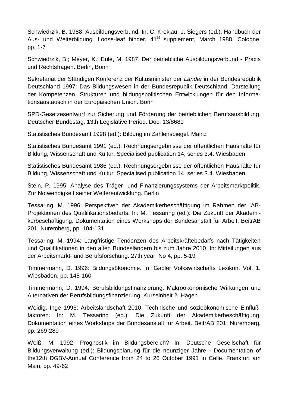Schwiedrzik, B. 1988: Ausbildungsverbund. In: C. Kreklau; J. Siegers (ed.): Handbuch der Aus- und Weiterbildung. Loose-leaf binder. 41<sup>st</sup> supplement, March 1988. Cologne, pp. 1-7

Schwiedrzik, B.; Meyer, K.; Eule, M. 1987: Der betriebliche Ausbildungsverbund - Praxis und Rechtsfragen. Berlin, Bonn

Sekretariat der Ständigen Konferenz der Kultusminister der Länder in der Bundesrepublik Deutschland 1997: Das Bildungswesen in der Bundesrepublik Deutschland. Darstellung der Kompetenzen, Strukturen und bildungspolitischen Entwicklungen für den Informationsaustausch in der Europäischen Union. Bonn

SPD-Gesetzesentwurf zur Sicherung und Förderung der betrieblichen Berufsausbildung. Deutscher Bundestag. 13th Legislative Period. Doc. 13/8680

Statistisches Bundesamt 1998 (ed.): Bildung im Zahlenspiegel. Mainz

Statistisches Bundesamt 1991 (ed.): Rechnungsergebnisse der öffentlichen Haushalte für Bildung, Wissenschaft und Kultur. Specialised publication 14, series 3.4. Wiesbaden

Statistisches Bundesamt 1986 (ed.): Rechnungsergebnisse der öffentlichen Haushalte für Bildung, Wissenschaft und Kultur. Specialised publication 14, series 3.4. Wiesbaden

Stein, P. 1995: Analyse des Träger- und Finanzierungssystems der Arbeitsmarktpolitik. Zur Notwendigkeit seiner Weiterentwicklung. Berlin

Tessaring, M. 1996: Perspektiven der Akademikerbeschäftigung im Rahmen der IAB-Projektionen des Qualifikationsbedarfs. In: M. Tessaring (ed.): Die Zukunft der Akademikerbeschäftigung. Dokumentation eines Workshops der Bundesanstalt für Arbeit. BeitrAB 201. Nuremberg, pp. 104-131

Tessaring, M. 1994: Langfristige Tendenzen des Arbeitskräftebedarfs nach Tätigkeiten und Qualifikationen in den alten Bundesländern bis zum Jahre 2010. In: Mitteilungen aus der Arbeitsmarkt- und Berufsforschung. 27th year, No 4, pp. 5-19

Timmermann, D. 1996: Bildungsökonomie. In: Gabler Volkswirtschafts Lexikon. Vol. 1. Wiesbaden, pp. 148-160

Timmermann, D. 1994: Berufsbildungsfinanzierung. Makroökonomische Wirkungen und Alternativen der Berufsbildungsfinanzierung. Kurseinheit 2. Hagen

Weidig, Inge 1996: Arbeitslandschaft 2010. Technische und sozioökonomische Einflußfaktoren. In: M. Tessaring (ed.): Die Zukunft der Akademikerbeschäftigung. Dokumentation eines Workshops der Bundesanstalt für Arbeit. BeitrAB 201. Nuremberg, pp. 269-289

Weiß, M. 1992: Prognostik im Bildungsbereich? In: Deutsche Gesellschaft für Bildungsverwaltung (ed.): Bildungsplanung für die neunziger Jahre - Documentation of the12th DGBV-Annual Conference from 24 to 26 October 1991 in Celle. Frankfurt am Main, pp. 49-62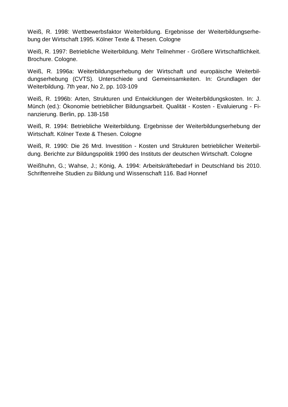Weiß, R. 1998: Wettbewerbsfaktor Weiterbildung. Ergebnisse der Weiterbildungserhebung der Wirtschaft 1995. Kölner Texte & Thesen. Cologne

Weiß, R. 1997: Betriebliche Weiterbildung. Mehr Teilnehmer - Größere Wirtschaftlichkeit. Brochure. Cologne.

Weiß, R. 1996a: Weiterbildungserhebung der Wirtschaft und europäische Weiterbildungserhebung (CVTS). Unterschiede und Gemeinsamkeiten. In: Grundlagen der Weiterbildung. 7th year, No 2, pp. 103-109

Weiß, R. 1996b: Arten, Strukturen und Entwicklungen der Weiterbildungskosten. In: J. Münch (ed.): Ökonomie betrieblicher Bildungsarbeit. Qualität - Kosten - Evaluierung - Finanzierung. Berlin, pp. 138-158

Weiß, R. 1994: Betriebliche Weiterbildung. Ergebnisse der Weiterbildungserhebung der Wirtschaft. Kölner Texte & Thesen. Cologne

Weiß, R. 1990: Die 26 Mrd. Investition - Kosten und Strukturen betrieblicher Weiterbildung. Berichte zur Bildungspolitik 1990 des Instituts der deutschen Wirtschaft. Cologne

Weißhuhn, G.; Wahse, J.; König, A. 1994: Arbeitskräftebedarf in Deutschland bis 2010. Schriftenreihe Studien zu Bildung und Wissenschaft 116. Bad Honnef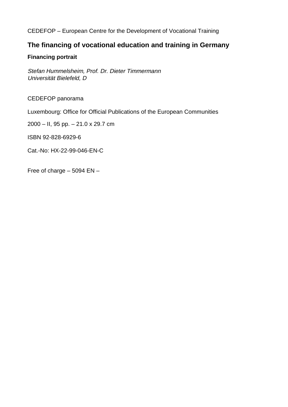## CEDEFOP – European Centre for the Development of Vocational Training

# **The financing of vocational education and training in Germany**

# **Financing portrait**

Stefan Hummelsheim, Prof. Dr. Dieter Timmermann Universität Bielefeld, D

CEDEFOP panorama

Luxembourg: Office for Official Publications of the European Communities

2000 – II, 95 pp. – 21.0 x 29.7 cm

ISBN 92-828-6929-6

Cat.-No: HX-22-99-046-EN-C

Free of charge – 5094 EN –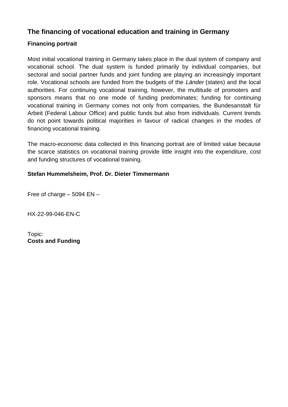# **The financing of vocational education and training in Germany**

# **Financing portrait**

Most initial vocational training in Germany takes place in the dual system of company and vocational school. The dual system is funded primarily by individual companies, but sectoral and social partner funds and joint funding are playing an increasingly important role. Vocational schools are funded from the budgets of the Länder (states) and the local authorities. For continuing vocational training, however, the multitude of promoters and sponsors means that no one mode of funding predominates; funding for continuing vocational training in Germany comes not only from companies, the Bundesanstalt für Arbeit (Federal Labour Office) and public funds but also from individuals. Current trends do not point towards political majorities in favour of radical changes in the modes of financing vocational training.

The macro-economic data collected in this financing portrait are of limited value because the scarce statistics on vocational training provide little insight into the expenditure, cost and funding structures of vocational training.

# **Stefan Hummelsheim, Prof. Dr. Dieter Timmermann**

Free of charge  $-5094$  EN  $-$ 

HX-22-99-046-EN-C

Topic: **Costs and Funding**